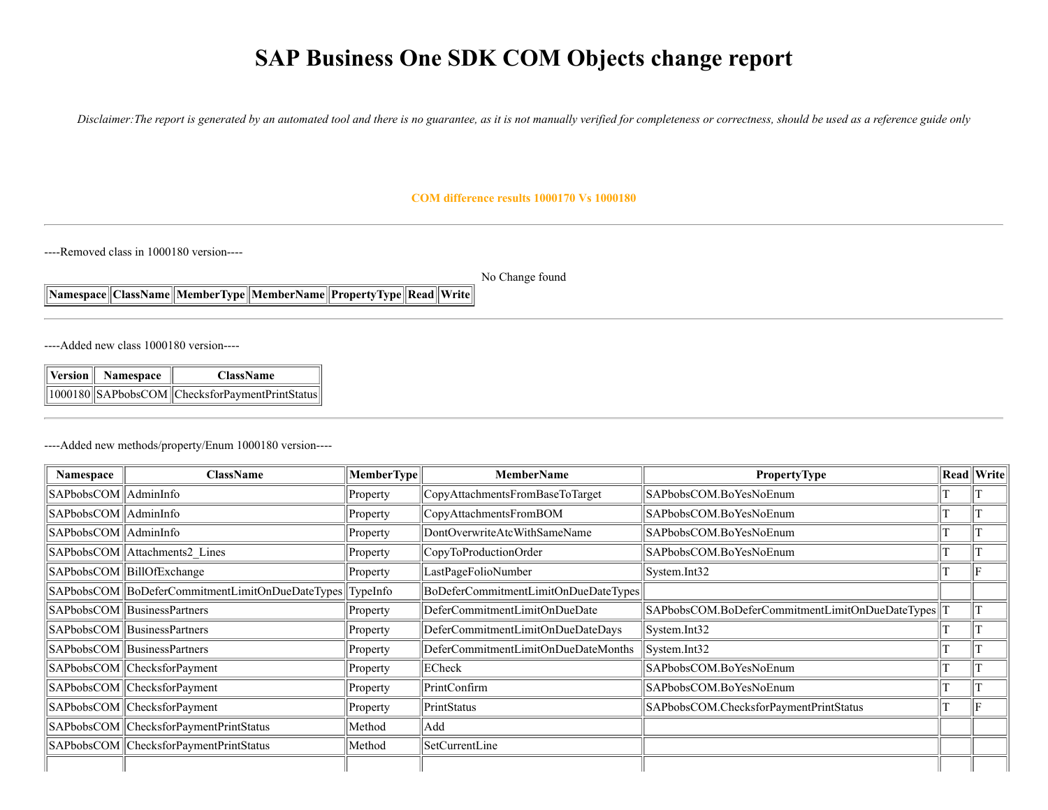# **SAP Business One SDK COM Objects change report**

*Disclaimer:The report is generated by an automated tool and there is no guarantee, as it is not manually verified for completeness or correctness, should be used as a reference guide only*

#### **COM difference results 1000170 Vs 1000180**

----Removed class in 1000180 version----

No Change found

**Namespace ClassName MemberType MemberName PropertyType Read Write**

----Added new class 1000180 version----

| Version    Namespace | <b>ClassName</b>                                             |
|----------------------|--------------------------------------------------------------|
|                      | $\ 1000180\ \text{SAPbobsCOM}\ $ ChecksforPaymentPrintStatus |

----Added new methods/property/Enum 1000180 version----

| Namespace               | <b>ClassName</b>                                 | MemberType        | <b>MemberName</b>                    | PropertyType                                    | <b>Read Write</b> |
|-------------------------|--------------------------------------------------|-------------------|--------------------------------------|-------------------------------------------------|-------------------|
| SAPbobsCOM    AdminInfo |                                                  | Property          | CopyAttachmentsFromBaseToTarget      | SAPbobsCOM.BoYesNoEnum                          |                   |
| SAPbobsCOM    AdminInfo |                                                  | Property          | CopyAttachmentsFromBOM               | SAPbobsCOM.BoYesNoEnum                          |                   |
| SAPbobsCOM    AdminInfo |                                                  | Property          | DontOverwriteAtcWithSameName         | SAPbobsCOM.BoYesNoEnum                          |                   |
|                         | SAPbobsCOM Attachments2 Lines                    | Property          | CopyToProductionOrder                | SAPbobsCOM.BoYesNoEnum                          |                   |
|                         | SAPbobsCOM BillOfExchange                        | Property          | LastPageFolioNumber                  | System.Int32                                    |                   |
|                         | SAPbobsCOM  BoDeferCommitmentLimitOnDueDateTypes | TypeInfo          | BoDeferCommitmentLimitOnDueDateTypes |                                                 |                   |
|                         | SAPbobsCOM   BusinessPartners                    | Property          | DeferCommitmentLimitOnDueDate        | SAPbobsCOM.BoDeferCommitmentLimitOnDueDateTypes |                   |
|                         | SAPbobsCOM   BusinessPartners                    | Property          | DeferCommitmentLimitOnDueDateDays    | System.Int32                                    |                   |
|                         | SAPbobsCOM   BusinessPartners                    | Property          | DeferCommitmentLimitOnDueDateMonths  | System.Int32                                    |                   |
|                         | SAPbobsCOM ChecksforPayment                      | Property          | ECheck                               | SAPbobsCOM.BoYesNoEnum                          |                   |
|                         | SAPbobsCOM ChecksforPayment                      | Property          | PrintConfirm                         | SAPbobsCOM.BoYesNoEnum                          |                   |
|                         | SAPbobsCOM ChecksforPayment                      | $\left $ Property | PrintStatus                          | SAPbobsCOM.ChecksforPaymentPrintStatus          |                   |
|                         | SAPbobsCOM ChecksforPaymentPrintStatus           | Method            | Add                                  |                                                 |                   |
|                         | SAPbobsCOM ChecksforPaymentPrintStatus           | Method            | SetCurrentLine                       |                                                 |                   |
|                         |                                                  |                   |                                      |                                                 |                   |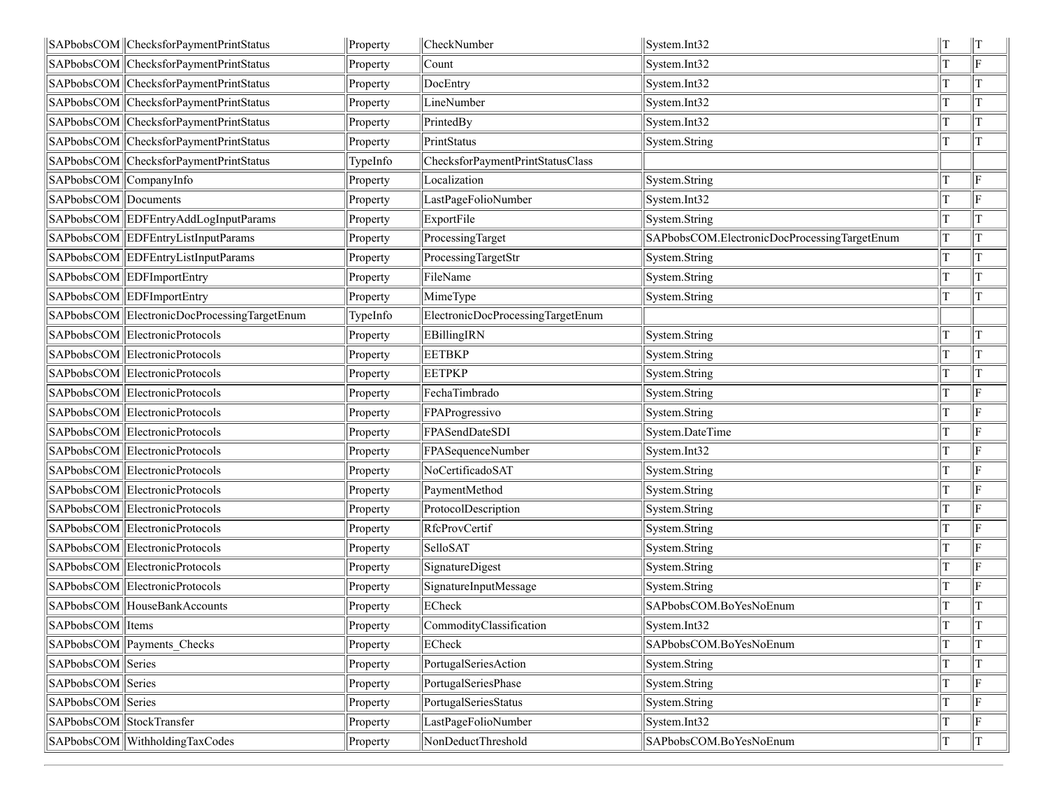|                          | SAPbobsCOM   ChecksforPaymentPrintStatus     | Property | CheckNumber                       | System.Int32                                 | lт | $\parallel$ T |
|--------------------------|----------------------------------------------|----------|-----------------------------------|----------------------------------------------|----|---------------|
|                          | SAPbobsCOM ChecksforPaymentPrintStatus       | Property | Count                             | System.Int32                                 |    | F             |
|                          | SAPbobsCOM ChecksforPaymentPrintStatus       | Property | DocEntry                          | System.Int32                                 | T  | lт            |
|                          | SAPbobsCOM ChecksforPaymentPrintStatus       | Property | LineNumber                        | System.Int32                                 | T  | ΙT            |
|                          | SAPbobsCOM ChecksforPaymentPrintStatus       | Property | PrintedBy                         | System.Int32                                 | T  | IТ            |
|                          | SAPbobsCOM ChecksforPaymentPrintStatus       | Property | PrintStatus                       | System.String                                |    | IТ            |
|                          | SAPbobsCOM ChecksforPaymentPrintStatus       | TypeInfo | ChecksforPaymentPrintStatusClass  |                                              |    |               |
| SAPbobsCOM CompanyInfo   |                                              | Property | Localization                      | System.String                                |    | ΙF            |
| SAPbobsCOM Documents     |                                              | Property | LastPageFolioNumber               | System.Int32                                 |    | lF            |
|                          | SAPbobsCOM EDFEntryAddLogInputParams         | Property | ExportFile                        | System.String                                |    | IТ            |
|                          | SAPbobsCOM EDFEntryListInputParams           | Property | ProcessingTarget                  | SAPbobsCOM.ElectronicDocProcessingTargetEnum | T  | IТ            |
|                          | SAPbobsCOM EDFEntryListInputParams           | Property | ProcessingTargetStr               | System.String                                | T  | lΤ            |
|                          | SAPbobsCOM EDFImportEntry                    | Property | FileName                          | System.String                                | т  | lΤ            |
|                          | SAPbobsCOM EDFImportEntry                    | Property | MimeType                          | System.String                                | T  | IТ            |
|                          | SAPbobsCOM ElectronicDocProcessingTargetEnum | TypeInfo | ElectronicDocProcessingTargetEnum |                                              |    |               |
|                          | SAPbobsCOM ElectronicProtocols               | Property | <b>EBillingIRN</b>                | System.String                                |    | lΤ            |
|                          | SAPbobsCOM ElectronicProtocols               | Property | <b>EETBKP</b>                     | System.String                                |    | lΤ            |
|                          | SAPbobsCOM ElectronicProtocols               | Property | <b>EETPKP</b>                     | System.String                                |    | ΙT            |
|                          | SAPbobsCOM ElectronicProtocols               | Property | FechaTimbrado                     | System.String                                |    | lF            |
|                          | SAPbobsCOM ElectronicProtocols               | Property | FPAProgressivo                    | System.String                                |    | lF            |
|                          | SAPbobsCOM ElectronicProtocols               | Property | FPASendDateSDI                    | System.DateTime                              | T  | lF            |
|                          | SAPbobsCOM ElectronicProtocols               | Property | FPASequenceNumber                 | System.Int32                                 |    | lF            |
|                          | SAPbobsCOM ElectronicProtocols               | Property | NoCertificadoSAT                  | System.String                                | T  | lF            |
|                          | SAPbobsCOM ElectronicProtocols               | Property | PaymentMethod                     | System.String                                |    | lF            |
|                          | SAPbobsCOM ElectronicProtocols               | Property | ProtocolDescription               | System.String                                |    | ΙF            |
|                          | SAPbobsCOM ElectronicProtocols               | Property | RfcProvCertif                     | System.String                                |    | lF            |
|                          | SAPbobsCOM ElectronicProtocols               | Property | SelloSAT                          | System.String                                |    | lF            |
|                          | SAPbobsCOM ElectronicProtocols               | Property | SignatureDigest                   | System.String                                |    | lF            |
|                          | SAPbobsCOM ElectronicProtocols               | Property | SignatureInputMessage             | System.String                                |    | F             |
|                          | SAPbobsCOM HouseBankAccounts                 | Property | ECheck                            | SAPbobsCOM.BoYesNoEnum                       | T  | lΤ            |
| SAPbobsCOM   Items       |                                              | Property | CommodityClassification           | System.Int32                                 | Iт | lт            |
|                          | SAPbobsCOM Payments Checks                   | Property | ECheck                            | SAPbobsCOM.BoYesNoEnum                       | T  | lΤ            |
| SAPbobsCOM Series        |                                              | Property | PortugalSeriesAction              | System.String                                |    | lT            |
| SAPbobsCOM Series        |                                              | Property | PortugalSeriesPhase               | System.String                                |    | ΙF            |
| SAPbobsCOM Series        |                                              | Property | PortugalSeriesStatus              | System.String                                |    | lF            |
| SAPbobsCOM StockTransfer |                                              | Property | LastPageFolioNumber               | System.Int32                                 |    | lF            |
|                          | SAPbobsCOM WithholdingTaxCodes               | Property | NonDeductThreshold                | SAPbobsCOM.BoYesNoEnum                       | T  | T             |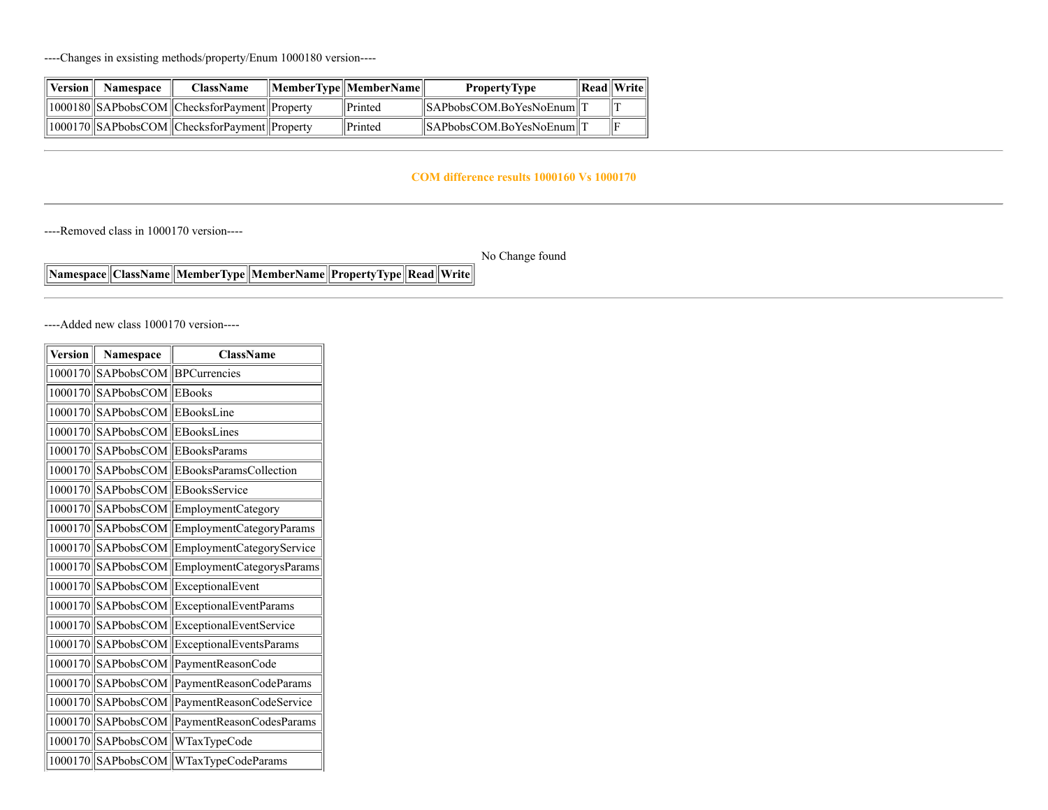----Changes in exsisting methods/property/Enum 1000180 version----

| Version | <b>Namespace</b> | <b>ClassName</b>                                | $\Vert$ MemberType $\Vert$ MemberName $\Vert$ | <b>PropertyType</b>                  | $\ \text{Read}\ \text{Write}\ $ |
|---------|------------------|-------------------------------------------------|-----------------------------------------------|--------------------------------------|---------------------------------|
|         |                  | 1000180  SAPbobsCOM  ChecksforPayment  Property | <b>Printed</b>                                | $\ \$ SAPbobsCOM.BoYesNoEnum $\ T\ $ |                                 |
|         |                  | 1000170  SAPbobsCOM  ChecksforPayment  Property | <b>Printed</b>                                | $\ \$ SAPbobsCOM.BoYesNoEnum $\ T\ $ |                                 |

#### **COM difference results 1000160 Vs 1000170**

----Removed class in 1000170 version----

No Change found

**Namespace ClassName MemberType MemberName PropertyType Read Write**

----Added new class 1000170 version----

| <b>Version</b> | Namespace                 | <b>ClassName</b>                      |
|----------------|---------------------------|---------------------------------------|
| 1000170        | SAPbobsCOM   BPCurrencies |                                       |
| 1000170        | SAPbobsCOM                | EBooks                                |
| 1000170        | SAPbobsCOM EBooksLine     |                                       |
| 1000170        | SAPbobsCOM                | EBooksLines                           |
| 1000170        |                           | SAPbobsCOM EBooksParams               |
| 1000170        |                           | SAPbobsCOM EBooksParamsCollection     |
| 1000170        | SAPbobsCOM                | EBooksService                         |
| 1000170        |                           | SAPbobsCOM EmploymentCategory         |
| 1000170        | SAPbobsCOM                | EmploymentCategoryParams              |
| 1000170        | SAPbobsCOM                | EmploymentCategoryService             |
| 1000170        |                           | SAPbobsCOM EmploymentCategorysParams  |
| 1000170        | SAPbobsCOM                | ExceptionalEvent                      |
| 1000170        |                           | SAPbobsCOM ExceptionalEventParams     |
| 1000170        |                           | SAPbobsCOM ExceptionalEventService    |
| 1000170        |                           | SAPbobsCOM ExceptionalEventsParams    |
| 1000170        |                           | SAPbobsCOM PaymentReasonCode          |
| 1000170        | SAPbobsCOM                | PaymentReasonCodeParams               |
| 1000170        |                           | SAPbobsCOM   PaymentReasonCodeService |
| 1000170        | SAPbobsCOM                | PaymentReasonCodesParams              |
| 1000170        |                           | SAPbobsCOM WTaxTypeCode               |
| 1000170        |                           | SAPbobsCOM   WTaxTypeCodeParams       |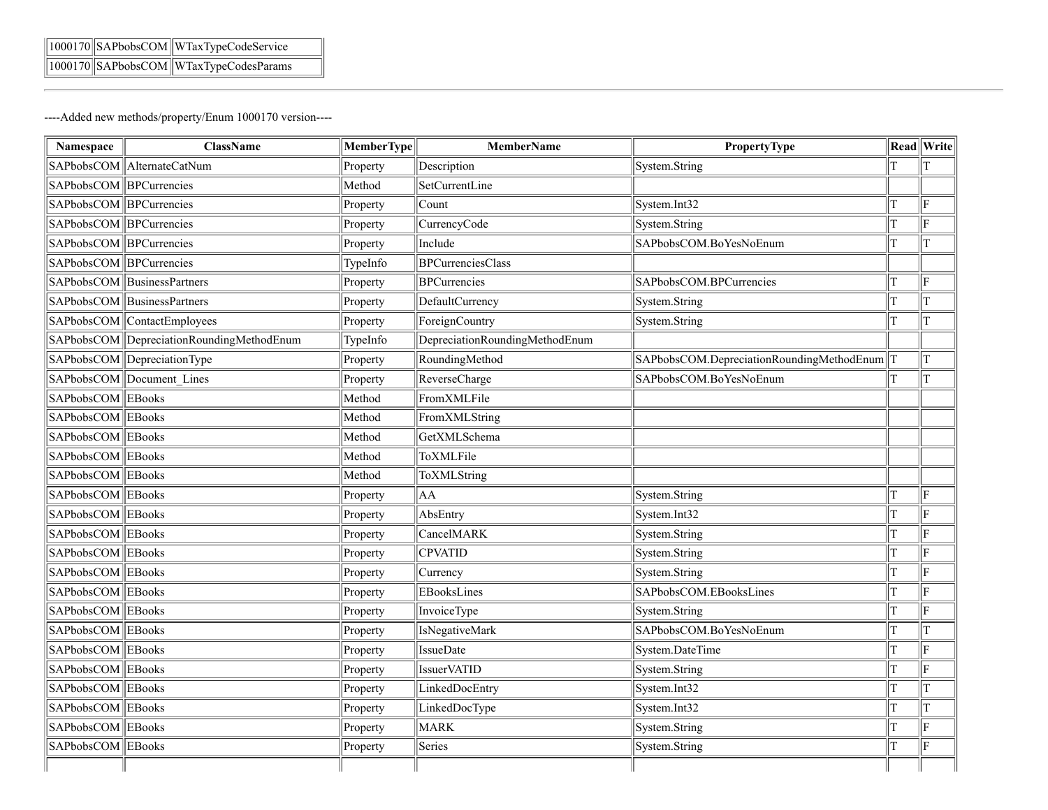|  | $\ 1000170\ \text{SAPbobsCOM}\ $ WTaxTypeCodeService |
|--|------------------------------------------------------|
|  | 1000170 SAPbobsCOM WTaxTypeCodesParams               |

----Added new methods/property/Enum 1000170 version----

| Namespace               | <b>ClassName</b>                          | <b>MemberType</b> | <b>MemberName</b>              | <b>PropertyType</b>                       |   | <b>Read</b> Write       |
|-------------------------|-------------------------------------------|-------------------|--------------------------------|-------------------------------------------|---|-------------------------|
|                         | SAPbobsCOM AlternateCatNum                | Property          | Description                    | System.String                             | T | T                       |
| SAPbobsCOM BPCurrencies |                                           | Method            | SetCurrentLine                 |                                           |   |                         |
| SAPbobsCOM BPCurrencies |                                           | Property          | Count                          | System.Int32                              | T | F                       |
| SAPbobsCOM BPCurrencies |                                           | Property          | CurrencyCode                   | System.String                             | T | ΙF                      |
| SAPbobsCOM BPCurrencies |                                           | Property          | Include                        | SAPbobsCOM.BoYesNoEnum                    | T | T                       |
| SAPbobsCOM BPCurrencies |                                           | TypeInfo          | <b>BPCurrenciesClass</b>       |                                           |   |                         |
|                         | SAPbobsCOM BusinessPartners               | Property          | <b>BPCurrencies</b>            | SAPbobsCOM.BPCurrencies                   | T | ΙF                      |
|                         | SAPbobsCOM BusinessPartners               | Property          | DefaultCurrency                | System.String                             | T | T                       |
|                         | SAPbobsCOM ContactEmployees               | Property          | ForeignCountry                 | System.String                             | T | T                       |
|                         | SAPbobsCOM DepreciationRoundingMethodEnum | TypeInfo          | DepreciationRoundingMethodEnum |                                           |   |                         |
|                         | SAPbobsCOM DepreciationType               | Property          | RoundingMethod                 | SAPbobsCOM.DepreciationRoundingMethodEnum |   | T                       |
|                         | SAPbobsCOM Document Lines                 | Property          | ReverseCharge                  | SAPbobsCOM.BoYesNoEnum                    | T | T                       |
| SAPbobsCOM EBooks       |                                           | Method            | FromXMLFile                    |                                           |   |                         |
| SAPbobsCOM EBooks       |                                           | Method            | FromXMLString                  |                                           |   |                         |
| SAPbobsCOM EBooks       |                                           | Method            | GetXMLSchema                   |                                           |   |                         |
| SAPbobsCOM EBooks       |                                           | Method            | ToXMLFile                      |                                           |   |                         |
| SAPbobsCOM EBooks       |                                           | Method            | ToXMLString                    |                                           |   |                         |
| SAPbobsCOM EBooks       |                                           | Property          | AA                             | System.String                             | T | ΙF                      |
| SAPbobsCOM EBooks       |                                           | Property          | AbsEntry                       | System.Int32                              | T | ΙF                      |
| SAPbobsCOM EBooks       |                                           | Property          | CancelMARK                     | System.String                             | T | ΙF                      |
| SAPbobsCOM EBooks       |                                           | Property          | <b>CPVATID</b>                 | System.String                             | T | ΙF                      |
| SAPbobsCOM EBooks       |                                           | Property          | Currency                       | System.String                             | T | ΙF                      |
| SAPbobsCOM EBooks       |                                           | Property          | EBooksLines                    | SAPbobsCOM.EBooksLines                    | T | F                       |
| SAPbobsCOM EBooks       |                                           | Property          | InvoiceType                    | System.String                             | T | lF.                     |
| SAPbobsCOM EBooks       |                                           | Property          | IsNegativeMark                 | SAPbobsCOM.BoYesNoEnum                    | T | T                       |
| SAPbobsCOM EBooks       |                                           | Property          | <b>IssueDate</b>               | System.DateTime                           | T | $\overline{\mathrm{F}}$ |
| SAPbobsCOM EBooks       |                                           | Property          | IssuerVATID                    | System.String                             | T | F                       |
| SAPbobsCOM EBooks       |                                           | Property          | LinkedDocEntry                 | System.Int32                              | T | T                       |
| SAPbobsCOM EBooks       |                                           | Property          | LinkedDocType                  | System.Int32                              | T | T                       |
| SAPbobsCOM EBooks       |                                           | Property          | <b>MARK</b>                    | System.String                             | T | ΙF                      |
| SAPbobsCOM EBooks       |                                           | Property          | Series                         | System.String                             | T | F                       |
|                         |                                           |                   |                                |                                           |   |                         |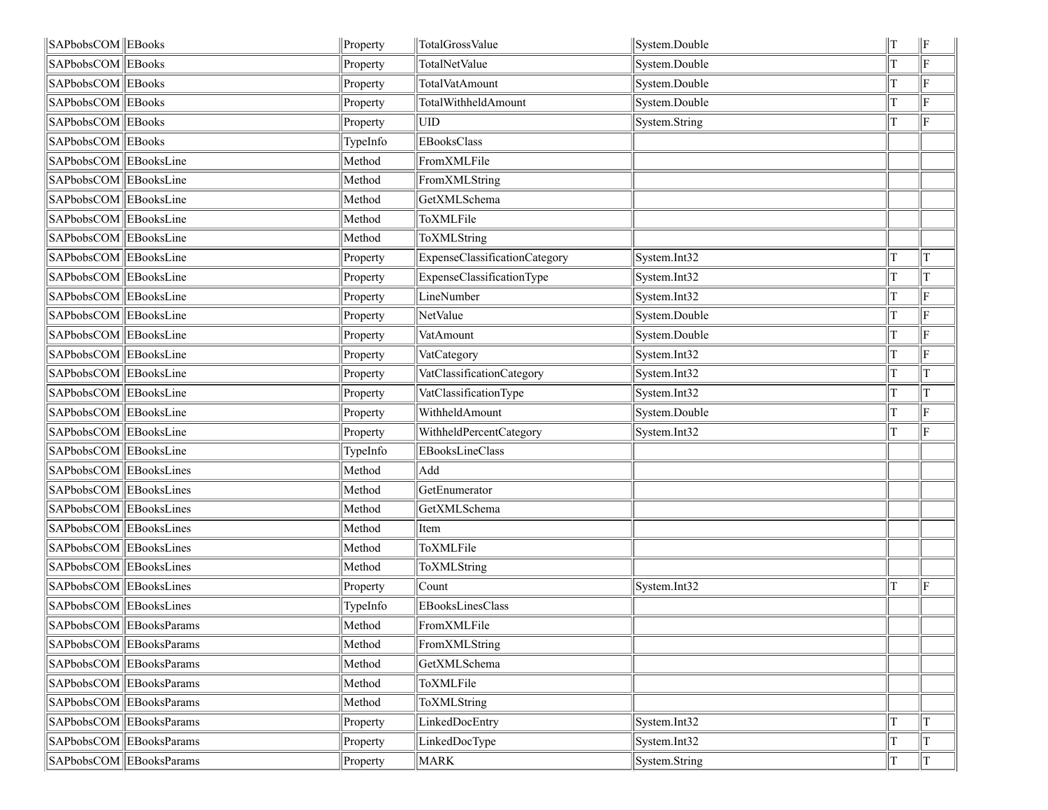| SAPbobsCOM EBooks      |                         | Property | TotalGrossValue               | System.Double | T | $\parallel$ F |
|------------------------|-------------------------|----------|-------------------------------|---------------|---|---------------|
| SAPbobsCOM EBooks      |                         | Property | TotalNetValue                 | System.Double |   | F             |
| SAPbobsCOM EBooks      |                         | Property | TotalVatAmount                | System.Double |   | ΙF            |
| SAPbobsCOM EBooks      |                         | Property | TotalWithheldAmount           | System.Double |   | F             |
| SAPbobsCOM EBooks      |                         | Property | UID                           | System.String | T | lF.           |
| SAPbobsCOM EBooks      |                         | TypeInfo | EBooksClass                   |               |   |               |
| SAPbobsCOM EBooksLine  |                         | Method   | FromXMLFile                   |               |   |               |
| SAPbobsCOM EBooksLine  |                         | Method   | FromXMLString                 |               |   |               |
| SAPbobsCOM EBooksLine  |                         | Method   | GetXMLSchema                  |               |   |               |
| SAPbobsCOM EBooksLine  |                         | Method   | ToXMLFile                     |               |   |               |
| SAPbobsCOM EBooksLine  |                         | Method   | ToXMLString                   |               |   |               |
| SAPbobsCOM EBooksLine  |                         | Property | ExpenseClassificationCategory | System.Int32  |   | T             |
| SAPbobsCOM EBooksLine  |                         | Property | ExpenseClassificationType     | System.Int32  | T | T             |
| SAPbobsCOM EBooksLine  |                         | Property | LineNumber                    | System.Int32  | T | ΙF            |
| SAPbobsCOM EBooksLine  |                         | Property | NetValue                      | System.Double |   | ΙF            |
| SAPbobsCOM EBooksLine  |                         | Property | VatAmount                     | System.Double | T | ΙF            |
| SAPbobsCOM EBooksLine  |                         | Property | VatCategory                   | System.Int32  |   | F             |
| SAPbobsCOM EBooksLine  |                         | Property | VatClassificationCategory     | System.Int32  |   | T             |
| SAPbobsCOM EBooksLine  |                         | Property | VatClassificationType         | System.Int32  |   | lΤ            |
| SAPbobsCOM EBooksLine  |                         | Property | WithheldAmount                | System.Double |   | ΙF            |
| SAPbobsCOM EBooksLine  |                         | Property | WithheldPercentCategory       | System.Int32  |   | ΙF            |
| SAPbobsCOM EBooksLine  |                         | TypeInfo | EBooksLineClass               |               |   |               |
| SAPbobsCOM EBooksLines |                         | Method   | Add                           |               |   |               |
| SAPbobsCOM EBooksLines |                         | Method   | GetEnumerator                 |               |   |               |
| SAPbobsCOM EBooksLines |                         | Method   | GetXMLSchema                  |               |   |               |
| SAPbobsCOM EBooksLines |                         | Method   | Item                          |               |   |               |
| SAPbobsCOM EBooksLines |                         | Method   | ToXMLFile                     |               |   |               |
| SAPbobsCOM EBooksLines |                         | Method   | ToXMLString                   |               |   |               |
| SAPbobsCOM EBooksLines |                         | Property | Count                         | System.Int32  |   | F             |
| SAPbobsCOM EBooksLines |                         | TypeInfo | EBooksLinesClass              |               |   |               |
|                        | SAPbobsCOM EBooksParams | Method   | FromXMLFile                   |               |   |               |
|                        | SAPbobsCOM EBooksParams | Method   | FromXMLString                 |               |   |               |
|                        | SAPbobsCOM EBooksParams | Method   | GetXMLSchema                  |               |   |               |
|                        | SAPbobsCOM EBooksParams | Method   | ToXMLFile                     |               |   |               |
|                        | SAPbobsCOM EBooksParams | Method   | ToXMLString                   |               |   |               |
|                        | SAPbobsCOM EBooksParams | Property | LinkedDocEntry                | System.Int32  |   | T             |
|                        | SAPbobsCOM EBooksParams | Property | LinkedDocType                 | System.Int32  |   | T             |
|                        | SAPbobsCOM EBooksParams | Property | <b>MARK</b>                   | System.String | T | $\ T\ $       |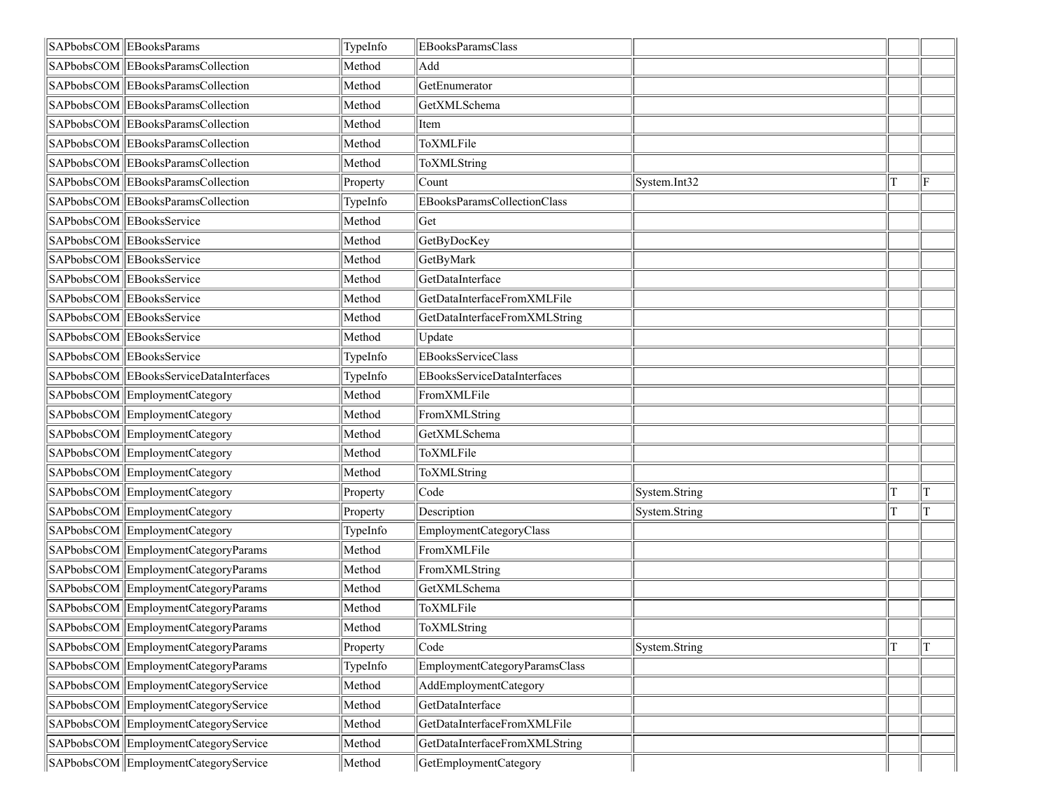| SAPbobsCOM EBooksParams                | TypeInfo | <b>EBooksParamsClass</b>           |               |     |
|----------------------------------------|----------|------------------------------------|---------------|-----|
| SAPbobsCOM EBooksParamsCollection      | Method   | Add                                |               |     |
| SAPbobsCOM EBooksParamsCollection      | Method   | GetEnumerator                      |               |     |
| SAPbobsCOM EBooksParamsCollection      | Method   | GetXMLSchema                       |               |     |
| SAPbobsCOM EBooksParamsCollection      | Method   | Item                               |               |     |
| SAPbobsCOM EBooksParamsCollection      | Method   | ToXMLFile                          |               |     |
| SAPbobsCOM EBooksParamsCollection      | Method   | ToXMLString                        |               |     |
| SAPbobsCOM EBooksParamsCollection      | Property | Count                              | System.Int32  | ΙF  |
| SAPbobsCOM EBooksParamsCollection      | TypeInfo | EBooksParamsCollectionClass        |               |     |
| SAPbobsCOM EBooksService               | Method   | Get                                |               |     |
| SAPbobsCOM EBooksService               | Method   | GetByDocKey                        |               |     |
| SAPbobsCOM EBooksService               | Method   | GetByMark                          |               |     |
| SAPbobsCOM EBooksService               | Method   | GetDataInterface                   |               |     |
| SAPbobsCOM EBooksService               | Method   | GetDataInterfaceFromXMLFile        |               |     |
| SAPbobsCOM EBooksService               | Method   | GetDataInterfaceFromXMLString      |               |     |
| SAPbobsCOM EBooksService               | Method   | Update                             |               |     |
| SAPbobsCOM EBooksService               | TypeInfo | <b>EBooksServiceClass</b>          |               |     |
| SAPbobsCOM EBooksServiceDataInterfaces | TypeInfo | <b>EBooksServiceDataInterfaces</b> |               |     |
| SAPbobsCOM EmploymentCategory          | Method   | FromXMLFile                        |               |     |
| SAPbobsCOM EmploymentCategory          | Method   | FromXMLString                      |               |     |
| SAPbobsCOM EmploymentCategory          | Method   | GetXMLSchema                       |               |     |
| SAPbobsCOM EmploymentCategory          | Method   | ToXMLFile                          |               |     |
| SAPbobsCOM EmploymentCategory          | Method   | ToXMLString                        |               |     |
| SAPbobsCOM EmploymentCategory          | Property | Code                               | System.String | ΙT  |
| SAPbobsCOM EmploymentCategory          | Property | Description                        | System.String | lT. |
| SAPbobsCOM EmploymentCategory          | TypeInfo | EmploymentCategoryClass            |               |     |
| SAPbobsCOM EmploymentCategoryParams    | Method   | FromXMLFile                        |               |     |
| SAPbobsCOM EmploymentCategoryParams    | Method   | FromXMLString                      |               |     |
| SAPbobsCOM EmploymentCategoryParams    | Method   | GetXMLSchema                       |               |     |
| SAPbobsCOM EmploymentCategoryParams    | Method   | ToXMLFile                          |               |     |
| SAPbobsCOM EmploymentCategoryParams    | Method   | ToXMLString                        |               |     |
| SAPbobsCOM EmploymentCategoryParams    | Property | Code                               | System.String | T   |
| SAPbobsCOM EmploymentCategoryParams    | TypeInfo | EmploymentCategoryParamsClass      |               |     |
| SAPbobsCOM EmploymentCategoryService   | Method   | AddEmploymentCategory              |               |     |
| SAPbobsCOM EmploymentCategoryService   | Method   | GetDataInterface                   |               |     |
| SAPbobsCOM EmploymentCategoryService   | Method   | GetDataInterfaceFromXMLFile        |               |     |
| SAPbobsCOM EmploymentCategoryService   | Method   | GetDataInterfaceFromXMLString      |               |     |
| SAPbobsCOM EmploymentCategoryService   | Method   | GetEmploymentCategory              |               |     |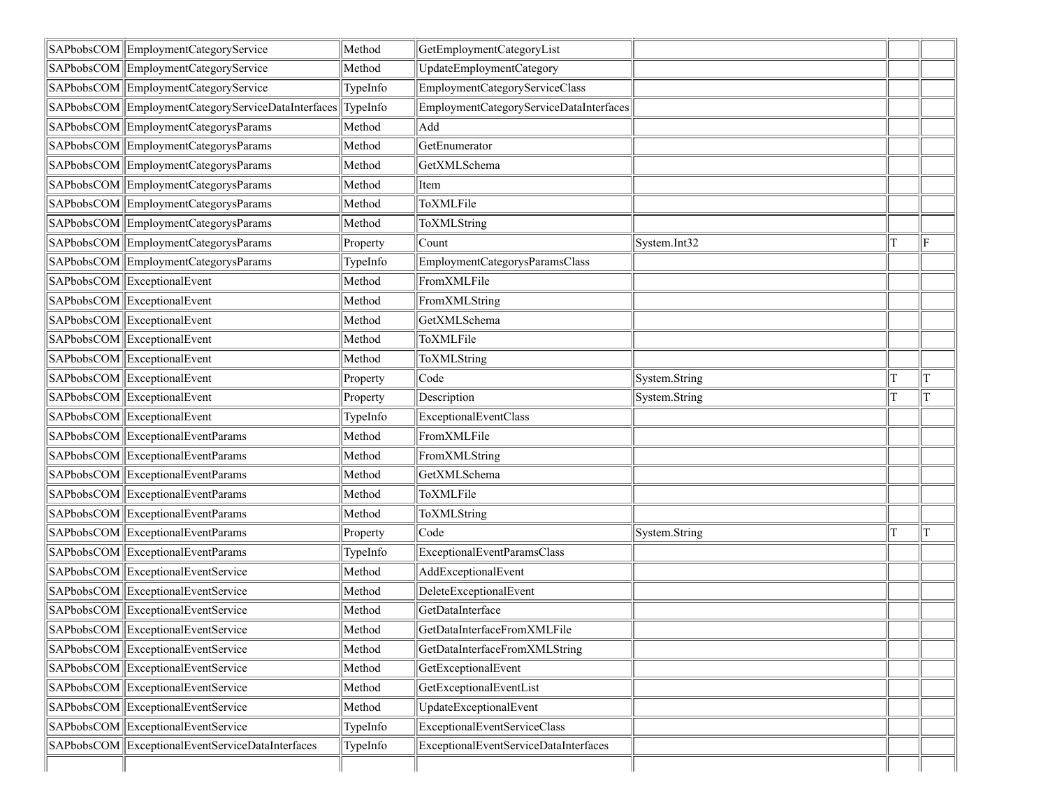|            | SAPbobsCOM EmploymentCategoryService               | Method   | GetEmploymentCategoryList               |               |   |    |
|------------|----------------------------------------------------|----------|-----------------------------------------|---------------|---|----|
|            | SAPbobsCOM EmploymentCategoryService               | Method   | UpdateEmploymentCategory                |               |   |    |
|            | SAPbobsCOM EmploymentCategoryService               | TypeInfo | EmploymentCategoryServiceClass          |               |   |    |
|            | SAPbobsCOM EmploymentCategoryServiceDataInterfaces | TypeInfo | EmploymentCategoryServiceDataInterfaces |               |   |    |
|            | SAPbobsCOM EmploymentCategorysParams               | Method   | Add                                     |               |   |    |
|            | SAPbobsCOM EmploymentCategorysParams               | Method   | GetEnumerator                           |               |   |    |
|            | SAPbobsCOM EmploymentCategorysParams               | Method   | GetXMLSchema                            |               |   |    |
|            | SAPbobsCOM EmploymentCategorysParams               | Method   | Item                                    |               |   |    |
|            | SAPbobsCOM EmploymentCategorysParams               | Method   | ToXMLFile                               |               |   |    |
|            | SAPbobsCOM EmploymentCategorysParams               | Method   | ToXMLString                             |               |   |    |
|            | SAPbobsCOM EmploymentCategorysParams               | Property | Count                                   | System.Int32  |   | ΙF |
|            | SAPbobsCOM EmploymentCategorysParams               | TypeInfo | EmploymentCategorysParamsClass          |               |   |    |
|            | SAPbobsCOM ExceptionalEvent                        | Method   | FromXMLFile                             |               |   |    |
|            | SAPbobsCOM ExceptionalEvent                        | Method   | FromXMLString                           |               |   |    |
|            | SAPbobsCOM ExceptionalEvent                        | Method   | GetXMLSchema                            |               |   |    |
|            | SAPbobsCOM ExceptionalEvent                        | Method   | ToXMLFile                               |               |   |    |
|            | SAPbobsCOM ExceptionalEvent                        | Method   | ToXMLString                             |               |   |    |
|            | SAPbobsCOM ExceptionalEvent                        | Property | Code                                    | System.String | T | ΙT |
|            | SAPbobsCOM ExceptionalEvent                        | Property | Description                             | System.String |   | lT |
|            | SAPbobsCOM ExceptionalEvent                        | TypeInfo | ExceptionalEventClass                   |               |   |    |
|            | SAPbobsCOM ExceptionalEventParams                  | Method   | FromXMLFile                             |               |   |    |
|            | SAPbobsCOM ExceptionalEventParams                  | Method   | FromXMLString                           |               |   |    |
|            | SAPbobsCOM ExceptionalEventParams                  | Method   | GetXMLSchema                            |               |   |    |
|            | SAPbobsCOM ExceptionalEventParams                  | Method   | ToXMLFile                               |               |   |    |
|            | SAPbobsCOM ExceptionalEventParams                  | Method   | ToXMLString                             |               |   |    |
|            | SAPbobsCOM ExceptionalEventParams                  | Property | Code                                    | System.String |   | ΙT |
|            | SAPbobsCOM ExceptionalEventParams                  | TypeInfo | ExceptionalEventParamsClass             |               |   |    |
|            | SAPbobsCOM ExceptionalEventService                 | Method   | AddExceptionalEvent                     |               |   |    |
|            | SAPbobsCOM ExceptionalEventService                 | Method   | DeleteExceptionalEvent                  |               |   |    |
|            | SAPbobsCOM ExceptionalEventService                 | Method   | GetDataInterface                        |               |   |    |
|            | SAPbobsCOM ExceptionalEventService                 | Method   | GetDataInterfaceFromXMLFile             |               |   |    |
|            | SAPbobsCOM ExceptionalEventService                 | Method   | GetDataInterfaceFromXMLString           |               |   |    |
|            | SAPbobsCOM ExceptionalEventService                 | Method   | GetExceptionalEvent                     |               |   |    |
|            | SAPbobsCOM ExceptionalEventService                 | Method   | GetExceptionalEventList                 |               |   |    |
|            | SAPbobsCOM ExceptionalEventService                 | Method   | UpdateExceptionalEvent                  |               |   |    |
|            | SAPbobsCOM ExceptionalEventService                 | TypeInfo | ExceptionalEventServiceClass            |               |   |    |
| SAPbobsCOM | ExceptionalEventServiceDataInterfaces              | TypeInfo | ExceptionalEventServiceDataInterfaces   |               |   |    |
|            |                                                    |          |                                         |               |   |    |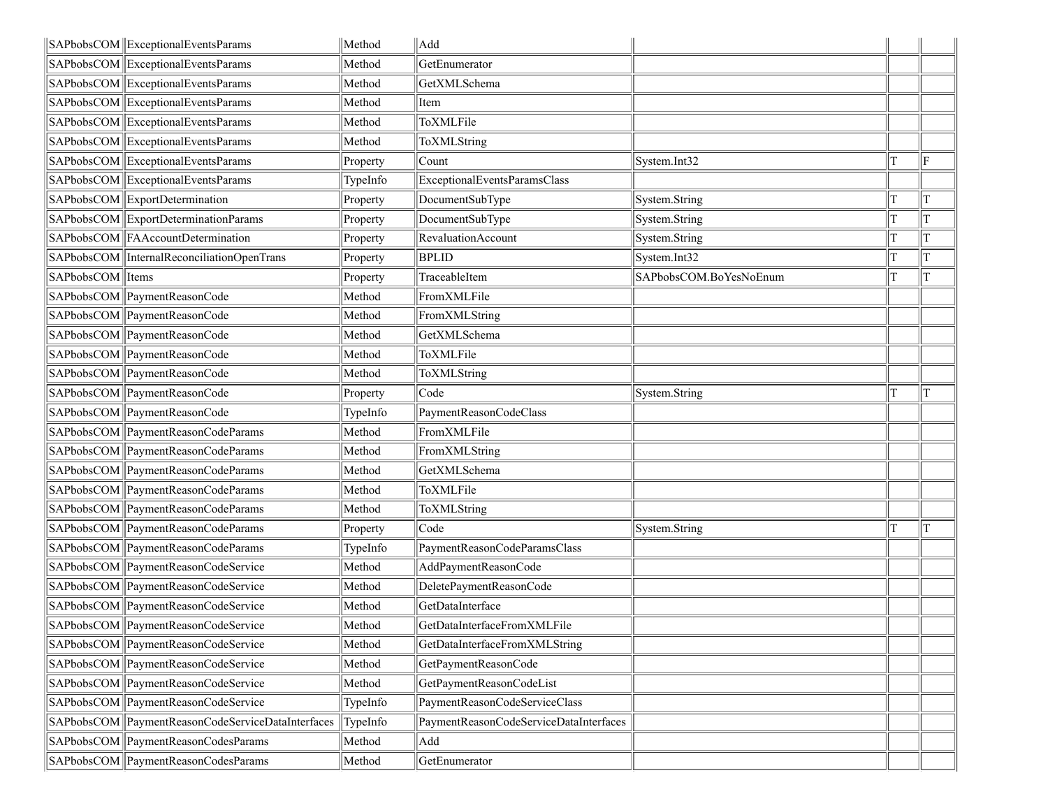| SAPbobsCOM Exceptional Events Params              | Method   | Add                                    |                        |   |    |
|---------------------------------------------------|----------|----------------------------------------|------------------------|---|----|
| SAPbobsCOM ExceptionalEventsParams                | Method   | GetEnumerator                          |                        |   |    |
| SAPbobsCOM ExceptionalEventsParams                | Method   | GetXMLSchema                           |                        |   |    |
| SAPbobsCOM ExceptionalEventsParams                | Method   | Item                                   |                        |   |    |
| SAPbobsCOM ExceptionalEventsParams                | Method   | ToXMLFile                              |                        |   |    |
| SAPbobsCOM ExceptionalEventsParams                | Method   | ToXMLString                            |                        |   |    |
| SAPbobsCOM ExceptionalEventsParams                | Property | Count                                  | System.Int32           |   | ΙF |
| SAPbobsCOM ExceptionalEventsParams                | TypeInfo | ExceptionalEventsParamsClass           |                        |   |    |
| SAPbobsCOM ExportDetermination                    | Property | DocumentSubType                        | System.String          | т | T  |
| SAPbobsCOM ExportDeterminationParams              | Property | DocumentSubType                        | System.String          |   | T  |
| SAPbobsCOM FAAccountDetermination                 | Property | RevaluationAccount                     | System.String          | Т | T  |
| SAPbobsCOM   Internal Reconciliation Open Trans   | Property | <b>BPLID</b>                           | System.Int32           |   |    |
| SAPbobsCOM Items                                  | Property | TraceableItem                          | SAPbobsCOM.BoYesNoEnum |   | T  |
| SAPbobsCOM PaymentReasonCode                      | Method   | FromXMLFile                            |                        |   |    |
| SAPbobsCOM PaymentReasonCode                      | Method   | FromXMLString                          |                        |   |    |
| SAPbobsCOM PaymentReasonCode                      | Method   | GetXMLSchema                           |                        |   |    |
| SAPbobsCOM PaymentReasonCode                      | Method   | ToXMLFile                              |                        |   |    |
| SAPbobsCOM PaymentReasonCode                      | Method   | ToXMLString                            |                        |   |    |
| SAPbobsCOM PaymentReasonCode                      | Property | Code                                   | System.String          |   | T  |
| SAPbobsCOM PaymentReasonCode                      | TypeInfo | PaymentReasonCodeClass                 |                        |   |    |
| SAPbobsCOM PaymentReasonCodeParams                | Method   | FromXMLFile                            |                        |   |    |
| SAPbobsCOM PaymentReasonCodeParams                | Method   | FromXMLString                          |                        |   |    |
| SAPbobsCOM PaymentReasonCodeParams                | Method   | GetXMLSchema                           |                        |   |    |
| SAPbobsCOM PaymentReasonCodeParams                | Method   | ToXMLFile                              |                        |   |    |
| SAPbobsCOM PaymentReasonCodeParams                | Method   | ToXMLString                            |                        |   |    |
| SAPbobsCOM PaymentReasonCodeParams                | Property | Code                                   | System.String          |   | T  |
| SAPbobsCOM PaymentReasonCodeParams                | TypeInfo | PaymentReasonCodeParamsClass           |                        |   |    |
| SAPbobsCOM PaymentReasonCodeService               | Method   | AddPaymentReasonCode                   |                        |   |    |
| SAPbobsCOM PaymentReasonCodeService               | Method   | DeletePaymentReasonCode                |                        |   |    |
| SAPbobsCOM PaymentReasonCodeService               | Method   | GetDataInterface                       |                        |   |    |
| SAPbobsCOM PaymentReasonCodeService               | Method   | GetDataInterfaceFromXMLFile            |                        |   |    |
| SAPbobsCOM PaymentReasonCodeService               | Method   | GetDataInterfaceFromXMLString          |                        |   |    |
| SAPbobsCOM PaymentReasonCodeService               | Method   | GetPaymentReasonCode                   |                        |   |    |
| SAPbobsCOM PaymentReasonCodeService               | Method   | GetPaymentReasonCodeList               |                        |   |    |
| SAPbobsCOM PaymentReasonCodeService               | TypeInfo | PaymentReasonCodeServiceClass          |                        |   |    |
| SAPbobsCOM PaymentReasonCodeServiceDataInterfaces | TypeInfo | PaymentReasonCodeServiceDataInterfaces |                        |   |    |
| SAPbobsCOM PaymentReasonCodesParams               | Method   | Add                                    |                        |   |    |
| SAPbobsCOM PaymentReasonCodesParams               | Method   | GetEnumerator                          |                        |   |    |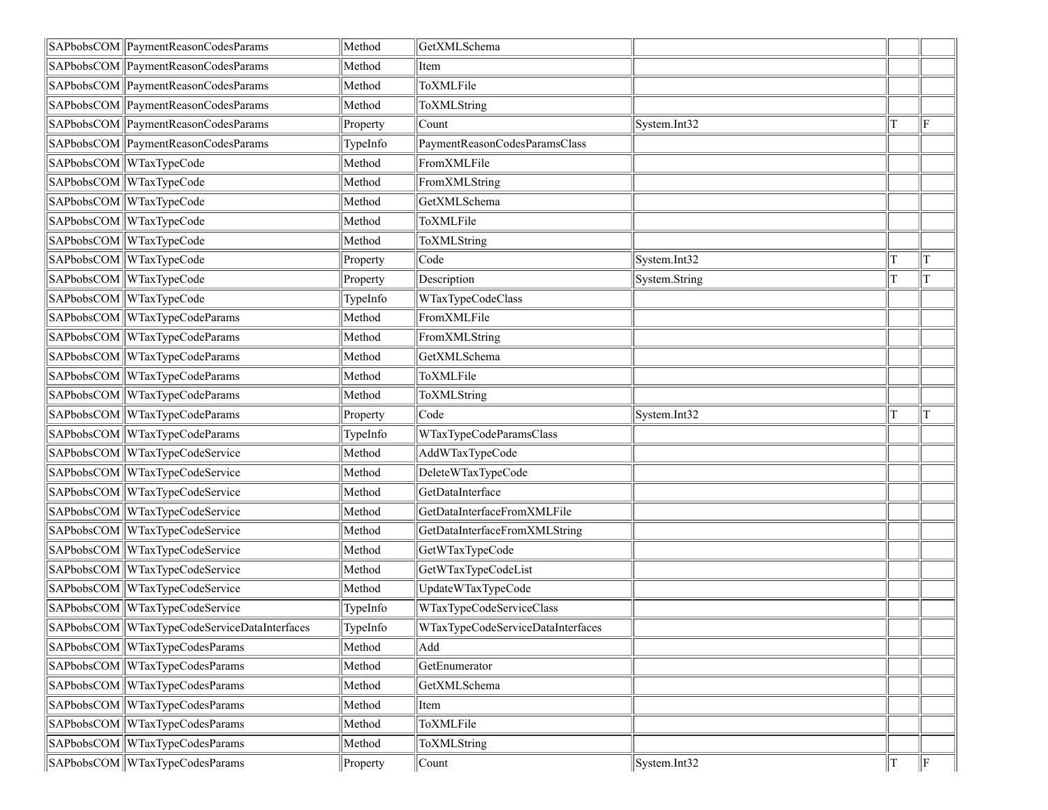| SAPbobsCOM PaymentReasonCodesParams          | Method   | GetXMLSchema                      |               |    |
|----------------------------------------------|----------|-----------------------------------|---------------|----|
| SAPbobsCOM PaymentReasonCodesParams          | Method   | Item                              |               |    |
| SAPbobsCOM PaymentReasonCodesParams          | Method   | ToXMLFile                         |               |    |
| SAPbobsCOM PaymentReasonCodesParams          | Method   | ToXMLString                       |               |    |
| SAPbobsCOM PaymentReasonCodesParams          | Property | Count                             | System.Int32  | ΙF |
| SAPbobsCOM PaymentReasonCodesParams          | TypeInfo | PaymentReasonCodesParamsClass     |               |    |
| SAPbobsCOM WTaxTypeCode                      | Method   | FromXMLFile                       |               |    |
| SAPbobsCOM WTaxTypeCode                      | Method   | FromXMLString                     |               |    |
| SAPbobsCOM WTaxTypeCode                      | Method   | GetXMLSchema                      |               |    |
| SAPbobsCOM WTaxTypeCode                      | Method   | ToXMLFile                         |               |    |
| SAPbobsCOM WTaxTypeCode                      | Method   | ToXMLString                       |               |    |
| SAPbobsCOM WTaxTypeCode                      | Property | Code                              | System.Int32  | T  |
| SAPbobsCOM WTaxTypeCode                      | Property | Description                       | System.String | T  |
| SAPbobsCOM WTaxTypeCode                      | TypeInfo | WTaxTypeCodeClass                 |               |    |
| SAPbobsCOM WTaxTypeCodeParams                | Method   | FromXMLFile                       |               |    |
| SAPbobsCOM WTaxTypeCodeParams                | Method   | FromXMLString                     |               |    |
| SAPbobsCOM WTaxTypeCodeParams                | Method   | GetXMLSchema                      |               |    |
| SAPbobsCOM WTaxTypeCodeParams                | Method   | ToXMLFile                         |               |    |
| SAPbobsCOM WTaxTypeCodeParams                | Method   | ToXMLString                       |               |    |
|                                              |          |                                   |               |    |
| SAPbobsCOM WTaxTypeCodeParams                | Property | Code                              | System.Int32  | T  |
| SAPbobsCOM WTaxTypeCodeParams                | TypeInfo | WTaxTypeCodeParamsClass           |               |    |
| SAPbobsCOM WTaxTypeCodeService               | Method   | AddWTaxTypeCode                   |               |    |
| SAPbobsCOM WTaxTypeCodeService               | Method   | DeleteWTaxTypeCode                |               |    |
| SAPbobsCOM WTaxTypeCodeService               | Method   | GetDataInterface                  |               |    |
| SAPbobsCOM WTaxTypeCodeService               | Method   | GetDataInterfaceFromXMLFile       |               |    |
| SAPbobsCOM WTaxTypeCodeService               | Method   | GetDataInterfaceFromXMLString     |               |    |
| SAPbobsCOM WTaxTypeCodeService               | Method   | GetWTaxTypeCode                   |               |    |
| SAPbobsCOM WTaxTypeCodeService               | Method   | GetWTaxTypeCodeList               |               |    |
| SAPbobsCOM WTaxTypeCodeService               | Method   | UpdateWTaxTypeCode                |               |    |
| SAPbobsCOM WTaxTypeCodeService               | TypeInfo | WTaxTypeCodeServiceClass          |               |    |
| SAPbobsCOM WTaxTypeCodeServiceDataInterfaces | TypeInfo | WTaxTypeCodeServiceDataInterfaces |               |    |
| SAPbobsCOM WTaxTypeCodesParams               | Method   | Add                               |               |    |
| SAPbobsCOM WTaxTypeCodesParams               | Method   | GetEnumerator                     |               |    |
| SAPbobsCOM WTaxTypeCodesParams               | Method   | GetXMLSchema                      |               |    |
| SAPbobsCOM WTaxTypeCodesParams               | Method   | Item                              |               |    |
| SAPbobsCOM WTaxTypeCodesParams               | Method   | ToXMLFile                         |               |    |
| SAPbobsCOM WTaxTypeCodesParams               | Method   | ToXMLString                       |               |    |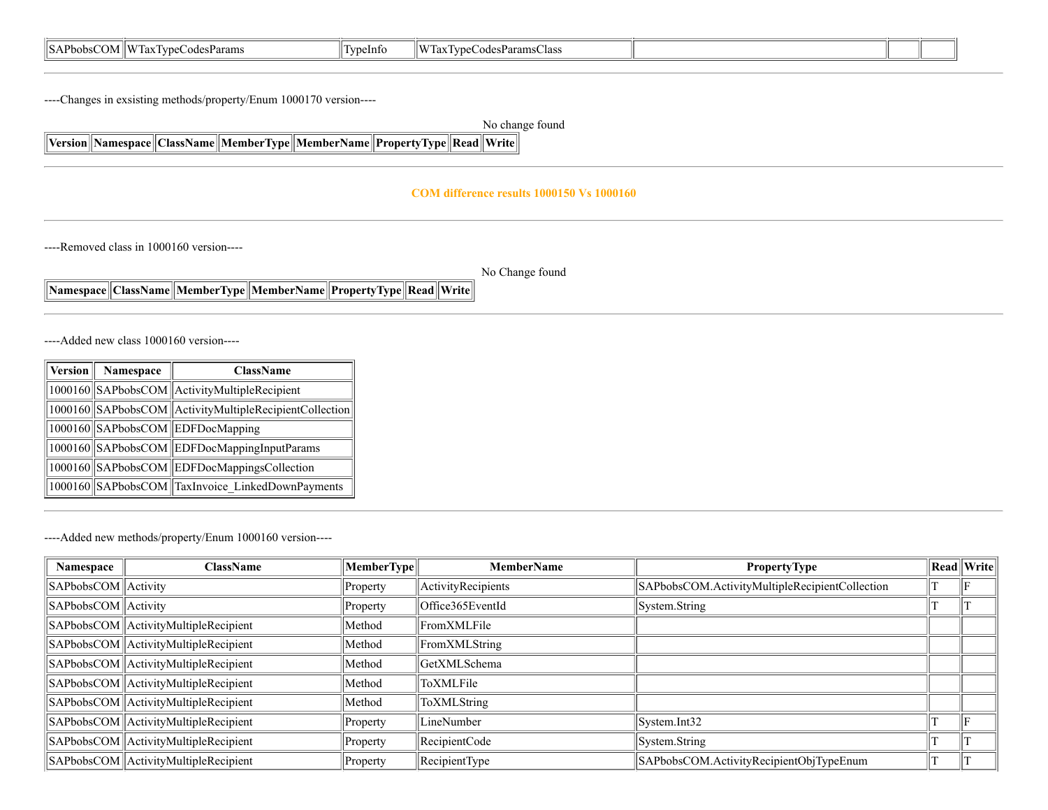| . .<br>OМ<br>$\mathbf{M}$<br>'Params<br>Phobs.<br>1ax<br>" vne.<br>odes<br>- -<br>. . | TypeInto | $\sim$<br>$\overline{I}$<br>$\mathbf{r}$<br>eCode<br><b>ParamsClass</b><br>יים ו<br>1ar<br>. v |  |  |
|---------------------------------------------------------------------------------------|----------|------------------------------------------------------------------------------------------------|--|--|
|                                                                                       |          |                                                                                                |  |  |

----Changes in exsisting methods/property/Enum 1000170 version----

No change found

**Version Namespace ClassName MemberType MemberName PropertyType Read Write**

#### **COM difference results 1000150 Vs 1000160**

----Removed class in 1000160 version----

No Change found

**Namespace ClassName MemberType MemberName PropertyType Read Write**

----Added new class 1000160 version----

| Version | Namespace | <b>ClassName</b>                                         |  |  |
|---------|-----------|----------------------------------------------------------|--|--|
|         |           | 1000160 SAPbobsCOM Activity Multiple Recipient           |  |  |
|         |           | 1000160 SAPbobsCOM Activity MultipleRecipient Collection |  |  |
|         |           | 1000160 SAPbobsCOM EDFDocMapping                         |  |  |
|         |           | 1000160 SAPbobsCOM EDFDocMappingInputParams              |  |  |
|         |           | 1000160 SAPbobsCOM EDFDocMappingsCollection              |  |  |
|         |           | 1000160 SAPbobsCOM TaxInvoice LinkedDownPayments         |  |  |

----Added new methods/property/Enum 1000160 version----

| Namespace                           | ClassName                            | MemberType    | <b>MemberName</b>  | <b>PropertyType</b>                            | $\ $ Read $\ $ Write $\ $ |
|-------------------------------------|--------------------------------------|---------------|--------------------|------------------------------------------------|---------------------------|
| $\ $ SAPbobsCOM $\ $ Activity       |                                      | Property      | ActivityRecipients | SAPbobsCOM.ActivityMultipleRecipientCollection |                           |
| $\vert$ SAPbobsCOM $\vert$ Activity |                                      | $\ $ Property | Office365EventId   | System.String                                  |                           |
|                                     | SAPbobsCOM ActivityMultipleRecipient | Method        | FromXMLFile        |                                                |                           |
|                                     | SAPbobsCOM ActivityMultipleRecipient | Method        | FromXMLString      |                                                |                           |
|                                     | SAPbobsCOM ActivityMultipleRecipient | Method        | GetXMLSchema       |                                                |                           |
|                                     | SAPbobsCOM ActivityMultipleRecipient | Method        | ToXMLFile          |                                                |                           |
|                                     | SAPbobsCOM ActivityMultipleRecipient | Method        | ToXMLString        |                                                |                           |
|                                     | SAPbobsCOM ActivityMultipleRecipient | Property      | LineNumber         | System.int32                                   |                           |
|                                     | SAPbobsCOM ActivityMultipleRecipient | Property      | RecipientCode      | System.String                                  |                           |
|                                     | SAPbobsCOM ActivityMultipleRecipient | Property      | RecipientType      | SAPbobsCOM.ActivityRecipientObjTypeEnum        |                           |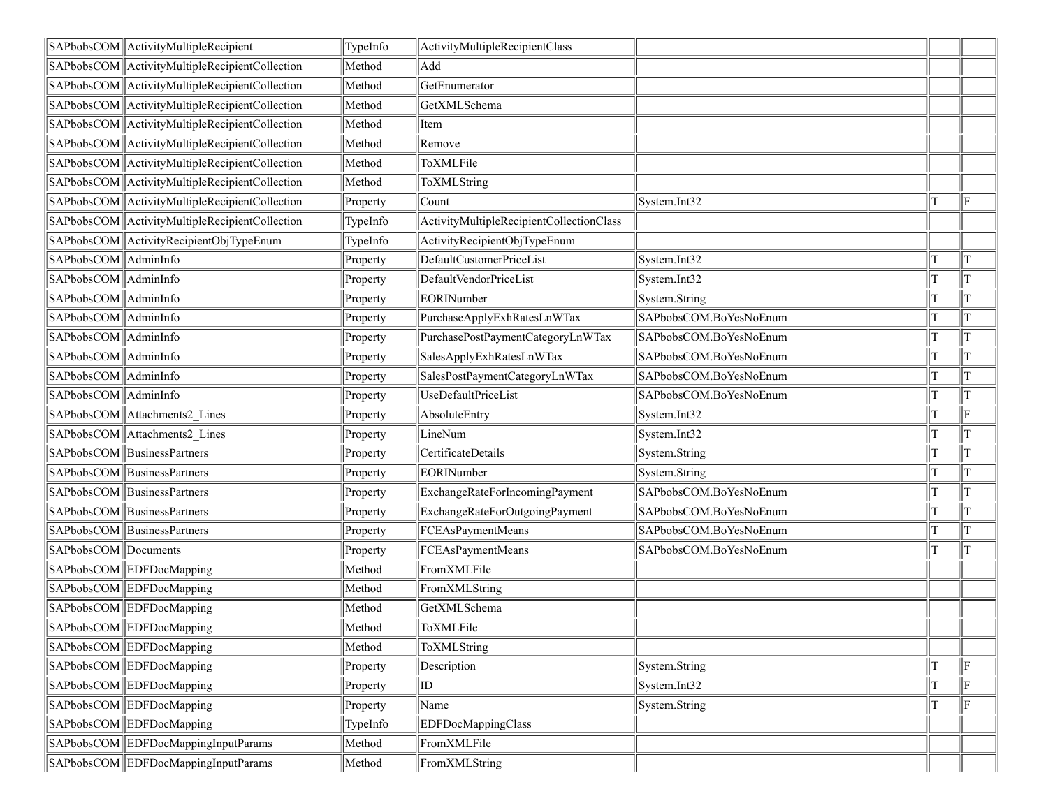|                      | SAPbobsCOM ActivityMultipleRecipient             | TypeInfo | ActivityMultipleRecipientClass           |                        |     |
|----------------------|--------------------------------------------------|----------|------------------------------------------|------------------------|-----|
|                      | SAPbobsCOM ActivityMultipleRecipientCollection   | Method   | Add                                      |                        |     |
|                      | SAPbobsCOM   ActivityMultipleRecipientCollection | Method   | GetEnumerator                            |                        |     |
|                      | SAPbobsCOM ActivityMultipleRecipientCollection   | Method   | GetXMLSchema                             |                        |     |
|                      | SAPbobsCOM ActivityMultipleRecipientCollection   | Method   | Item                                     |                        |     |
|                      | SAPbobsCOM ActivityMultipleRecipientCollection   | Method   | Remove                                   |                        |     |
|                      | SAPbobsCOM ActivityMultipleRecipientCollection   | Method   | ToXMLFile                                |                        |     |
|                      | SAPbobsCOM ActivityMultipleRecipientCollection   | Method   | ToXMLString                              |                        |     |
|                      | SAPbobsCOM ActivityMultipleRecipientCollection   | Property | Count                                    | System.Int32           | F   |
|                      | SAPbobsCOM ActivityMultipleRecipientCollection   | TypeInfo | ActivityMultipleRecipientCollectionClass |                        |     |
|                      | SAPbobsCOM ActivityRecipientObjTypeEnum          | TypeInfo | ActivityRecipientObjTypeEnum             |                        |     |
| SAPbobsCOM AdminInfo |                                                  | Property | DefaultCustomerPriceList                 | System.Int32           | IТ  |
| SAPbobsCOM AdminInfo |                                                  | Property | DefaultVendorPriceList                   | System.Int32           | IТ  |
| SAPbobsCOM AdminInfo |                                                  | Property | EORINumber                               | System.String          | IТ  |
| SAPbobsCOM AdminInfo |                                                  | Property | PurchaseApplyExhRatesLnWTax              | SAPbobsCOM.BoYesNoEnum | IТ  |
| SAPbobsCOM AdminInfo |                                                  | Property | PurchasePostPaymentCategoryLnWTax        | SAPbobsCOM.BoYesNoEnum | IТ  |
| SAPbobsCOM AdminInfo |                                                  | Property | SalesApplyExhRatesLnWTax                 | SAPbobsCOM.BoYesNoEnum | IТ  |
| SAPbobsCOM AdminInfo |                                                  | Property | SalesPostPaymentCategoryLnWTax           | SAPbobsCOM.BoYesNoEnum | IТ  |
| SAPbobsCOM AdminInfo |                                                  | Property | UseDefaultPriceList                      | SAPbobsCOM.BoYesNoEnum | T   |
|                      | SAPbobsCOM Attachments2 Lines                    | Property | AbsoluteEntry                            | System.Int32           | F   |
|                      | SAPbobsCOM Attachments2 Lines                    | Property | LineNum                                  | System.Int32           | IТ  |
|                      | SAPbobsCOM BusinessPartners                      | Property | CertificateDetails                       | System.String          | İΤ  |
|                      | SAPbobsCOM BusinessPartners                      | Property | EORINumber                               | System.String          | İТ  |
|                      | SAPbobsCOM BusinessPartners                      | Property | ExchangeRateForIncomingPayment           | SAPbobsCOM.BoYesNoEnum | IТ  |
|                      | SAPbobsCOM BusinessPartners                      | Property | ExchangeRateForOutgoingPayment           | SAPbobsCOM.BoYesNoEnum | IТ  |
|                      | SAPbobsCOM BusinessPartners                      | Property | FCEAsPaymentMeans                        | SAPbobsCOM.BoYesNoEnum | IТ  |
| SAPbobsCOM Documents |                                                  | Property | FCEAsPaymentMeans                        | SAPbobsCOM.BoYesNoEnum | IТ  |
|                      | SAPbobsCOM EDFDocMapping                         | Method   | FromXMLFile                              |                        |     |
|                      | SAPbobsCOM EDFDocMapping                         | Method   | FromXMLString                            |                        |     |
|                      | SAPbobsCOM EDFDocMapping                         | Method   | GetXMLSchema                             |                        |     |
|                      | SAPbobsCOM EDFDocMapping                         | Method   | ToXMLFile                                |                        |     |
|                      | SAPbobsCOM EDFDocMapping                         | Method   | ToXMLString                              |                        |     |
|                      | SAPbobsCOM EDFDocMapping                         | Property | Description                              | System.String          | F   |
|                      | SAPbobsCOM EDFDocMapping                         | Property | $ $ ID                                   | System.Int32           | lF. |
|                      | SAPbobsCOM EDFDocMapping                         | Property | Name                                     | System.String          | lF. |
|                      | SAPbobsCOM EDFDocMapping                         | TypeInfo | EDFDocMappingClass                       |                        |     |
|                      | SAPbobsCOM EDFDocMappingInputParams              | Method   | FromXMLFile                              |                        |     |
|                      | SAPbobsCOM EDFDocMappingInputParams              | Method   | FromXMLString                            |                        |     |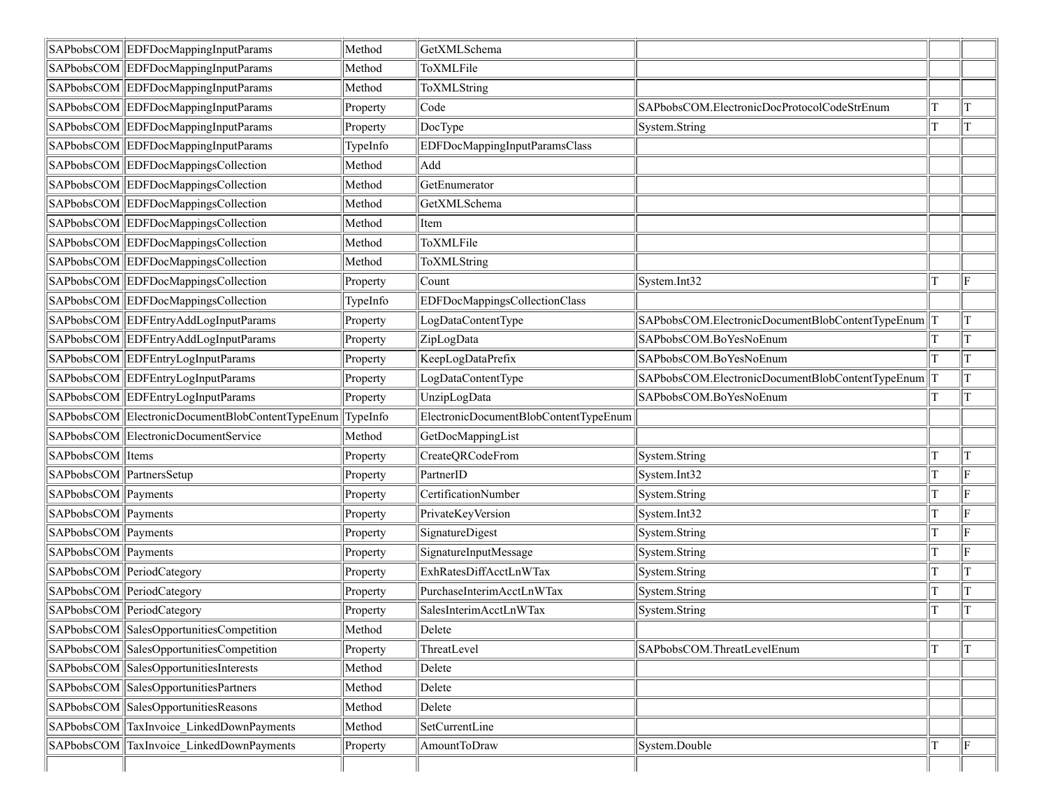|                          | SAPbobsCOM EDFDocMappingInputParams              | Method   | GetXMLSchema                          |                                                      |   |     |
|--------------------------|--------------------------------------------------|----------|---------------------------------------|------------------------------------------------------|---|-----|
|                          | SAPbobsCOM EDFDocMappingInputParams              | Method   | ToXMLFile                             |                                                      |   |     |
|                          | SAPbobsCOM EDFDocMappingInputParams              | Method   | ToXMLString                           |                                                      |   |     |
|                          | SAPbobsCOM EDFDocMappingInputParams              | Property | Code                                  | SAPbobsCOM.ElectronicDocProtocolCodeStrEnum          | т | T   |
|                          | SAPbobsCOM EDFDocMappingInputParams              | Property | DocType                               | System.String                                        |   | T   |
|                          | SAPbobsCOM EDFDocMappingInputParams              | TypeInfo | EDFDocMappingInputParamsClass         |                                                      |   |     |
|                          | SAPbobsCOM EDFDocMappingsCollection              | Method   | Add                                   |                                                      |   |     |
|                          | SAPbobsCOM EDFDocMappingsCollection              | Method   | GetEnumerator                         |                                                      |   |     |
|                          | SAPbobsCOM EDFDocMappingsCollection              | Method   | GetXMLSchema                          |                                                      |   |     |
|                          | SAPbobsCOM EDFDocMappingsCollection              | Method   | Item                                  |                                                      |   |     |
|                          | SAPbobsCOM EDFDocMappingsCollection              | Method   | ToXMLFile                             |                                                      |   |     |
|                          | SAPbobsCOM EDFDocMappingsCollection              | Method   | ToXMLString                           |                                                      |   |     |
|                          | SAPbobsCOM EDFDocMappingsCollection              | Property | Count                                 | System.Int32                                         |   | lF. |
|                          | SAPbobsCOM EDFDocMappingsCollection              | TypeInfo | EDFDocMappingsCollectionClass         |                                                      |   |     |
|                          | SAPbobsCOM EDFEntryAddLogInputParams             | Property | LogDataContentType                    | SAPbobsCOM.ElectronicDocumentBlobContentTypeEnum   T |   | T   |
|                          | SAPbobsCOM EDFEntryAddLogInputParams             | Property | ZipLogData                            | SAPbobsCOM.BoYesNoEnum                               |   | T   |
|                          | SAPbobsCOM EDFEntryLogInputParams                | Property | KeepLogDataPrefix                     | SAPbobsCOM.BoYesNoEnum                               |   | T   |
|                          | SAPbobsCOM EDFEntryLogInputParams                | Property | LogDataContentType                    | SAPbobsCOM.ElectronicDocumentBlobContentTypeEnum     |   |     |
|                          | SAPbobsCOM EDFEntryLogInputParams                | Property | UnzipLogData                          | SAPbobsCOM.BoYesNoEnum                               |   | T   |
|                          | SAPbobsCOM ElectronicDocumentBlobContentTypeEnum | TypeInfo | ElectronicDocumentBlobContentTypeEnum |                                                      |   |     |
|                          | SAPbobsCOM ElectronicDocumentService             | Method   | GetDocMappingList                     |                                                      |   |     |
| SAPbobsCOM Items         |                                                  | Property | CreateQRCodeFrom                      | System.String                                        |   | T   |
| SAPbobsCOM PartnersSetup |                                                  | Property | PartnerID                             | System.Int32                                         |   | lF  |
| SAPbobsCOM Payments      |                                                  | Property | CertificationNumber                   | System.String                                        |   | ΙF  |
| SAPbobsCOM Payments      |                                                  | Property | PrivateKeyVersion                     | System.Int32                                         |   | ΙF  |
| SAPbobsCOM Payments      |                                                  | Property | SignatureDigest                       | System.String                                        |   | ΙF  |
| SAPbobsCOM Payments      |                                                  | Property | SignatureInputMessage                 | System.String                                        |   | ΙF  |
|                          | SAPbobsCOM PeriodCategory                        | Property | ExhRatesDiffAcctLnWTax                | System.String                                        |   | T   |
|                          | SAPbobsCOM PeriodCategory                        | Property | PurchaseInterimAcctLnWTax             | System.String                                        |   | T   |
|                          | SAPbobsCOM PeriodCategory                        | Property | SalesInterimAcctLnWTax                | System.String                                        | т | T   |
|                          | SAPbobsCOM SalesOpportunitiesCompetition         | Method   | Delete                                |                                                      |   |     |
|                          | SAPbobsCOM SalesOpportunitiesCompetition         | Property | ThreatLevel                           | SAPbobsCOM.ThreatLevelEnum                           | T | T   |
|                          | SAPbobsCOM SalesOpportunitiesInterests           | Method   | Delete                                |                                                      |   |     |
|                          | SAPbobsCOM SalesOpportunitiesPartners            | Method   | Delete                                |                                                      |   |     |
|                          | SAPbobsCOM SalesOpportunitiesReasons             | Method   | Delete                                |                                                      |   |     |
|                          | SAPbobsCOM TaxInvoice LinkedDownPayments         | Method   | SetCurrentLine                        |                                                      |   |     |
| SAPbobsCOM               | TaxInvoice LinkedDownPayments                    | Property | AmountToDraw                          | System.Double                                        |   | F   |
|                          |                                                  |          |                                       |                                                      |   |     |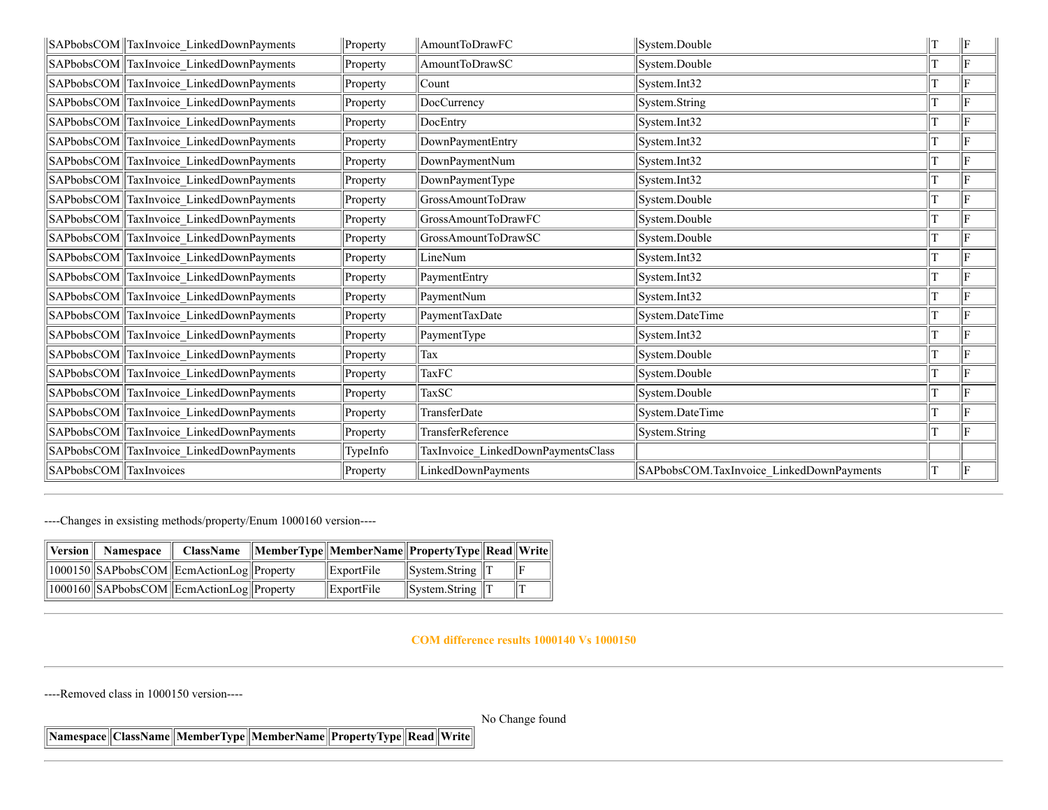|                        | SAPbobsCOM TaxInvoice LinkedDownPayments | Property | AmountToDrawFC                     | System.Double                            | IТ | ΙF |
|------------------------|------------------------------------------|----------|------------------------------------|------------------------------------------|----|----|
|                        | SAPbobsCOM TaxInvoice_LinkedDownPayments | Property | AmountToDrawSC                     | System.Double                            |    | F  |
|                        | SAPbobsCOM TaxInvoice LinkedDownPayments | Property | Count                              | System.Int32                             |    | ΙF |
|                        | SAPbobsCOM TaxInvoice_LinkedDownPayments | Property | DocCurrency                        | System.String                            |    | ΙF |
| SAPbobsCOM             | TaxInvoice LinkedDownPayments            | Property | DocEntry                           | System.Int32                             |    | ΙF |
|                        | SAPbobsCOM TaxInvoice LinkedDownPayments | Property | DownPaymentEntry                   | System.Int32                             |    | lF |
|                        | SAPbobsCOM TaxInvoice_LinkedDownPayments | Property | DownPaymentNum                     | System.Int32                             |    | ΙF |
|                        | SAPbobsCOM TaxInvoice LinkedDownPayments | Property | DownPaymentType                    | System.Int32                             |    | ΙF |
|                        | SAPbobsCOM TaxInvoice_LinkedDownPayments | Property | GrossAmountToDraw                  | System.Double                            |    | ΙF |
|                        | SAPbobsCOM TaxInvoice_LinkedDownPayments | Property | GrossAmountToDrawFC                | System.Double                            |    | F  |
|                        | SAPbobsCOM TaxInvoice LinkedDownPayments | Property | GrossAmountToDrawSC                | System.Double                            |    | ΙF |
|                        | SAPbobsCOM TaxInvoice LinkedDownPayments | Property | LineNum                            | System.Int32                             |    | lF |
|                        | SAPbobsCOM TaxInvoice LinkedDownPayments | Property | PaymentEntry                       | System.Int32                             |    | ΙF |
|                        | SAPbobsCOM TaxInvoice_LinkedDownPayments | Property | PaymentNum                         | System.Int32                             |    | ΙF |
|                        | SAPbobsCOM TaxInvoice LinkedDownPayments | Property | PaymentTaxDate                     | System.DateTime                          |    | ΙF |
|                        | SAPbobsCOM TaxInvoice LinkedDownPayments | Property | PaymentType                        | System.Int32                             |    | ΙF |
|                        | SAPbobsCOM TaxInvoice LinkedDownPayments | Property | Tax                                | System.Double                            |    | lF |
|                        | SAPbobsCOM TaxInvoice LinkedDownPayments | Property | <b>TaxFC</b>                       | System.Double                            |    | lE |
|                        | SAPbobsCOM TaxInvoice LinkedDownPayments | Property | <b>TaxSC</b>                       | System.Double                            |    | lF |
|                        | SAPbobsCOM TaxInvoice LinkedDownPayments | Property | TransferDate                       | System.DateTime                          |    | lF |
|                        | SAPbobsCOM TaxInvoice_LinkedDownPayments | Property | TransferReference                  | System.String                            |    | lF |
|                        | SAPbobsCOM TaxInvoice LinkedDownPayments | TypeInfo | TaxInvoice_LinkedDownPaymentsClass |                                          |    |    |
| SAPbobsCOM TaxInvoices |                                          | Property | LinkedDownPayments                 | SAPbobsCOM.TaxInvoice LinkedDownPayments |    | ΙF |

----Changes in exsisting methods/property/Enum 1000160 version----

| Version | <b>Namespace</b> |                                           | ClassName   MemberType  MemberName  PropertyType  Read  Write |                                         |  |
|---------|------------------|-------------------------------------------|---------------------------------------------------------------|-----------------------------------------|--|
|         |                  | 1000150 SAPbobsCOM EcmAction Log Property | $ $ ExportFile                                                | $\parallel$ Svstem.String $\parallel$ T |  |
|         |                  | 1000160 SAPbobsCOM EcmAction Log Property | $ $ ExportFile                                                | $\parallel$ System.String $\parallel$ T |  |

**COM difference results 1000140 Vs 1000150**

----Removed class in 1000150 version----

No Change found

**Namespace ClassName MemberType MemberName PropertyType Read Write**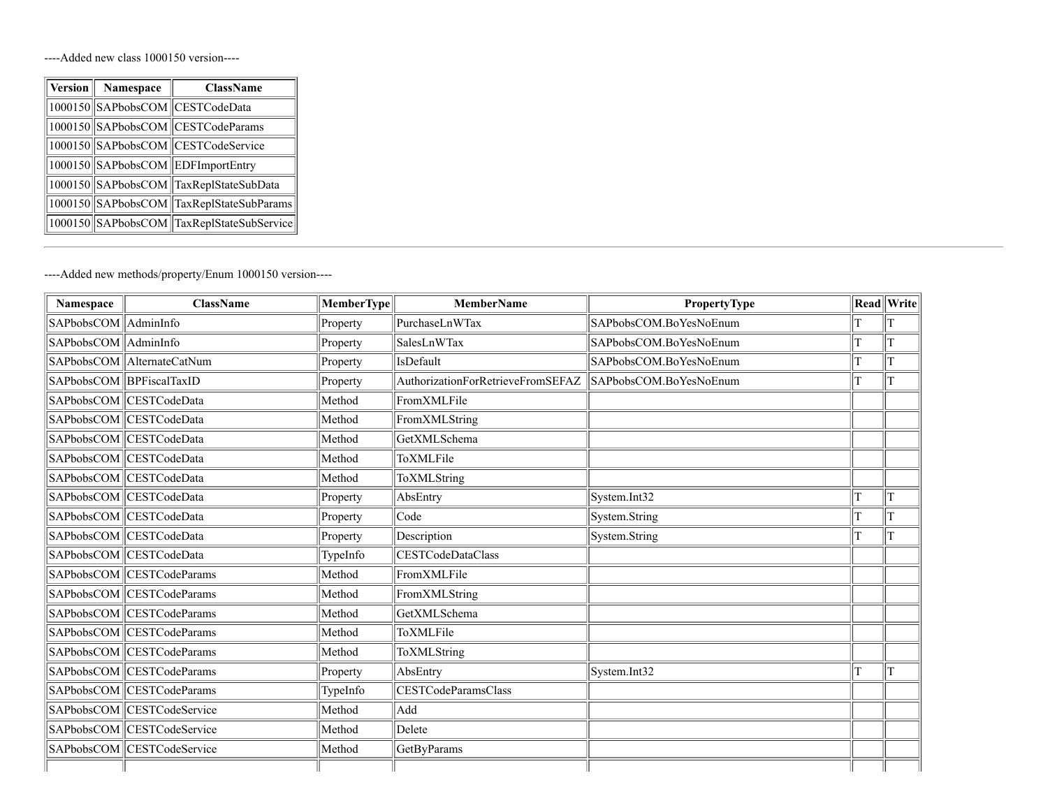----Added new class 1000150 version----

| $ $ Version $ $ | Namespace | <b>ClassName</b>                          |
|-----------------|-----------|-------------------------------------------|
|                 |           | 1000150 SAPbobsCOM CESTCodeData           |
|                 |           | 1000150 SAPbobsCOM CESTCodeParams         |
|                 |           | 1000150 SAPbobsCOM CESTCodeService        |
|                 |           | 1000150 SAPbobsCOM EDFImportEntry         |
|                 |           | 1000150  SAPbobsCOM  TaxReplStateSubData  |
|                 |           | 1000150 SAPbobsCOM TaxReplStateSubParams  |
|                 |           | 1000150 SAPbobsCOM TaxReplStateSubService |

----Added new methods/property/Enum 1000150 version----

| Namespace                  | <b>ClassName</b>             | MemberType | <b>MemberName</b>                 | <b>PropertyType</b>    |   | <b>Read</b> Write |
|----------------------------|------------------------------|------------|-----------------------------------|------------------------|---|-------------------|
| $ $ SAPbobsCOM $ $         | AdminInfo                    | Property   | PurchaseLnWTax                    | SAPbobsCOM.BoYesNoEnum |   |                   |
| SAPbobsCOM AdminInfo       |                              | Property   | SalesLnWTax                       | SAPbobsCOM.BoYesNoEnum |   | T                 |
|                            | SAPbobsCOM   AlternateCatNum | Property   | IsDefault                         | SAPbobsCOM.BoYesNoEnum |   | T                 |
| SAPbobsCOM   BPFiscalTaxID |                              | Property   | AuthorizationForRetrieveFromSEFAZ | SAPbobsCOM.BoYesNoEnum |   | T                 |
|                            | SAPbobsCOM  CESTCodeData     | Method     | FromXMLFile                       |                        |   |                   |
|                            | SAPbobsCOM  CESTCodeData     | Method     | FromXMLString                     |                        |   |                   |
|                            | SAPbobsCOM CESTCodeData      | Method     | GetXMLSchema                      |                        |   |                   |
|                            | SAPbobsCOM CESTCodeData      | Method     | ToXMLFile                         |                        |   |                   |
|                            | SAPbobsCOM CESTCodeData      | Method     | ToXMLString                       |                        |   |                   |
|                            | SAPbobsCOM  CESTCodeData     | Property   | AbsEntry                          | System.Int32           |   | T                 |
|                            | SAPbobsCOM CESTCodeData      | Property   | Code                              | System.String          |   | T                 |
|                            | SAPbobsCOM CESTCodeData      | Property   | Description                       | System.String          |   | T                 |
|                            | SAPbobsCOM CESTCodeData      | TypeInfo   | CESTCodeDataClass                 |                        |   |                   |
|                            | SAPbobsCOM CESTCodeParams    | Method     | FromXMLFile                       |                        |   |                   |
|                            | SAPbobsCOM CESTCodeParams    | Method     | FromXMLString                     |                        |   |                   |
|                            | SAPbobsCOM CESTCodeParams    | Method     | GetXMLSchema                      |                        |   |                   |
|                            | SAPbobsCOM CESTCodeParams    | Method     | ToXMLFile                         |                        |   |                   |
|                            | SAPbobsCOM CESTCodeParams    | Method     | ToXMLString                       |                        |   |                   |
|                            | SAPbobsCOM CESTCodeParams    | Property   | AbsEntry                          | System.Int32           | T | T                 |
|                            | SAPbobsCOM CESTCodeParams    | TypeInfo   | CESTCodeParamsClass               |                        |   |                   |
|                            | SAPbobsCOM CESTCodeService   | Method     | Add                               |                        |   |                   |
|                            | SAPbobsCOM CESTCodeService   | Method     | Delete                            |                        |   |                   |
|                            | SAPbobsCOM CESTCodeService   | Method     | GetByParams                       |                        |   |                   |
|                            |                              |            |                                   |                        |   |                   |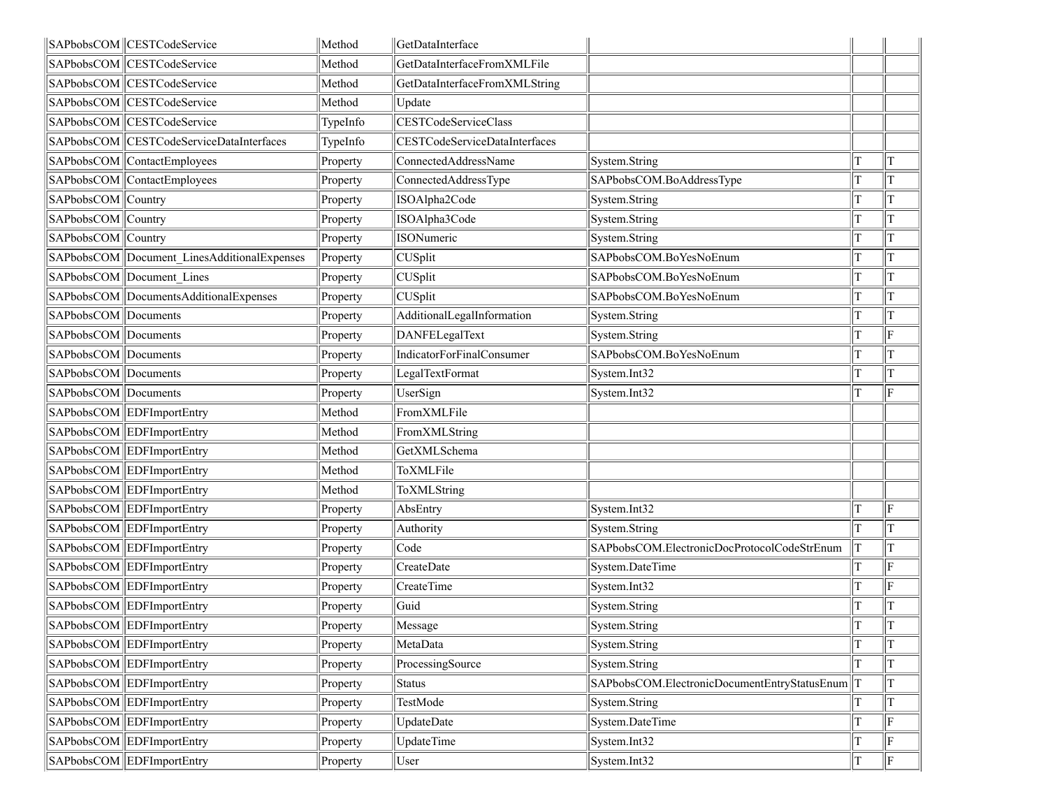|                      | SAPbobsCOM CESTCodeService                  | Method   | GetDataInterface                     |                                                  |    |             |
|----------------------|---------------------------------------------|----------|--------------------------------------|--------------------------------------------------|----|-------------|
|                      | SAPbobsCOM CESTCodeService                  | Method   | GetDataInterfaceFromXMLFile          |                                                  |    |             |
|                      | SAPbobsCOM CESTCodeService                  | Method   | GetDataInterfaceFromXMLString        |                                                  |    |             |
|                      | SAPbobsCOM CESTCodeService                  | Method   | Update                               |                                                  |    |             |
|                      | SAPbobsCOM CESTCodeService                  | TypeInfo | CESTCodeServiceClass                 |                                                  |    |             |
|                      | SAPbobsCOM CESTCodeServiceDataInterfaces    | TypeInfo | <b>CESTCodeServiceDataInterfaces</b> |                                                  |    |             |
|                      | SAPbobsCOM ContactEmployees                 | Property | ConnectedAddressName                 | System.String                                    | T  | lΤ          |
|                      | SAPbobsCOM ContactEmployees                 | Property | ConnectedAddressType                 | SAPbobsCOM.BoAddressType                         | lΤ | T           |
| SAPbobsCOM Country   |                                             | Property | ISOAlpha2Code                        | System.String                                    | T  | T           |
| SAPbobsCOM Country   |                                             | Property | ISOAlpha3Code                        | System.String                                    |    | T           |
| SAPbobsCOM Country   |                                             | Property | ISONumeric                           | System.String                                    | T  | $\mathbf T$ |
|                      | SAPbobsCOM Document LinesAdditionalExpenses | Property | CUSplit                              | SAPbobsCOM.BoYesNoEnum                           | T  | T           |
|                      | SAPbobsCOM Document Lines                   | Property | CUSplit                              | SAPbobsCOM.BoYesNoEnum                           | T  | T           |
|                      | SAPbobsCOM DocumentsAdditionalExpenses      | Property | CUSplit                              | SAPbobsCOM.BoYesNoEnum                           | T  | T           |
| SAPbobsCOM Documents |                                             | Property | AdditionalLegalInformation           | System.String                                    | T  | T           |
| SAPbobsCOM Documents |                                             | Property | DANFELegalText                       | System.String                                    | T  | F           |
| SAPbobsCOM Documents |                                             | Property | IndicatorForFinalConsumer            | SAPbobsCOM.BoYesNoEnum                           | T  | T           |
| SAPbobsCOM Documents |                                             | Property | LegalTextFormat                      | System.Int32                                     | T  | T           |
| SAPbobsCOM Documents |                                             | Property | UserSign                             | System.Int32                                     |    | F           |
|                      | SAPbobsCOM EDFImportEntry                   | Method   | FromXMLFile                          |                                                  |    |             |
|                      | SAPbobsCOM EDFImportEntry                   | Method   | FromXMLString                        |                                                  |    |             |
|                      | SAPbobsCOM EDFImportEntry                   | Method   | GetXMLSchema                         |                                                  |    |             |
|                      | SAPbobsCOM EDFImportEntry                   | Method   | ToXMLFile                            |                                                  |    |             |
|                      | SAPbobsCOM EDFImportEntry                   | Method   | ToXMLString                          |                                                  |    |             |
|                      | SAPbobsCOM EDFImportEntry                   | Property | AbsEntry                             | System.Int32                                     | T  | F           |
|                      | SAPbobsCOM EDFImportEntry                   | Property | Authority                            | System.String                                    | T  | lΤ          |
|                      | SAPbobsCOM EDFImportEntry                   | Property | Code                                 | SAPbobsCOM.ElectronicDocProtocolCodeStrEnum      | T  | $\mathbf T$ |
|                      | SAPbobsCOM EDFImportEntry                   | Property | CreateDate                           | System.DateTime                                  |    | F           |
|                      | SAPbobsCOM EDFImportEntry                   | Property | <b>CreateTime</b>                    | System.Int32                                     | T  | F           |
|                      | SAPbobsCOM EDFImportEntry                   | Property | Guid                                 | System.String                                    | T  | T           |
|                      | SAPbobsCOM EDFImportEntry                   | Property | Message                              | System.String                                    | T  | T           |
|                      | SAPbobsCOM EDFImportEntry                   | Property | MetaData                             | System.String                                    |    | $\rm T$     |
|                      | SAPbobsCOM EDFImportEntry                   | Property | ProcessingSource                     | System.String                                    |    | T           |
|                      | SAPbobsCOM EDFImportEntry                   | Property | Status                               | SAPbobsCOM.ElectronicDocumentEntryStatusEnum   T |    | T           |
|                      | SAPbobsCOM EDFImportEntry                   | Property | TestMode                             | System.String                                    |    | T           |
|                      | SAPbobsCOM EDFImportEntry                   | Property | UpdateDate                           | System.DateTime                                  | T  | F           |
|                      | SAPbobsCOM EDFImportEntry                   | Property | UpdateTime                           | System.Int32                                     |    | F           |
|                      | SAPbobsCOM EDFImportEntry                   | Property | User                                 | System.Int32                                     | T  | F           |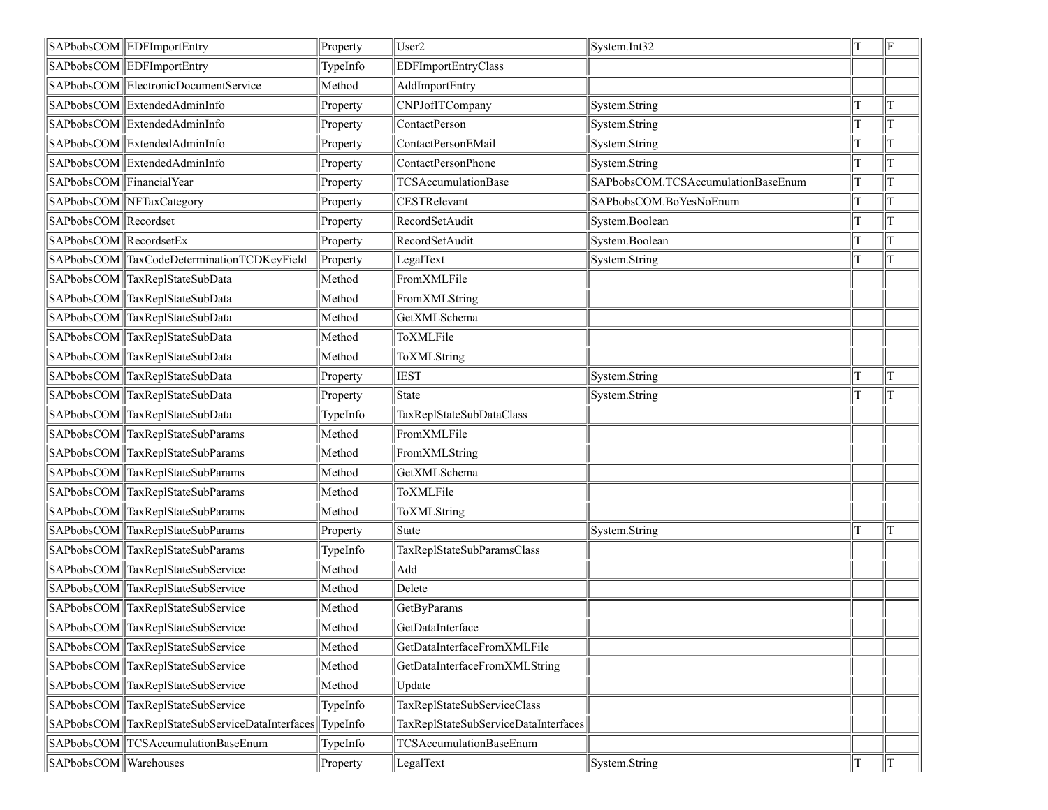|                          | SAPbobsCOM EDFImportEntry                       | Property | User <sub>2</sub>                    | System.Int32                       | lΤ | F  |
|--------------------------|-------------------------------------------------|----------|--------------------------------------|------------------------------------|----|----|
|                          | SAPbobsCOM EDFImportEntry                       | TypeInfo | EDFImportEntryClass                  |                                    |    |    |
|                          | SAPbobsCOM ElectronicDocumentService            | Method   | AddImportEntry                       |                                    |    |    |
|                          | SAPbobsCOM ExtendedAdminInfo                    | Property | CNPJofITCompany                      | System.String                      | T  | T  |
|                          | SAPbobsCOM ExtendedAdminInfo                    | Property | ContactPerson                        | System.String                      |    | T  |
|                          | SAPbobsCOM ExtendedAdminInfo                    | Property | ContactPersonEMail                   | System.String                      | T  | T  |
|                          | SAPbobsCOM ExtendedAdminInfo                    | Property | ContactPersonPhone                   | System.String                      | T  | T  |
| SAPbobsCOM FinancialYear |                                                 | Property | <b>TCSAccumulationBase</b>           | SAPbobsCOM.TCSAccumulationBaseEnum | T  | T  |
|                          | SAPbobsCOM NFTaxCategory                        | Property | CESTRelevant                         | SAPbobsCOM.BoYesNoEnum             | T  | T  |
| SAPbobsCOM Recordset     |                                                 | Property | RecordSetAudit                       | System.Boolean                     | T  | T  |
| SAPbobsCOM RecordsetEx   |                                                 | Property | RecordSetAudit                       | System.Boolean                     | T  | T  |
|                          | SAPbobsCOM TaxCodeDeterminationTCDKeyField      | Property | LegalText                            | System.String                      |    | T  |
|                          | SAPbobsCOM TaxReplStateSubData                  | Method   | FromXMLFile                          |                                    |    |    |
|                          | SAPbobsCOM TaxReplStateSubData                  | Method   | FromXMLString                        |                                    |    |    |
|                          | SAPbobsCOM TaxReplStateSubData                  | Method   | GetXMLSchema                         |                                    |    |    |
|                          | SAPbobsCOM TaxReplStateSubData                  | Method   | ToXMLFile                            |                                    |    |    |
|                          | SAPbobsCOM TaxReplStateSubData                  | Method   | ToXMLString                          |                                    |    |    |
|                          | SAPbobsCOM TaxReplStateSubData                  | Property | <b>IEST</b>                          | System.String                      | T  | lΤ |
|                          | SAPbobsCOM TaxReplStateSubData                  | Property | State                                | System.String                      | T  | T  |
|                          | SAPbobsCOM TaxReplStateSubData                  | TypeInfo | TaxReplStateSubDataClass             |                                    |    |    |
|                          | SAPbobsCOM TaxReplStateSubParams                | Method   | FromXMLFile                          |                                    |    |    |
|                          | SAPbobsCOM TaxReplStateSubParams                | Method   | FromXMLString                        |                                    |    |    |
|                          | SAPbobsCOM TaxReplStateSubParams                | Method   | GetXMLSchema                         |                                    |    |    |
|                          | SAPbobsCOM TaxReplStateSubParams                | Method   | ToXMLFile                            |                                    |    |    |
|                          | SAPbobsCOM TaxReplStateSubParams                | Method   | ToXMLString                          |                                    |    |    |
|                          | SAPbobsCOM TaxReplStateSubParams                | Property | State                                | System.String                      | T  | lΤ |
|                          | SAPbobsCOM TaxReplStateSubParams                | TypeInfo | TaxReplStateSubParamsClass           |                                    |    |    |
|                          | SAPbobsCOM TaxReplStateSubService               | Method   | Add                                  |                                    |    |    |
|                          | SAPbobsCOM TaxReplStateSubService               | Method   | Delete                               |                                    |    |    |
|                          | SAPbobsCOM TaxReplStateSubService               | Method   | <b>GetByParams</b>                   |                                    |    |    |
|                          | SAPbobsCOM TaxReplStateSubService               | Method   | GetDataInterface                     |                                    |    |    |
|                          | SAPbobsCOM TaxReplStateSubService               | Method   | GetDataInterfaceFromXMLFile          |                                    |    |    |
|                          | SAPbobsCOM TaxReplStateSubService               | Method   | GetDataInterfaceFromXMLString        |                                    |    |    |
|                          | SAPbobsCOM TaxReplStateSubService               | Method   | Update                               |                                    |    |    |
|                          | SAPbobsCOM TaxReplStateSubService               | TypeInfo | TaxReplStateSubServiceClass          |                                    |    |    |
|                          | SAPbobsCOM TaxReplStateSubServiceDataInterfaces | TypeInfo | TaxReplStateSubServiceDataInterfaces |                                    |    |    |
|                          | SAPbobsCOM TCSAccumulationBaseEnum              | TypeInfo | <b>TCSAccumulationBaseEnum</b>       |                                    |    |    |
| SAPbobsCOM Warehouses    |                                                 | Property | LegalText                            | System.String                      | T  | T  |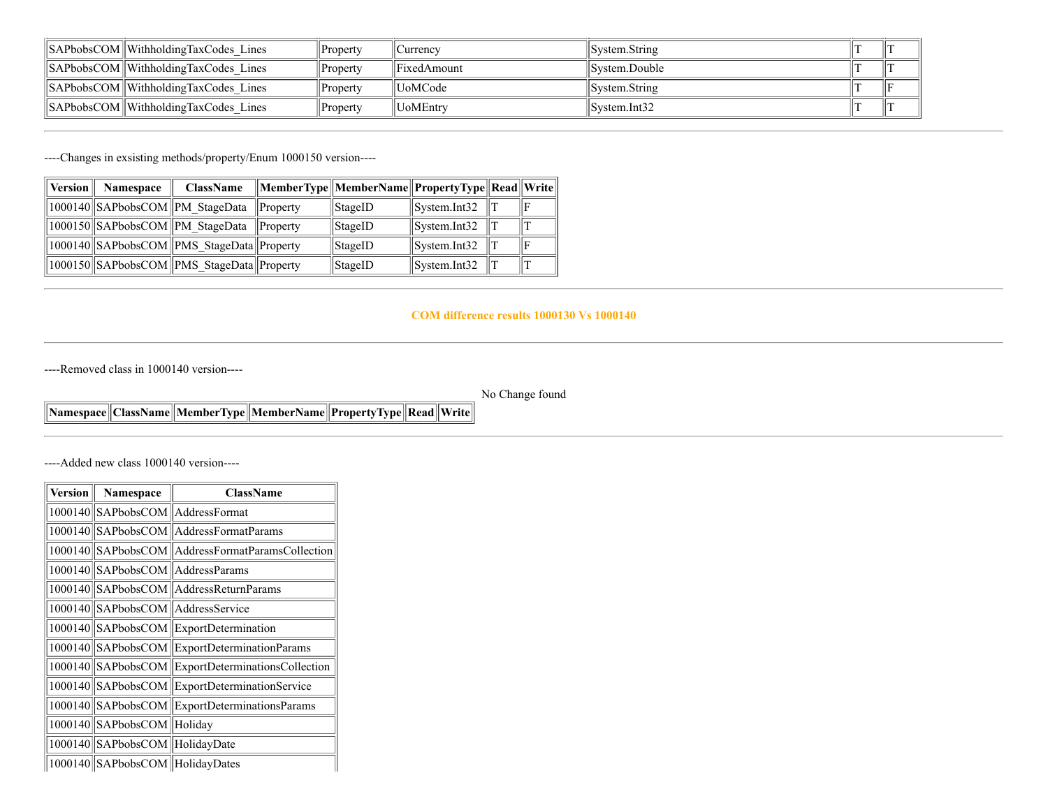| $\ \$ SAPbobsCOM $\ \$ WithholdingTaxCodes Lines | Property | Jurrency    | System.String |  |
|--------------------------------------------------|----------|-------------|---------------|--|
| <b>SAPbobsCOM</b> Withholding TaxCodes Lines     | Property | FixedAmount | Svstem.Double |  |
| <b>SAPbobsCOM</b> Withholding TaxCodes Lines     | Property | ∥UoMCode    | System.String |  |
| $\ \$ SAPbobsCOM $\ \$ WithholdingTaxCodes Lines | Property | UoMEntry    | Svstem.Int32  |  |

----Changes in exsisting methods/property/Enum 1000150 version----

| Version | <b>Namespace</b> | <b>ClassName</b>                          |               | MemberType  MemberName  PropertyType  Read  Write |                                |  |
|---------|------------------|-------------------------------------------|---------------|---------------------------------------------------|--------------------------------|--|
|         |                  | 1000140 SAPbobsCOM PM StageData           | $\ $ Property | $\parallel$ StageID                               | $\sqrt{\text{System}}$ . Int32 |  |
|         |                  | 1000150 SAPbobsCOM PM StageData           | $\ $ Property | $\parallel$ StageID                               | $\sqrt{\text{System}}$ . Int32 |  |
|         |                  | 1000140 SAPbobsCOM PMS StageData Property |               | $\parallel$ StageID                               | $\sqrt{\text{System}}$ . Int32 |  |
|         |                  | 1000150 SAPbobsCOM PMS StageData Property |               | $\parallel$ StageID                               | System.Int32                   |  |

#### **COM difference results 1000130 Vs 1000140**

----Removed class in 1000140 version----

No Change found

### **Namespace ClassName MemberType MemberName PropertyType Read Write**

----Added new class 1000140 version----

| Version | Namespace                         | <b>ClassName</b>                                  |
|---------|-----------------------------------|---------------------------------------------------|
|         | 1000140 SAPbobsCOM AddressFormat  |                                                   |
|         |                                   | 1000140 SAPbobsCOM AddressFormatParams            |
|         |                                   | 1000140 SAPbobsCOM AddressFormatParamsCollection  |
|         |                                   | 1000140 SAPbobsCOM AddressParams                  |
|         |                                   | 1000140 SAPbobsCOM Address Return Params          |
|         |                                   | 1000140 SAPbobsCOM Address Service                |
|         |                                   | 1000140 SAPbobsCOM ExportDetermination            |
|         |                                   | 1000140 SAPbobsCOM ExportDeterminationParams      |
|         |                                   | 1000140 SAPbobsCOM ExportDeterminationsCollection |
|         |                                   | 1000140 SAPbobsCOM ExportDeterminationService     |
|         |                                   | 1000140 SAPbobsCOM ExportDeterminationsParams     |
|         | 1000140 SAPbobsCOM Holiday        |                                                   |
|         | 1000140 SAPbobsCOM HolidayDate    |                                                   |
|         | 1000140  SAPbobsCOM  HolidayDates |                                                   |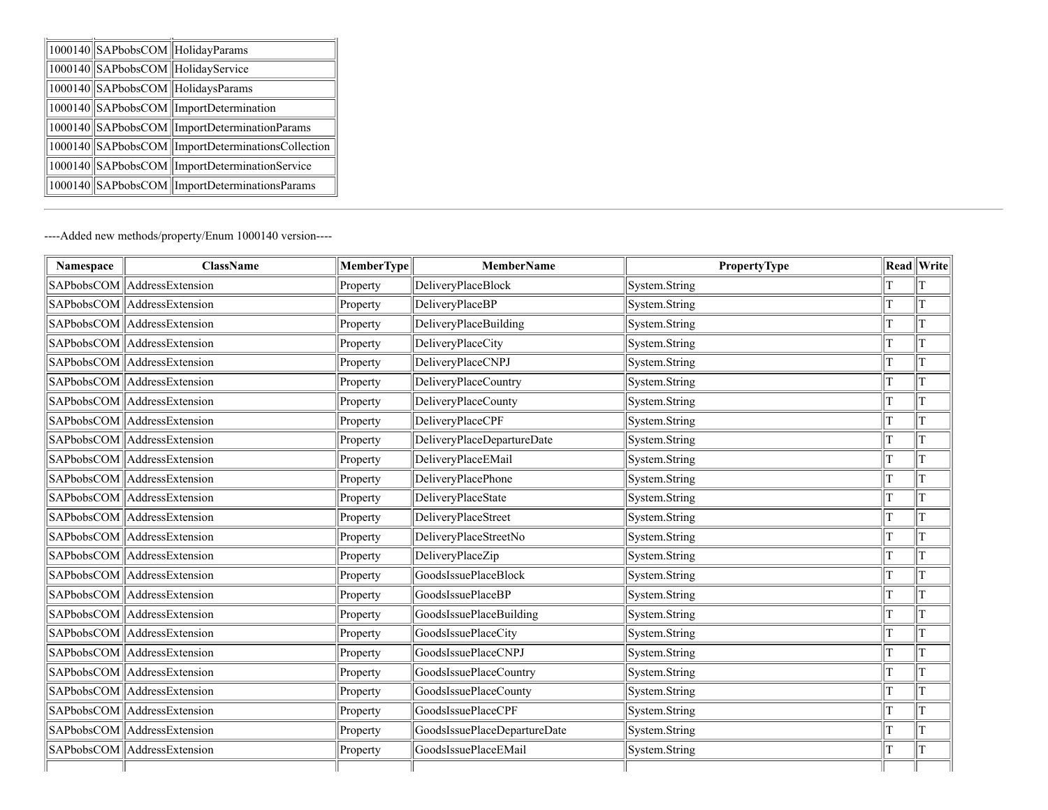| 1000140  SAPbobsCOM  HolidayParams |                                                   |
|------------------------------------|---------------------------------------------------|
| 1000140 SAPbobsCOM HolidayService  |                                                   |
|                                    | 1000140 SAPbobsCOM HolidaysParams                 |
|                                    | 1000140 SAPbobsCOM ImportDetermination            |
|                                    | 1000140 SAPbobsCOM ImportDeterminationParams      |
|                                    | 1000140 SAPbobsCOM ImportDeterminationsCollection |
|                                    | 1000140 SAPbobsCOM ImportDeterminationService     |
|                                    | 1000140 SAPbobsCOM ImportDeterminationsParams     |

----Added new methods/property/Enum 1000140 version----

| Namespace | <b>ClassName</b>            | MemberType | <b>MemberName</b>            | <b>PropertyType</b> |   | Read Write     |
|-----------|-----------------------------|------------|------------------------------|---------------------|---|----------------|
|           | SAPbobsCOM AddressExtension | Property   | DeliveryPlaceBlock           | System.String       |   | T              |
|           | SAPbobsCOM AddressExtension | Property   | DeliveryPlaceBP              | System.String       | T | $\mathbf T$    |
|           | SAPbobsCOM AddressExtension | Property   | DeliveryPlaceBuilding        | System.String       | T | T              |
|           | SAPbobsCOM AddressExtension | Property   | <b>DeliveryPlaceCity</b>     | System.String       | T | $\mathbf T$    |
|           | SAPbobsCOM AddressExtension | Property   | DeliveryPlaceCNPJ            | System.String       | T | $\mathbf T$    |
|           | SAPbobsCOM AddressExtension | Property   | DeliveryPlaceCountry         | System.String       | T | $\mathbf T$    |
|           | SAPbobsCOM AddressExtension | Property   | DeliveryPlaceCounty          | System.String       | T | $\mathbf T$    |
|           | SAPbobsCOM AddressExtension | Property   | DeliveryPlaceCPF             | System.String       | T | $\overline{T}$ |
|           | SAPbobsCOM AddressExtension | Property   | DeliveryPlaceDepartureDate   | System.String       | T | $\mathbf T$    |
|           | SAPbobsCOM AddressExtension | Property   | DeliveryPlaceEMail           | System.String       |   | $\mathbf T$    |
|           | SAPbobsCOM AddressExtension | Property   | DeliveryPlacePhone           | System.String       | T | $\mathbf T$    |
|           | SAPbobsCOM AddressExtension | Property   | DeliveryPlaceState           | System.String       | T | $\mathbf T$    |
|           | SAPbobsCOM AddressExtension | Property   | DeliveryPlaceStreet          | System.String       | T | $\overline{T}$ |
|           | SAPbobsCOM AddressExtension | Property   | DeliveryPlaceStreetNo        | System.String       | T | $\mathbf T$    |
|           | SAPbobsCOM AddressExtension | Property   | DeliveryPlaceZip             | System.String       | T | $\mathbf T$    |
|           | SAPbobsCOM AddressExtension | Property   | GoodsIssuePlaceBlock         | System.String       | T | $\mathbf T$    |
|           | SAPbobsCOM AddressExtension | Property   | GoodsIssuePlaceBP            | System.String       | T | T              |
|           | SAPbobsCOM AddressExtension | Property   | GoodsIssuePlaceBuilding      | System.String       | T | $\overline{T}$ |
|           | SAPbobsCOM AddressExtension | Property   | GoodsIssuePlaceCity          | System.String       |   | T              |
|           | SAPbobsCOM AddressExtension | Property   | GoodsIssuePlaceCNPJ          | System.String       | T | $\mathbf T$    |
|           | SAPbobsCOM AddressExtension | Property   | GoodsIssuePlaceCountry       | System.String       |   | $\mathbf T$    |
|           | SAPbobsCOM AddressExtension | Property   | GoodsIssuePlaceCounty        | System.String       | T | $\mathbf T$    |
|           | SAPbobsCOM AddressExtension | Property   | GoodsIssuePlaceCPF           | System.String       | T | $\mathbf T$    |
|           | SAPbobsCOM AddressExtension | Property   | GoodsIssuePlaceDepartureDate | System.String       | T | $\mathbf T$    |
|           | SAPbobsCOM AddressExtension | Property   | GoodsIssuePlaceEMail         | System.String       | T | $\mathbf T$    |
|           |                             |            |                              |                     |   |                |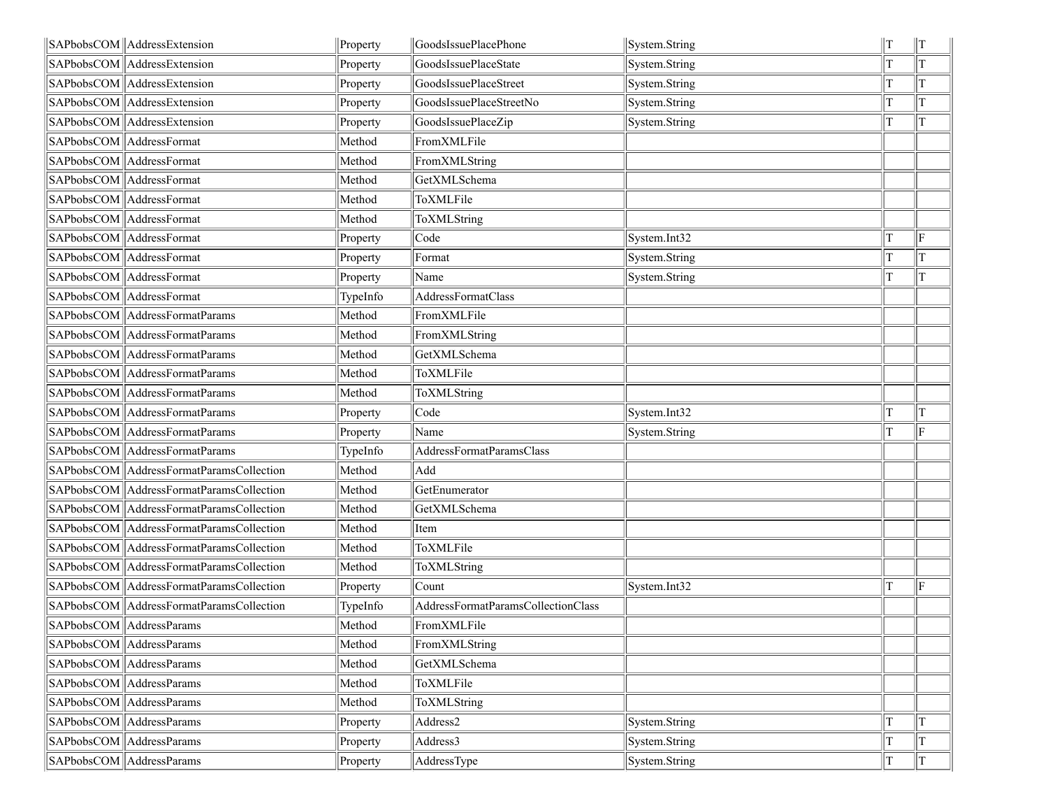| SAPbobsCOM AddressExtension                | Property | GoodsIssuePlacePhone               | System.String | $\parallel$ T |
|--------------------------------------------|----------|------------------------------------|---------------|---------------|
| SAPbobsCOM AddressExtension                | Property | GoodsIssuePlaceState               | System.String | lΤ            |
| SAPbobsCOM AddressExtension                | Property | GoodsIssuePlaceStreet              | System.String | Iт            |
| SAPbobsCOM AddressExtension                | Property | GoodsIssuePlaceStreetNo            | System.String | IТ            |
| SAPbobsCOM AddressExtension                | Property | GoodsIssuePlaceZip                 | System.String | lT            |
| SAPbobsCOM   AddressFormat                 | Method   | FromXMLFile                        |               |               |
| SAPbobsCOM AddressFormat                   | Method   | FromXMLString                      |               |               |
| SAPbobsCOM   AddressFormat                 | Method   | GetXMLSchema                       |               |               |
| SAPbobsCOM AddressFormat                   | Method   | ToXMLFile                          |               |               |
| SAPbobsCOM AddressFormat                   | Method   | ToXMLString                        |               |               |
| SAPbobsCOM AddressFormat                   | Property | Code                               | System.Int32  | F             |
| SAPbobsCOM   AddressFormat                 | Property | Format                             | System.String | lΤ            |
| SAPbobsCOM AddressFormat                   | Property | Name                               | System.String | IТ            |
| SAPbobsCOM AddressFormat                   | TypeInfo | AddressFormatClass                 |               |               |
| SAPbobsCOM AddressFormatParams             | Method   | FromXMLFile                        |               |               |
| SAPbobsCOM AddressFormatParams             | Method   | FromXMLString                      |               |               |
| SAPbobsCOM AddressFormatParams             | Method   | GetXMLSchema                       |               |               |
| SAPbobsCOM AddressFormatParams             | Method   | ToXMLFile                          |               |               |
| SAPbobsCOM AddressFormatParams             | Method   | ToXMLString                        |               |               |
| SAPbobsCOM AddressFormatParams             | Property | Code                               | System.Int32  | lΤ            |
| SAPbobsCOM AddressFormatParams             | Property | Name                               | System.String | lF            |
| SAPbobsCOM AddressFormatParams             | TypeInfo | AddressFormatParamsClass           |               |               |
| SAPbobsCOM AddressFormatParamsCollection   | Method   | Add                                |               |               |
| SAPbobsCOM   AddressFormatParamsCollection | Method   | GetEnumerator                      |               |               |
| SAPbobsCOM AddressFormatParamsCollection   | Method   | GetXMLSchema                       |               |               |
| SAPbobsCOM   AddressFormatParamsCollection | Method   | Item                               |               |               |
| SAPbobsCOM AddressFormatParamsCollection   | Method   | ToXMLFile                          |               |               |
| SAPbobsCOM AddressFormatParamsCollection   | Method   | ToXMLString                        |               |               |
| SAPbobsCOM AddressFormatParamsCollection   | Property | Count                              | System.Int32  | F             |
| SAPbobsCOM AddressFormatParamsCollection   | TypeInfo | AddressFormatParamsCollectionClass |               |               |
| SAPbobsCOM   AddressParams                 | Method   | FromXMLFile                        |               |               |
| SAPbobsCOM AddressParams                   | Method   | FromXMLString                      |               |               |
| SAPbobsCOM AddressParams                   | Method   | GetXMLSchema                       |               |               |
| SAPbobsCOM AddressParams                   | Method   | ToXMLFile                          |               |               |
| SAPbobsCOM AddressParams                   | Method   | ToXMLString                        |               |               |
| SAPbobsCOM AddressParams                   | Property | Address2                           | System.String | T             |
|                                            |          |                                    |               |               |
| SAPbobsCOM AddressParams                   | Property | Address3                           | System.String | T             |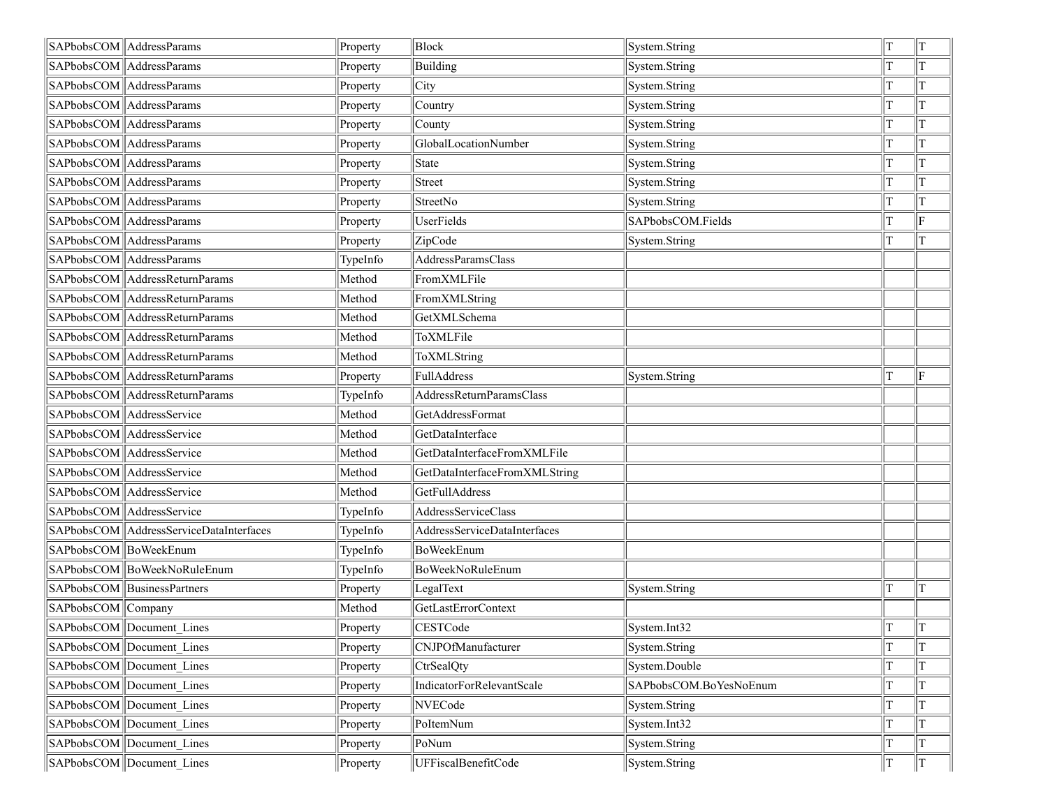|                    | SAPbobsCOM AddressParams                  | Property | Block                         | System.String          | T  | T             |
|--------------------|-------------------------------------------|----------|-------------------------------|------------------------|----|---------------|
|                    | SAPbobsCOM AddressParams                  | Property | Building                      | System.String          |    | T             |
|                    | SAPbobsCOM AddressParams                  | Property | City                          | System.String          |    | lΤ            |
|                    | SAPbobsCOM AddressParams                  | Property | Country                       | System.String          |    | lΤ            |
|                    | SAPbobsCOM AddressParams                  | Property | County                        | System.String          |    | IТ            |
|                    | SAPbobsCOM AddressParams                  | Property | GlobalLocationNumber          | System.String          |    | T             |
|                    | SAPbobsCOM AddressParams                  | Property | State                         | System.String          |    | lΤ            |
|                    | SAPbobsCOM AddressParams                  | Property | <b>Street</b>                 | System.String          |    | ΙT            |
|                    | SAPbobsCOM AddressParams                  | Property | StreetNo                      | System.String          |    | lΤ            |
|                    | SAPbobsCOM AddressParams                  | Property | UserFields                    | SAPbobsCOM.Fields      |    | F             |
|                    | SAPbobsCOM AddressParams                  | Property | ZipCode                       | System.String          |    | T             |
|                    | SAPbobsCOM AddressParams                  | TypeInfo | AddressParamsClass            |                        |    |               |
|                    | SAPbobsCOM AddressReturnParams            | Method   | FromXMLFile                   |                        |    |               |
|                    | SAPbobsCOM AddressReturnParams            | Method   | FromXMLString                 |                        |    |               |
|                    | SAPbobsCOM AddressReturnParams            | Method   | GetXMLSchema                  |                        |    |               |
|                    | SAPbobsCOM AddressReturnParams            | Method   | ToXMLFile                     |                        |    |               |
|                    | SAPbobsCOM   AddressReturnParams          | Method   | ToXMLString                   |                        |    |               |
|                    | SAPbobsCOM AddressReturnParams            | Property | FullAddress                   | System.String          |    | ΙF            |
|                    | SAPbobsCOM   AddressReturnParams          | TypeInfo | AddressReturnParamsClass      |                        |    |               |
|                    | SAPbobsCOM AddressService                 | Method   | GetAddressFormat              |                        |    |               |
|                    | SAPbobsCOM AddressService                 | Method   | GetDataInterface              |                        |    |               |
|                    | SAPbobsCOM AddressService                 | Method   | GetDataInterfaceFromXMLFile   |                        |    |               |
|                    | SAPbobsCOM AddressService                 | Method   | GetDataInterfaceFromXMLString |                        |    |               |
|                    | SAPbobsCOM AddressService                 | Method   | GetFullAddress                |                        |    |               |
|                    | SAPbobsCOM AddressService                 | TypeInfo | AddressServiceClass           |                        |    |               |
|                    | SAPbobsCOM   AddressServiceDataInterfaces | TypeInfo | AddressServiceDataInterfaces  |                        |    |               |
|                    | SAPbobsCOM BoWeekEnum                     | TypeInfo | BoWeekEnum                    |                        |    |               |
|                    | SAPbobsCOM  BoWeekNoRuleEnum              | TypeInfo | BoWeekNoRuleEnum              |                        |    |               |
|                    | SAPbobsCOM BusinessPartners               | Property | LegalText                     | System.String          |    | T             |
| SAPbobsCOM Company |                                           | Method   | <b>GetLastErrorContext</b>    |                        |    |               |
|                    | SAPbobsCOM Document_Lines                 | Property | CESTCode                      | System.Int32           | T. | $\parallel$ T |
|                    | SAPbobsCOM Document Lines                 | Property | CNJPOfManufacturer            | System.String          |    | lT            |
|                    | SAPbobsCOM Document Lines                 | Property | CtrSealQty                    | System.Double          |    | ΙT            |
|                    | SAPbobsCOM Document Lines                 | Property | IndicatorForRelevantScale     | SAPbobsCOM.BoYesNoEnum |    | ΙT            |
|                    | SAPbobsCOM Document Lines                 | Property | NVECode                       | System.String          |    | T             |
|                    | SAPbobsCOM Document Lines                 | Property | PoItemNum                     | System.Int32           |    | ΙT            |
|                    | SAPbobsCOM Document Lines                 | Property | PoNum                         | System.String          |    | lΤ            |
|                    | SAPbobsCOM Document Lines                 | Property | UFFiscalBenefitCode           | System.String          | T  | IТ            |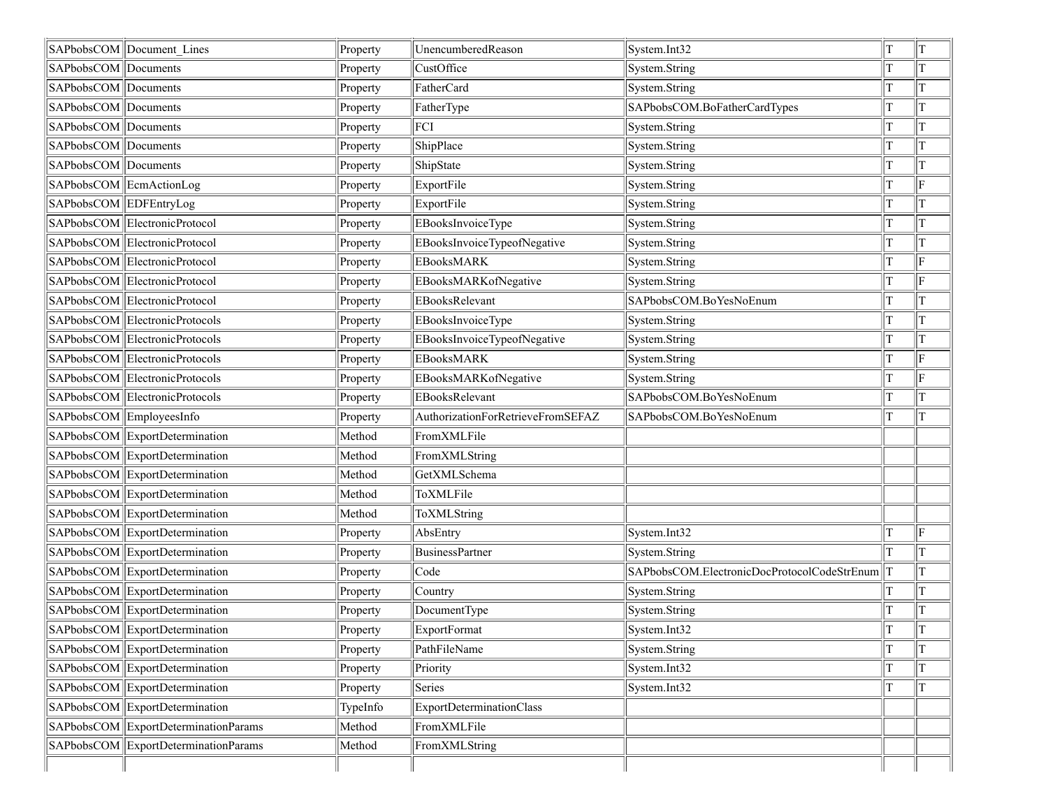|                      | SAPbobsCOM Document Lines            | Property | UnencumberedReason                | System.Int32                                | T | T              |
|----------------------|--------------------------------------|----------|-----------------------------------|---------------------------------------------|---|----------------|
| SAPbobsCOM Documents |                                      | Property | CustOffice                        | System.String                               |   | lΤ             |
| SAPbobsCOM Documents |                                      | Property | FatherCard                        | System.String                               |   | T              |
| SAPbobsCOM Documents |                                      | Property | FatherType                        | SAPbobsCOM.BoFatherCardTypes                |   | T              |
| SAPbobsCOM Documents |                                      | Property | FCI                               | System.String                               |   | T              |
| SAPbobsCOM Documents |                                      | Property | ShipPlace                         | System.String                               |   | T              |
| SAPbobsCOM Documents |                                      | Property | ShipState                         | System.String                               |   | T              |
|                      | SAPbobsCOM EcmActionLog              | Property | ExportFile                        | System.String                               |   | F              |
|                      | SAPbobsCOM EDFEntryLog               | Property | ExportFile                        | System.String                               |   | lΤ             |
|                      | SAPbobsCOM ElectronicProtocol        | Property | <b>EBooksInvoiceType</b>          | System.String                               |   | lΤ             |
|                      | SAPbobsCOM ElectronicProtocol        | Property | EBooksInvoiceTypeofNegative       | System.String                               |   | lΤ             |
|                      | SAPbobsCOM ElectronicProtocol        | Property | <b>EBooksMARK</b>                 | System.String                               |   | ΙF             |
|                      | SAPbobsCOM ElectronicProtocol        | Property | EBooksMARKofNegative              | System.String                               |   | F              |
|                      | SAPbobsCOM ElectronicProtocol        | Property | EBooksRelevant                    | SAPbobsCOM.BoYesNoEnum                      |   | T              |
|                      | SAPbobsCOM ElectronicProtocols       | Property | EBooksInvoiceType                 | System.String                               |   | T              |
|                      | SAPbobsCOM ElectronicProtocols       | Property | EBooksInvoiceTypeofNegative       | System.String                               |   | T              |
|                      | SAPbobsCOM ElectronicProtocols       | Property | <b>EBooksMARK</b>                 | System.String                               |   | F              |
|                      | SAPbobsCOM ElectronicProtocols       | Property | EBooksMARKofNegative              | System.String                               |   | ΙF             |
|                      | SAPbobsCOM ElectronicProtocols       | Property | EBooksRelevant                    | SAPbobsCOM.BoYesNoEnum                      |   | IТ             |
|                      | SAPbobsCOM EmployeesInfo             | Property | AuthorizationForRetrieveFromSEFAZ | SAPbobsCOM.BoYesNoEnum                      |   | lT             |
|                      | SAPbobsCOM ExportDetermination       | Method   | FromXMLFile                       |                                             |   |                |
|                      | SAPbobsCOM ExportDetermination       | Method   | FromXMLString                     |                                             |   |                |
|                      | SAPbobsCOM ExportDetermination       | Method   | GetXMLSchema                      |                                             |   |                |
|                      | SAPbobsCOM ExportDetermination       | Method   | ToXMLFile                         |                                             |   |                |
|                      | SAPbobsCOM ExportDetermination       | Method   | ToXMLString                       |                                             |   |                |
|                      | SAPbobsCOM ExportDetermination       | Property | AbsEntry                          | System.Int32                                |   | F              |
|                      | SAPbobsCOM ExportDetermination       | Property | <b>BusinessPartner</b>            | System.String                               |   | ΙT             |
|                      | SAPbobsCOM ExportDetermination       | Property | Code                              | SAPbobsCOM.ElectronicDocProtocolCodeStrEnum |   | lΤ             |
|                      | SAPbobsCOM ExportDetermination       | Property | Country                           | System.String                               |   | lΤ             |
|                      | SAPbobsCOM ExportDetermination       | Property | DocumentType                      | System.String                               |   | T              |
|                      | SAPbobsCOM ExportDetermination       | Property | ExportFormat                      | System.Int32                                | T | $\overline{T}$ |
|                      | SAPbobsCOM ExportDetermination       | Property | PathFileName                      | System.String                               |   | lΤ             |
|                      | SAPbobsCOM ExportDetermination       | Property | Priority                          | System.Int32                                |   | T              |
|                      | SAPbobsCOM ExportDetermination       | Property | Series                            | System.Int32                                |   | IТ             |
|                      | SAPbobsCOM ExportDetermination       | TypeInfo | ExportDeterminationClass          |                                             |   |                |
|                      | SAPbobsCOM ExportDeterminationParams | Method   | FromXMLFile                       |                                             |   |                |
|                      | SAPbobsCOM ExportDeterminationParams | Method   | FromXMLString                     |                                             |   |                |
|                      |                                      |          |                                   |                                             |   |                |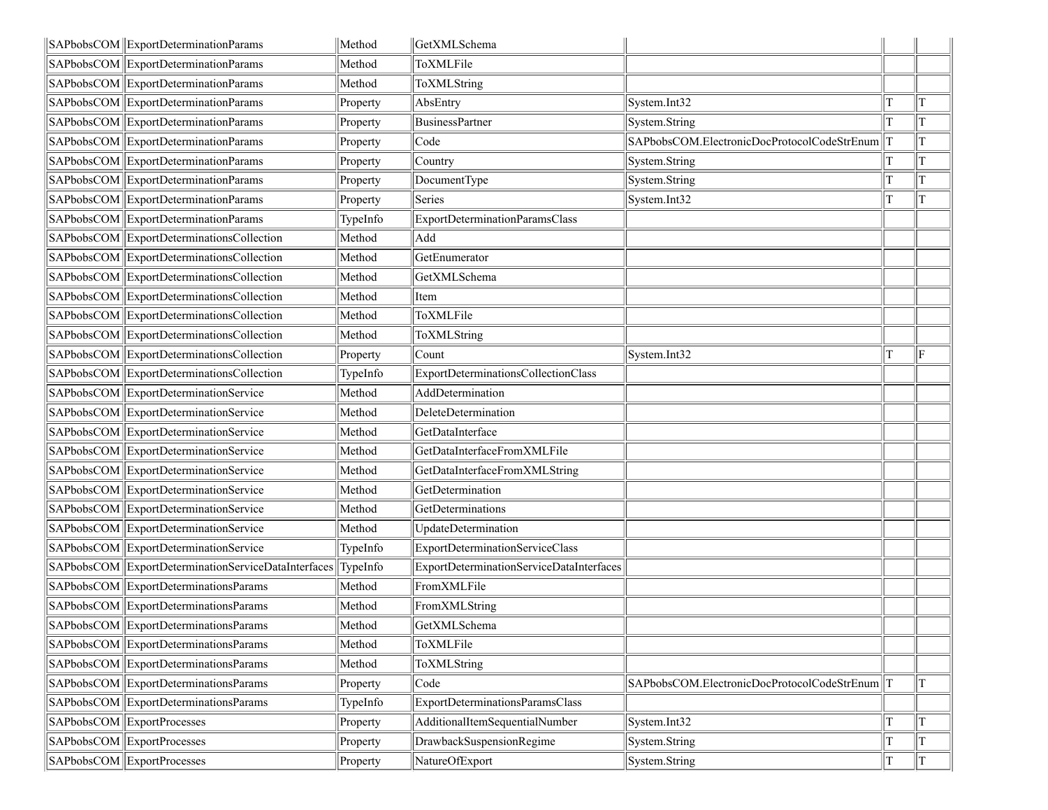| SAPbobsCOM ExportDeterminationParams                | Method   | GetXMLSchema                             |                                             |    |
|-----------------------------------------------------|----------|------------------------------------------|---------------------------------------------|----|
| SAPbobsCOM ExportDeterminationParams                | Method   | ToXMLFile                                |                                             |    |
| SAPbobsCOM ExportDeterminationParams                | Method   | ToXMLString                              |                                             |    |
| SAPbobsCOM ExportDeterminationParams                | Property | AbsEntry                                 | System.Int32                                | T  |
| SAPbobsCOM ExportDeterminationParams                | Property | <b>BusinessPartner</b>                   | System.String                               | lΤ |
| SAPbobsCOM ExportDeterminationParams                | Property | Code                                     | SAPbobsCOM.ElectronicDocProtocolCodeStrEnum | T  |
| SAPbobsCOM ExportDeterminationParams                | Property | Country                                  | System.String                               | lΤ |
| SAPbobsCOM ExportDeterminationParams                | Property | DocumentType                             | System.String                               | IТ |
| SAPbobsCOM ExportDeterminationParams                | Property | Series                                   | System.Int32                                | lT |
| SAPbobsCOM ExportDeterminationParams                | TypeInfo | ExportDeterminationParamsClass           |                                             |    |
| SAPbobsCOM ExportDeterminationsCollection           | Method   | Add                                      |                                             |    |
| SAPbobsCOM ExportDeterminationsCollection           | Method   | GetEnumerator                            |                                             |    |
| SAPbobsCOM ExportDeterminationsCollection           | Method   | GetXMLSchema                             |                                             |    |
| SAPbobsCOM ExportDeterminationsCollection           | Method   | Item                                     |                                             |    |
| SAPbobsCOM ExportDeterminationsCollection           | Method   | ToXMLFile                                |                                             |    |
| SAPbobsCOM ExportDeterminationsCollection           | Method   | ToXMLString                              |                                             |    |
| SAPbobsCOM ExportDeterminationsCollection           | Property | Count                                    | System.Int32                                | ΙF |
| SAPbobsCOM ExportDeterminationsCollection           | TypeInfo | ExportDeterminationsCollectionClass      |                                             |    |
| SAPbobsCOM ExportDeterminationService               | Method   | AddDetermination                         |                                             |    |
| SAPbobsCOM ExportDeterminationService               | Method   | DeleteDetermination                      |                                             |    |
| SAPbobsCOM ExportDeterminationService               | Method   | GetDataInterface                         |                                             |    |
| SAPbobsCOM ExportDeterminationService               | Method   | GetDataInterfaceFromXMLFile              |                                             |    |
| SAPbobsCOM ExportDeterminationService               | Method   | GetDataInterfaceFromXMLString            |                                             |    |
| SAPbobsCOM ExportDeterminationService               | Method   | GetDetermination                         |                                             |    |
| SAPbobsCOM ExportDeterminationService               | Method   | GetDeterminations                        |                                             |    |
| SAPbobsCOM ExportDeterminationService               | Method   | UpdateDetermination                      |                                             |    |
| SAPbobsCOM ExportDeterminationService               | TypeInfo | ExportDeterminationServiceClass          |                                             |    |
| SAPbobsCOM ExportDeterminationServiceDataInterfaces | TypeInfo | ExportDeterminationServiceDataInterfaces |                                             |    |
| SAPbobsCOM ExportDeterminationsParams               | Method   | FromXMLFile                              |                                             |    |
| SAPbobsCOM ExportDeterminationsParams               | Method   | FromXMLString                            |                                             |    |
| SAPbobsCOM ExportDeterminationsParams               | Method   | GetXMLSchema                             |                                             |    |
| SAPbobsCOM ExportDeterminationsParams               | Method   | ToXMLFile                                |                                             |    |
| SAPbobsCOM ExportDeterminationsParams               | Method   | ToXMLString                              |                                             |    |
| SAPbobsCOM ExportDeterminationsParams               | Property | Code                                     | SAPbobsCOM.ElectronicDocProtocolCodeStrEnum | lΤ |
| SAPbobsCOM ExportDeterminationsParams               | TypeInfo | ExportDeterminationsParamsClass          |                                             |    |
| SAPbobsCOM ExportProcesses                          | Property | AdditionalItemSequentialNumber           | System.Int32                                | lT |
| SAPbobsCOM ExportProcesses                          | Property | DrawbackSuspensionRegime                 | System.String                               | lΤ |
| SAPbobsCOM ExportProcesses                          | Property | NatureOfExport                           | System.String                               | T  |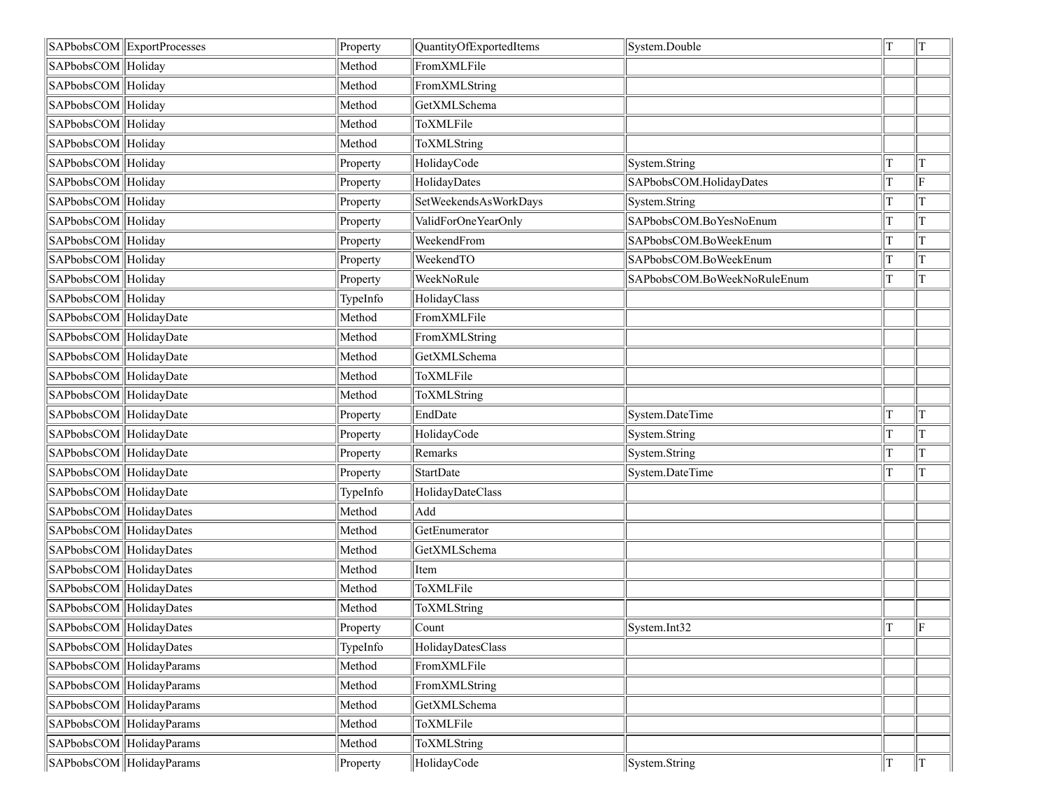|                         | SAPbobsCOM ExportProcesses | Property | QuantityOfExportedItems | System.Double               | T | T             |
|-------------------------|----------------------------|----------|-------------------------|-----------------------------|---|---------------|
| SAPbobsCOM Holiday      |                            | Method   | FromXMLFile             |                             |   |               |
| SAPbobsCOM Holiday      |                            | Method   | FromXMLString           |                             |   |               |
| SAPbobsCOM Holiday      |                            | Method   | GetXMLSchema            |                             |   |               |
| SAPbobsCOM Holiday      |                            | Method   | ToXMLFile               |                             |   |               |
| SAPbobsCOM Holiday      |                            | Method   | ToXMLString             |                             |   |               |
| SAPbobsCOM Holiday      |                            | Property | HolidayCode             | System.String               | Т | T             |
| SAPbobsCOM Holiday      |                            | Property | HolidayDates            | SAPbobsCOM.HolidayDates     |   | $\parallel$ F |
| SAPbobsCOM Holiday      |                            | Property | SetWeekendsAsWorkDays   | System.String               | Т | lΤ            |
| SAPbobsCOM Holiday      |                            | Property | ValidForOneYearOnly     | SAPbobsCOM.BoYesNoEnum      |   | T             |
| SAPbobsCOM Holiday      |                            | Property | WeekendFrom             | SAPbobsCOM.BoWeekEnum       | Т | T             |
| SAPbobsCOM Holiday      |                            | Property | WeekendTO               | SAPbobsCOM.BoWeekEnum       | т | T             |
| SAPbobsCOM Holiday      |                            | Property | WeekNoRule              | SAPbobsCOM.BoWeekNoRuleEnum |   | T             |
| SAPbobsCOM Holiday      |                            | TypeInfo | HolidayClass            |                             |   |               |
| SAPbobsCOM HolidayDate  |                            | Method   | FromXMLFile             |                             |   |               |
| SAPbobsCOM HolidayDate  |                            | Method   | FromXMLString           |                             |   |               |
| SAPbobsCOM HolidayDate  |                            | Method   | GetXMLSchema            |                             |   |               |
| SAPbobsCOM HolidayDate  |                            | Method   | ToXMLFile               |                             |   |               |
| SAPbobsCOM HolidayDate  |                            | Method   | ToXMLString             |                             |   |               |
| SAPbobsCOM HolidayDate  |                            | Property | EndDate                 | System.DateTime             |   | $\mathbf T$   |
| SAPbobsCOM HolidayDate  |                            | Property | HolidayCode             | System.String               |   | T             |
| SAPbobsCOM HolidayDate  |                            | Property | Remarks                 | System.String               |   | T             |
| SAPbobsCOM HolidayDate  |                            | Property | StartDate               | System.DateTime             | T | IТ            |
| SAPbobsCOM HolidayDate  |                            | TypeInfo | HolidayDateClass        |                             |   |               |
| SAPbobsCOM HolidayDates |                            | Method   | Add                     |                             |   |               |
|                         | SAPbobsCOM HolidayDates    | Method   | GetEnumerator           |                             |   |               |
| SAPbobsCOM HolidayDates |                            | Method   | GetXMLSchema            |                             |   |               |
| SAPbobsCOM HolidayDates |                            | Method   | Item                    |                             |   |               |
| SAPbobsCOM HolidayDates |                            | Method   | ToXMLFile               |                             |   |               |
| SAPbobsCOM HolidayDates |                            | Method   | ToXMLString             |                             |   |               |
| SAPbobsCOM HolidayDates |                            | Property | Count                   | System.Int32                | T | lle           |
| SAPbobsCOM HolidayDates |                            | TypeInfo | HolidayDatesClass       |                             |   |               |
|                         | SAPbobsCOM   HolidayParams | Method   | FromXMLFile             |                             |   |               |
|                         | SAPbobsCOM HolidayParams   | Method   | FromXMLString           |                             |   |               |
|                         | SAPbobsCOM HolidayParams   | Method   | GetXMLSchema            |                             |   |               |
|                         | SAPbobsCOM HolidayParams   | Method   | ToXMLFile               |                             |   |               |
|                         | SAPbobsCOM HolidayParams   | Method   | ToXMLString             |                             |   |               |
|                         | SAPbobsCOM HolidayParams   | Property | HolidayCode             | System.String               | T | T             |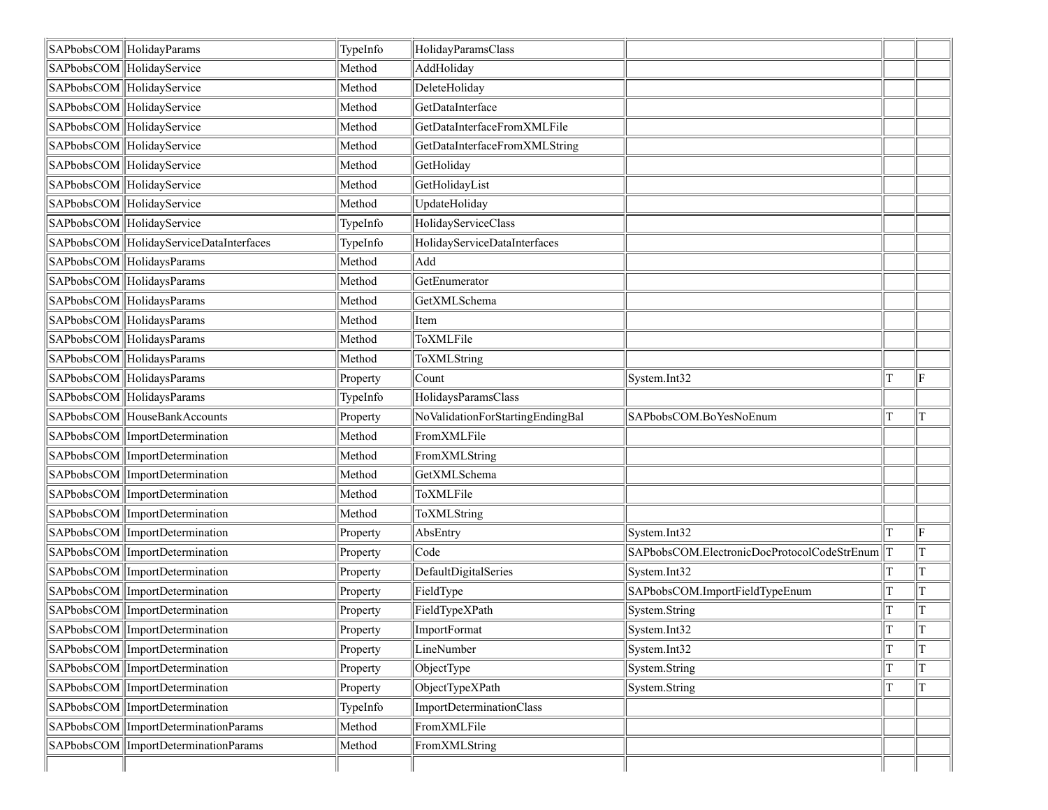| SAPbobsCOM HolidayParams                | TypeInfo | HolidayParamsClass               |                                                 |             |    |
|-----------------------------------------|----------|----------------------------------|-------------------------------------------------|-------------|----|
| SAPbobsCOM HolidayService               | Method   | AddHoliday                       |                                                 |             |    |
| SAPbobsCOM HolidayService               | Method   | DeleteHoliday                    |                                                 |             |    |
| SAPbobsCOM HolidayService               | Method   | GetDataInterface                 |                                                 |             |    |
| SAPbobsCOM HolidayService               | Method   | GetDataInterfaceFromXMLFile      |                                                 |             |    |
| SAPbobsCOM HolidayService               | Method   | GetDataInterfaceFromXMLString    |                                                 |             |    |
| SAPbobsCOM HolidayService               | Method   | GetHoliday                       |                                                 |             |    |
| SAPbobsCOM HolidayService               | Method   | GetHolidayList                   |                                                 |             |    |
| SAPbobsCOM HolidayService               | Method   | UpdateHoliday                    |                                                 |             |    |
| SAPbobsCOM HolidayService               | TypeInfo | HolidayServiceClass              |                                                 |             |    |
| SAPbobsCOM HolidayServiceDataInterfaces | TypeInfo | HolidayServiceDataInterfaces     |                                                 |             |    |
| SAPbobsCOM HolidaysParams               | Method   | Add                              |                                                 |             |    |
| SAPbobsCOM HolidaysParams               | Method   | GetEnumerator                    |                                                 |             |    |
| SAPbobsCOM HolidaysParams               | Method   | GetXMLSchema                     |                                                 |             |    |
| SAPbobsCOM HolidaysParams               | Method   | Item                             |                                                 |             |    |
| SAPbobsCOM HolidaysParams               | Method   | ToXMLFile                        |                                                 |             |    |
| SAPbobsCOM HolidaysParams               | Method   | ToXMLString                      |                                                 |             |    |
| SAPbobsCOM HolidaysParams               | Property | Count                            | System.Int32                                    | T           | ΙF |
| SAPbobsCOM HolidaysParams               | TypeInfo | HolidaysParamsClass              |                                                 |             |    |
| SAPbobsCOM HouseBankAccounts            | Property | NoValidationForStartingEndingBal | SAPbobsCOM.BoYesNoEnum                          | T           | T  |
| SAPbobsCOM   ImportDetermination        | Method   | FromXMLFile                      |                                                 |             |    |
| SAPbobsCOM   ImportDetermination        | Method   | FromXMLString                    |                                                 |             |    |
| SAPbobsCOM ImportDetermination          | Method   | GetXMLSchema                     |                                                 |             |    |
| SAPbobsCOM ImportDetermination          | Method   | ToXMLFile                        |                                                 |             |    |
| SAPbobsCOM ImportDetermination          | Method   | ToXMLString                      |                                                 |             |    |
| SAPbobsCOM ImportDetermination          | Property | AbsEntry                         | System.Int32                                    | T           | ΙF |
| SAPbobsCOM ImportDetermination          | Property | Code                             | SAPbobsCOM.ElectronicDocProtocolCodeStrEnum   T |             | T  |
| SAPbobsCOM   ImportDetermination        | Property | DefaultDigitalSeries             | System.Int32                                    |             |    |
| SAPbobsCOM ImportDetermination          | Property | FieldType                        | SAPbobsCOM.ImportFieldTypeEnum                  | T           | T  |
| SAPbobsCOM   ImportDetermination        | Property | FieldTypeXPath                   | System.String                                   |             |    |
| SAPbobsCOM   ImportDetermination        | Property | ImportFormat                     | System.Int32                                    | $\mathbf T$ | T  |
| SAPbobsCOM ImportDetermination          | Property | LineNumber                       | System.Int32                                    | T           |    |
| SAPbobsCOM ImportDetermination          | Property | ObjectType                       | System.String                                   |             |    |
| SAPbobsCOM ImportDetermination          | Property | ObjectTypeXPath                  | System.String                                   | T           |    |
| SAPbobsCOM ImportDetermination          | TypeInfo | ImportDeterminationClass         |                                                 |             |    |
| SAPbobsCOM ImportDeterminationParams    | Method   | FromXMLFile                      |                                                 |             |    |
| SAPbobsCOM   ImportDeterminationParams  | Method   | FromXMLString                    |                                                 |             |    |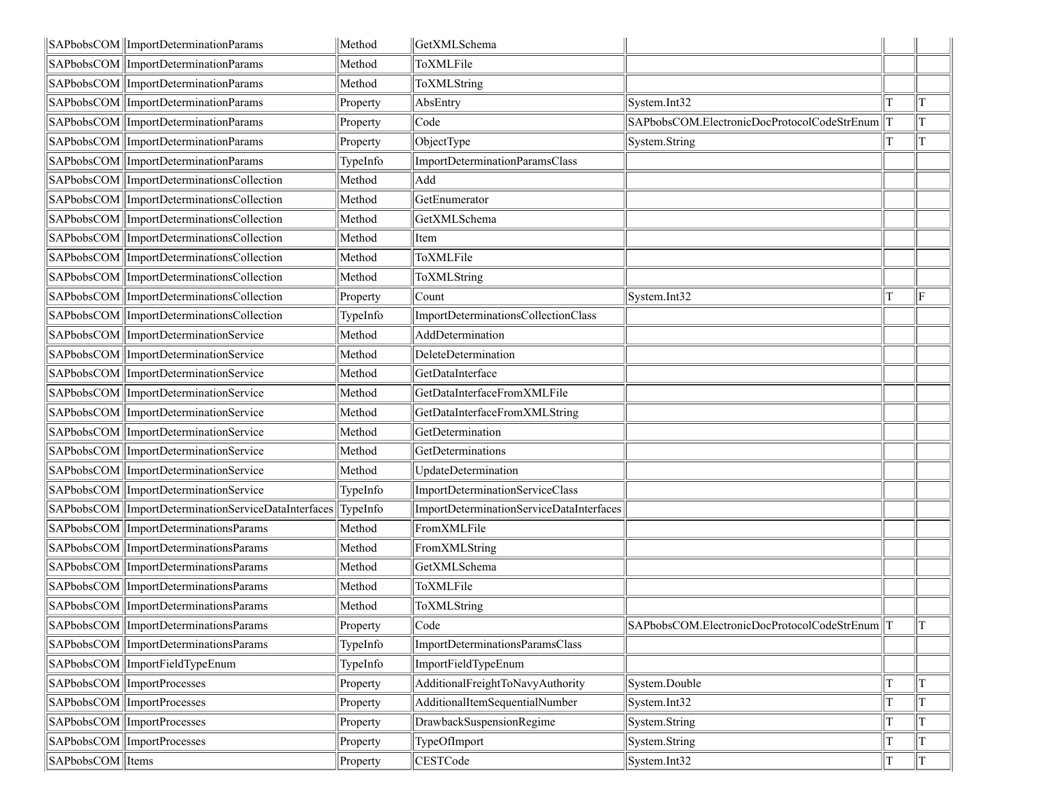|                  | SAPbobsCOM   ImportDeterminationParams               | Method   | GetXMLSchema                             |                                                        |       |
|------------------|------------------------------------------------------|----------|------------------------------------------|--------------------------------------------------------|-------|
|                  | SAPbobsCOM   ImportDeterminationParams               | Method   | ToXMLFile                                |                                                        |       |
|                  | SAPbobsCOM   ImportDeterminationParams               | Method   | ToXMLString                              |                                                        |       |
|                  | SAPbobsCOM   ImportDeterminationParams               | Property | AbsEntry                                 | System.Int32                                           | T     |
|                  | SAPbobsCOM   ImportDeterminationParams               | Property | Code                                     | SAPbobsCOM.ElectronicDocProtocolCodeStrEnum            | T     |
|                  | SAPbobsCOM   ImportDeterminationParams               | Property | ObjectType                               | System.String                                          | IТ    |
|                  | SAPbobsCOM   ImportDeterminationParams               | TypeInfo | ImportDeterminationParamsClass           |                                                        |       |
|                  | SAPbobsCOM ImportDeterminationsCollection            | Method   | Add                                      |                                                        |       |
|                  | SAPbobsCOM ImportDeterminationsCollection            | Method   | GetEnumerator                            |                                                        |       |
|                  | SAPbobsCOM   ImportDeterminationsCollection          | Method   | GetXMLSchema                             |                                                        |       |
|                  | SAPbobsCOM  ImportDeterminationsCollection           | Method   | Item                                     |                                                        |       |
|                  | SAPbobsCOM   ImportDeterminationsCollection          | Method   | ToXMLFile                                |                                                        |       |
|                  | SAPbobsCOM ImportDeterminationsCollection            | Method   | ToXMLString                              |                                                        |       |
|                  | SAPbobsCOM   ImportDeterminationsCollection          | Property | Count                                    | System.Int32                                           | ΙF    |
|                  | SAPbobsCOM ImportDeterminationsCollection            | TypeInfo | ImportDeterminationsCollectionClass      |                                                        |       |
|                  | SAPbobsCOM ImportDeterminationService                | Method   | AddDetermination                         |                                                        |       |
|                  | SAPbobsCOM ImportDeterminationService                | Method   | DeleteDetermination                      |                                                        |       |
|                  | SAPbobsCOM   ImportDeterminationService              | Method   | GetDataInterface                         |                                                        |       |
|                  | SAPbobsCOM   ImportDeterminationService              | Method   | GetDataInterfaceFromXMLFile              |                                                        |       |
|                  | SAPbobsCOM   ImportDeterminationService              | Method   | GetDataInterfaceFromXMLString            |                                                        |       |
|                  | SAPbobsCOM   ImportDeterminationService              | Method   | GetDetermination                         |                                                        |       |
|                  | SAPbobsCOM   ImportDeterminationService              | Method   | GetDeterminations                        |                                                        |       |
|                  | SAPbobsCOM   ImportDeterminationService              | Method   | UpdateDetermination                      |                                                        |       |
|                  | SAPbobsCOM ImportDeterminationService                | TypeInfo | ImportDeterminationServiceClass          |                                                        |       |
|                  | SAPbobsCOM  ImportDeterminationServiceDataInterfaces | TypeInfo | ImportDeterminationServiceDataInterfaces |                                                        |       |
|                  | SAPbobsCOM   ImportDeterminationsParams              | Method   | FromXMLFile                              |                                                        |       |
|                  | SAPbobsCOM   ImportDeterminationsParams              | Method   | FromXMLString                            |                                                        |       |
|                  | SAPbobsCOM   ImportDeterminationsParams              | Method   | GetXMLSchema                             |                                                        |       |
|                  | SAPbobsCOM ImportDeterminationsParams                | Method   | ToXMLFile                                |                                                        |       |
|                  | SAPbobsCOM   ImportDeterminationsParams              | Method   | ToXMLString                              |                                                        |       |
|                  | SAPbobsCOM   ImportDeterminationsParams              | Property | Code                                     | $ $ SAPbobsCOM.ElectronicDocProtocolCodeStrEnum $  $ T | $\ T$ |
|                  | SAPbobsCOM   ImportDeterminationsParams              | TypeInfo | ImportDeterminationsParamsClass          |                                                        |       |
|                  | SAPbobsCOM ImportFieldTypeEnum                       | TypeInfo | ImportFieldTypeEnum                      |                                                        |       |
|                  | SAPbobsCOM ImportProcesses                           | Property | AdditionalFreightToNavyAuthority         | System.Double                                          | lΤ    |
|                  | SAPbobsCOM ImportProcesses                           | Property | AdditionalItemSequentialNumber           | System.Int32                                           | IТ    |
|                  | SAPbobsCOM ImportProcesses                           | Property | DrawbackSuspensionRegime                 | System.String                                          | ΙT    |
|                  | SAPbobsCOM ImportProcesses                           | Property | TypeOfImport                             | System.String                                          | T     |
| SAPbobsCOM Items |                                                      | Property | CESTCode                                 | System.Int32                                           | T     |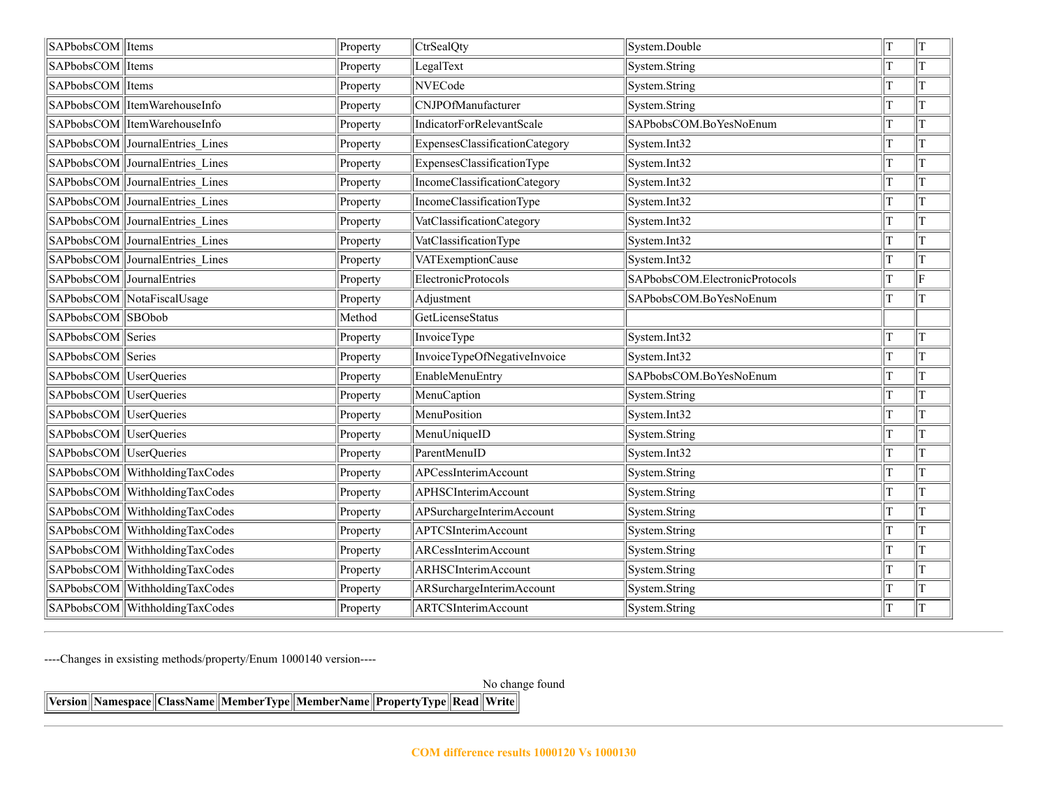| SAPbobsCOM Items          |                                 | Property | CtrSealQty                     | System.Double                  | T           | $\mathbf T$ |
|---------------------------|---------------------------------|----------|--------------------------------|--------------------------------|-------------|-------------|
| SAPbobsCOM Items          |                                 | Property | LegalText                      | System.String                  | T           | T           |
| SAPbobsCOM   Items        |                                 | Property | <b>NVECode</b>                 | System.String                  |             | T           |
|                           | SAPbobsCOM ItemWarehouseInfo    | Property | CNJPOfManufacturer             | System.String                  | T           | T           |
|                           | SAPbobsCOM ItemWarehouseInfo    | Property | IndicatorForRelevantScale      | SAPbobsCOM.BoYesNoEnum         |             | T           |
|                           | SAPbobsCOM JournalEntries Lines | Property | ExpensesClassificationCategory | System.Int32                   | T           | T           |
|                           | SAPbobsCOM JournalEntries Lines | Property | ExpensesClassificationType     | System.Int32                   | T           | T           |
|                           | SAPbobsCOM JournalEntries Lines | Property | IncomeClassificationCategory   | System.Int32                   | T           | T           |
|                           | SAPbobsCOM JournalEntries Lines | Property | IncomeClassificationType       | System.Int32                   | T           | T           |
|                           | SAPbobsCOM JournalEntries Lines | Property | VatClassificationCategory      | System.Int32                   | T           | T           |
|                           | SAPbobsCOM JournalEntries Lines | Property | VatClassificationType          | System.Int32                   | T           | T           |
|                           | SAPbobsCOM JournalEntries Lines | Property | VATExemptionCause              | System.Int32                   | T           | T           |
| SAPbobsCOM JournalEntries |                                 | Property | <b>ElectronicProtocols</b>     | SAPbobsCOM.ElectronicProtocols |             | $\mathbf F$ |
|                           | SAPbobsCOM NotaFiscalUsage      | Property | Adjustment                     | SAPbobsCOM.BoYesNoEnum         | T           | T           |
| SAPbobsCOM SBObob         |                                 | Method   | GetLicenseStatus               |                                |             |             |
| SAPbobsCOM Series         |                                 | Property | InvoiceType                    | System.Int32                   | T           | T           |
| SAPbobsCOM Series         |                                 | Property | InvoiceTypeOfNegativeInvoice   | System.Int32                   | T           | T           |
| SAPbobsCOM UserQueries    |                                 | Property | EnableMenuEntry                | SAPbobsCOM.BoYesNoEnum         | T           | T           |
| SAPbobsCOM UserQueries    |                                 | Property | MenuCaption                    | System.String                  |             | T           |
| SAPbobsCOM  UserQueries   |                                 | Property | MenuPosition                   | System.Int32                   | T           | T           |
| SAPbobsCOM UserQueries    |                                 | Property | MenuUniqueID                   | System.String                  |             | T           |
| SAPbobsCOM UserQueries    |                                 | Property | ParentMenuID                   | System.Int32                   | T           | T           |
|                           | SAPbobsCOM WithholdingTaxCodes  | Property | APCessInterimAccount           | System.String                  |             | T           |
|                           | SAPbobsCOM WithholdingTaxCodes  | Property | APHSCInterimAccount            | System.String                  | T           | T           |
|                           | SAPbobsCOM WithholdingTaxCodes  | Property | APSurchargeInterimAccount      | System.String                  | T           | T           |
|                           | SAPbobsCOM WithholdingTaxCodes  | Property | <b>APTCSInterimAccount</b>     | System.String                  | T           | T           |
|                           | SAPbobsCOM WithholdingTaxCodes  | Property | ARCessInterimAccount           | System.String                  | T           | T           |
|                           | SAPbobsCOM WithholdingTaxCodes  | Property | ARHSCInterimAccount            | System.String                  | T           | T           |
|                           | SAPbobsCOM WithholdingTaxCodes  | Property | ARSurchargeInterimAccount      | System.String                  | T           | T           |
|                           | SAPbobsCOM WithholdingTaxCodes  | Property | <b>ARTCSInterimAccount</b>     | System.String                  | $\mathbf T$ | T           |

----Changes in exsisting methods/property/Enum 1000140 version----

No change found

**Version Namespace ClassName MemberType MemberName PropertyType Read Write**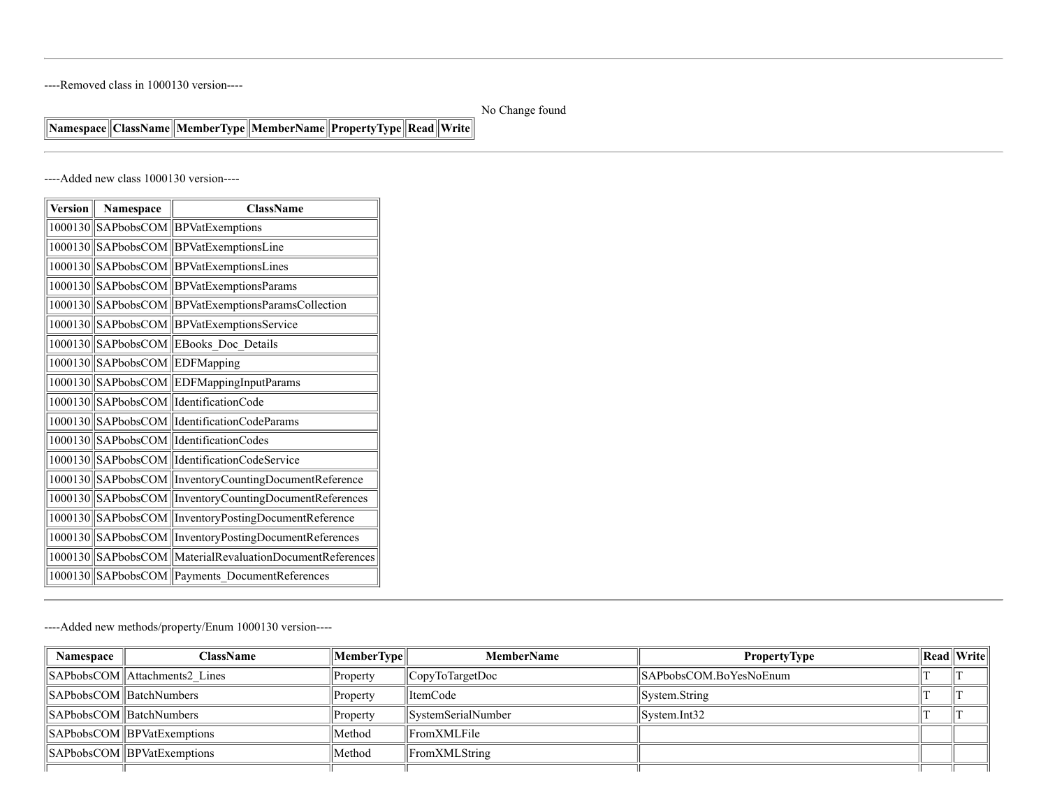----Removed class in 1000130 version----

#### No Change found

## **Namespace ClassName MemberType MemberName PropertyType Read Write**

----Added new class 1000130 version----

| <b>Version</b> | Namespace             | <b>ClassName</b>                                         |
|----------------|-----------------------|----------------------------------------------------------|
|                |                       | 1000130 SAPbobsCOM BPVatExemptions                       |
|                |                       | 1000130 SAPbobsCOM BPVatExemptionsLine                   |
| 1000130        | SAPbobsCOM            | BPVatExemptionsLines                                     |
| 1000130        | SAPbobsCOM            | <b>BPVatExemptionsParams</b>                             |
| 1000130        | SAPbobsCOM            | BPVatExemptionsParamsCollection                          |
| 1000130        |                       | SAPbobsCOM   BPVatExemptionsService                      |
| 1000130        |                       | SAPbobsCOM EBooks Doc Details                            |
| 1000130        | SAPbobsCOM EDFMapping |                                                          |
|                |                       | 1000130 SAPbobsCOM EDFMappingInputParams                 |
|                |                       | 1000130 SAPbobsCOM IdentificationCode                    |
|                |                       | 1000130 SAPbobsCOM   IdentificationCodeParams            |
| 1000130        |                       | SAPbobsCOM  IdentificationCodes                          |
| 1000130        |                       | SAPbobsCOM   IdentificationCodeService                   |
| 1000130        |                       | SAPbobsCOM   InventoryCountingDocumentReference          |
| 1000130        |                       | SAPbobsCOM  InventoryCountingDocumentReferences          |
| 1000130        |                       | SAPbobsCOM   InventoryPostingDocumentReference           |
|                |                       | 1000130 SAPbobsCOM   InventoryPostingDocumentReferences  |
|                |                       | 1000130 SAPbobsCOM MaterialRevaluationDocumentReferences |
|                |                       | 1000130 SAPbobsCOM Payments_DocumentReferences           |

----Added new methods/property/Enum 1000130 version----

| Namespace | <b>ClassName</b>                       | $ \mathbf{MemberType} \ $ | <b>MemberName</b>  | <b>PropertyType</b>    | $\ $ Read $\ $ Write $\ $ |
|-----------|----------------------------------------|---------------------------|--------------------|------------------------|---------------------------|
|           | SAPbobsCOM Attachments2 Lines          | Property                  | CopyToTargetDoc    | SAPbobsCOM.BoYesNoEnum |                           |
|           | SAPbobsCOM BatchNumbers                | Property                  | ItemCode           | System.String          |                           |
|           | SAPbobsCOM BatchNumbers                | Property                  | SystemSerialNumber | System.Int32           |                           |
|           | $\ \$ SAPbobsCOM $\ \$ BPVatExemptions | Method                    | FromXMLFile        |                        |                           |
|           | SAPbobsCOM BPVatExemptions             | 'Method                   | FromXMLString      |                        |                           |
|           |                                        |                           |                    |                        |                           |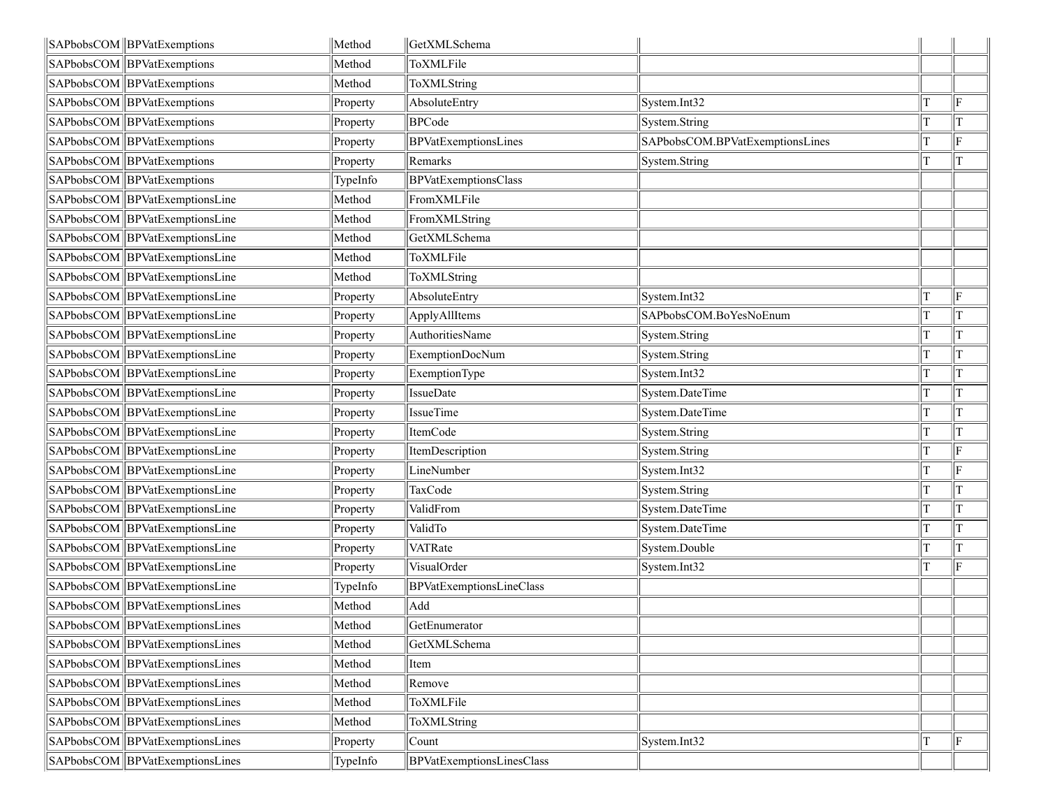| SAPbobsCOM   BPVatExemptions      | Method   | GetXMLSchema              |                                 |             |
|-----------------------------------|----------|---------------------------|---------------------------------|-------------|
| SAPbobsCOM BPVatExemptions        | Method   | ToXMLFile                 |                                 |             |
| SAPbobsCOM BPVatExemptions        | Method   | ToXMLString               |                                 |             |
| SAPbobsCOM BPVatExemptions        | Property | AbsoluteEntry             | System.Int32                    | ΙF          |
| SAPbobsCOM BPVatExemptions        | Property | <b>BPCode</b>             | System.String                   | T           |
| SAPbobsCOM BPVatExemptions        | Property | BPVatExemptionsLines      | SAPbobsCOM.BPVatExemptionsLines | F           |
| SAPbobsCOM   BPVatExemptions      | Property | Remarks                   | System.String                   | T           |
| SAPbobsCOM BPVatExemptions        | TypeInfo | BPVatExemptionsClass      |                                 |             |
| SAPbobsCOM BPVatExemptionsLine    | Method   | FromXMLFile               |                                 |             |
| SAPbobsCOM BPVatExemptionsLine    | Method   | FromXMLString             |                                 |             |
| SAPbobsCOM BPVatExemptionsLine    | Method   | GetXMLSchema              |                                 |             |
| SAPbobsCOM   BPVatExemptionsLine  | Method   | ToXMLFile                 |                                 |             |
| SAPbobsCOM BPVatExemptionsLine    | Method   | ToXMLString               |                                 |             |
| SAPbobsCOM BPVatExemptionsLine    | Property | AbsoluteEntry             | System.Int32                    | F           |
| SAPbobsCOM BPVatExemptionsLine    | Property | ApplyAllItems             | SAPbobsCOM.BoYesNoEnum          | T           |
| SAPbobsCOM BPVatExemptionsLine    | Property | <b>AuthoritiesName</b>    | System.String                   | $\mathbf T$ |
| SAPbobsCOM BPVatExemptionsLine    | Property | ExemptionDocNum           | System.String                   | T           |
| SAPbobsCOM BPVatExemptionsLine    | Property | ExemptionType             | System.Int32                    | T           |
| SAPbobsCOM BPVatExemptionsLine    | Property | IssueDate                 | System.DateTime                 | T           |
| SAPbobsCOM   BPVatExemptionsLine  | Property | IssueTime                 | System.DateTime                 | T           |
| SAPbobsCOM  BPVatExemptionsLine   | Property | ItemCode                  | System.String                   | T           |
| SAPbobsCOM BPVatExemptionsLine    | Property | ItemDescription           | System.String                   | F           |
| SAPbobsCOM   BPVatExemptionsLine  | Property | LineNumber                | System.Int32                    | lF.         |
| SAPbobsCOM BPVatExemptionsLine    | Property | TaxCode                   | System.String                   | T           |
| SAPbobsCOM   BPVatExemptionsLine  | Property | ValidFrom                 | System.DateTime                 | T           |
| SAPbobsCOM BPVatExemptionsLine    | Property | ValidTo                   | System.DateTime                 | T           |
| SAPbobsCOM BPVatExemptionsLine    | Property | VATRate                   | System.Double                   | T           |
| SAPbobsCOM BPVatExemptionsLine    | Property | VisualOrder               | System.Int32                    | lF.         |
| SAPbobsCOM BPVatExemptionsLine    | TypeInfo | BPVatExemptionsLineClass  |                                 |             |
| SAPbobsCOM BPVatExemptionsLines   | Method   | Add                       |                                 |             |
| SAPbobsCOM   BPVatExemptionsLines | Method   | GetEnumerator             |                                 |             |
| SAPbobsCOM   BPVatExemptionsLines | Method   | GetXMLSchema              |                                 |             |
| SAPbobsCOM BPVatExemptionsLines   | Method   | Item                      |                                 |             |
| SAPbobsCOM  BPVatExemptionsLines  | Method   | Remove                    |                                 |             |
| SAPbobsCOM BPVatExemptionsLines   | Method   | ToXMLFile                 |                                 |             |
| SAPbobsCOM BPVatExemptionsLines   | Method   | ToXMLString               |                                 |             |
| SAPbobsCOM BPVatExemptionsLines   | Property | Count                     | System.Int32                    | lF.         |
| SAPbobsCOM   BPVatExemptionsLines | TypeInfo | BPVatExemptionsLinesClass |                                 |             |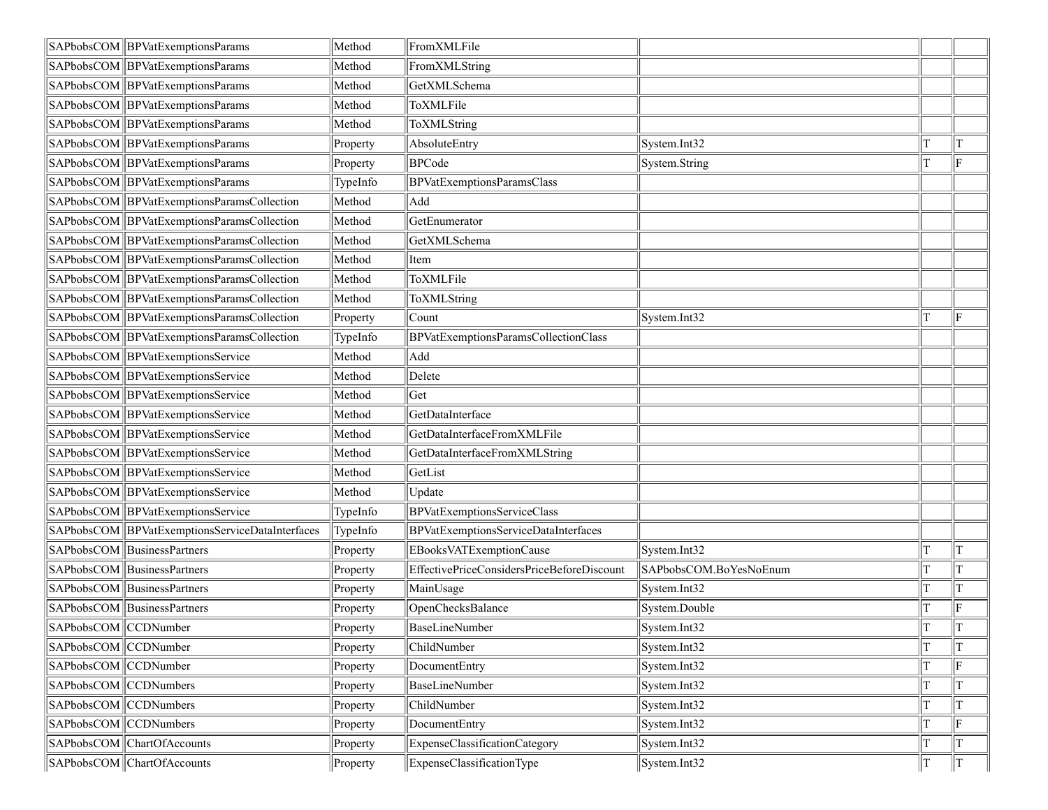|                       | SAPbobsCOM   BPVatExemptionsParams              | Method   | FromXMLFile                                |                        |    |              |
|-----------------------|-------------------------------------------------|----------|--------------------------------------------|------------------------|----|--------------|
|                       | SAPbobsCOM  BPVatExemptionsParams               | Method   | FromXMLString                              |                        |    |              |
|                       | SAPbobsCOM   BPVatExemptionsParams              | Method   | GetXMLSchema                               |                        |    |              |
|                       | SAPbobsCOM   BPVatExemptionsParams              | Method   | ToXMLFile                                  |                        |    |              |
|                       | SAPbobsCOM BPVatExemptionsParams                | Method   | ToXMLString                                |                        |    |              |
|                       | SAPbobsCOM BPVatExemptionsParams                | Property | AbsoluteEntry                              | System.Int32           | T  | T            |
|                       | SAPbobsCOM   BPVatExemptionsParams              | Property | <b>BPCode</b>                              | System.String          | T  | lF.          |
|                       | SAPbobsCOM BPVatExemptionsParams                | TypeInfo | <b>BPVatExemptionsParamsClass</b>          |                        |    |              |
|                       | SAPbobsCOM BPVatExemptionsParamsCollection      | Method   | Add                                        |                        |    |              |
|                       | SAPbobsCOM BPVatExemptionsParamsCollection      | Method   | GetEnumerator                              |                        |    |              |
|                       | SAPbobsCOM BPVatExemptionsParamsCollection      | Method   | GetXMLSchema                               |                        |    |              |
|                       | SAPbobsCOM  BPVatExemptionsParamsCollection     | Method   | Item                                       |                        |    |              |
|                       | SAPbobsCOM BPVatExemptionsParamsCollection      | Method   | ToXMLFile                                  |                        |    |              |
|                       | SAPbobsCOM BPVatExemptionsParamsCollection      | Method   | ToXMLString                                |                        |    |              |
|                       | SAPbobsCOM  BPVatExemptionsParamsCollection     | Property | Count                                      | System.Int32           | T  | lF.          |
|                       | SAPbobsCOM BPVatExemptionsParamsCollection      | TypeInfo | BPVatExemptionsParamsCollectionClass       |                        |    |              |
|                       | SAPbobsCOM BPVatExemptionsService               | Method   | Add                                        |                        |    |              |
|                       | SAPbobsCOM  BPVatExemptionsService              | Method   | Delete                                     |                        |    |              |
|                       | SAPbobsCOM BPVatExemptionsService               | Method   | Get                                        |                        |    |              |
|                       | SAPbobsCOM BPVatExemptionsService               | Method   | GetDataInterface                           |                        |    |              |
|                       | SAPbobsCOM BPVatExemptionsService               | Method   | GetDataInterfaceFromXMLFile                |                        |    |              |
|                       | SAPbobsCOM BPVatExemptionsService               | Method   | GetDataInterfaceFromXMLString              |                        |    |              |
|                       | SAPbobsCOM   BPVatExemptionsService             | Method   | GetList                                    |                        |    |              |
|                       | SAPbobsCOM BPVatExemptionsService               | Method   | Update                                     |                        |    |              |
|                       | SAPbobsCOM   BPVatExemptionsService             | TypeInfo | <b>BPVatExemptionsServiceClass</b>         |                        |    |              |
|                       | SAPbobsCOM BPVatExemptionsServiceDataInterfaces | TypeInfo | BPVatExemptionsServiceDataInterfaces       |                        |    |              |
|                       | SAPbobsCOM BusinessPartners                     | Property | EBooksVATExemptionCause                    | System.Int32           |    | T            |
|                       | SAPbobsCOM BusinessPartners                     | Property | EffectivePriceConsidersPriceBeforeDiscount | SAPbobsCOM.BoYesNoEnum |    | T            |
|                       | SAPbobsCOM BusinessPartners                     | Property | MainUsage                                  | System.Int32           | T  | T            |
|                       | SAPbobsCOM BusinessPartners                     | Property | OpenChecksBalance                          | System.Double          |    | F            |
| SAPbobsCOM CCDNumber  |                                                 | Property | BaseLineNumber                             | System.Int32           | lт | Iт           |
| SAPbobsCOM CCDNumber  |                                                 | Property | ChildNumber                                | System.Int32           | T  | <sup>T</sup> |
| SAPbobsCOM CCDNumber  |                                                 | Property | DocumentEntry                              | System.Int32           | T  | lF.          |
| SAPbobsCOM CCDNumbers |                                                 | Property | BaseLineNumber                             | System.Int32           | T  | T            |
| SAPbobsCOM CCDNumbers |                                                 | Property | ChildNumber                                | System.Int32           | T  | ΙT           |
| SAPbobsCOM CCDNumbers |                                                 | Property | DocumentEntry                              | System.Int32           | T  | lF.          |
|                       | SAPbobsCOM ChartOfAccounts                      | Property | ExpenseClassificationCategory              | System.Int32           | T  |              |
|                       | SAPbobsCOM ChartOfAccounts                      | Property | ExpenseClassificationType                  | System.Int32           | T  | lT.          |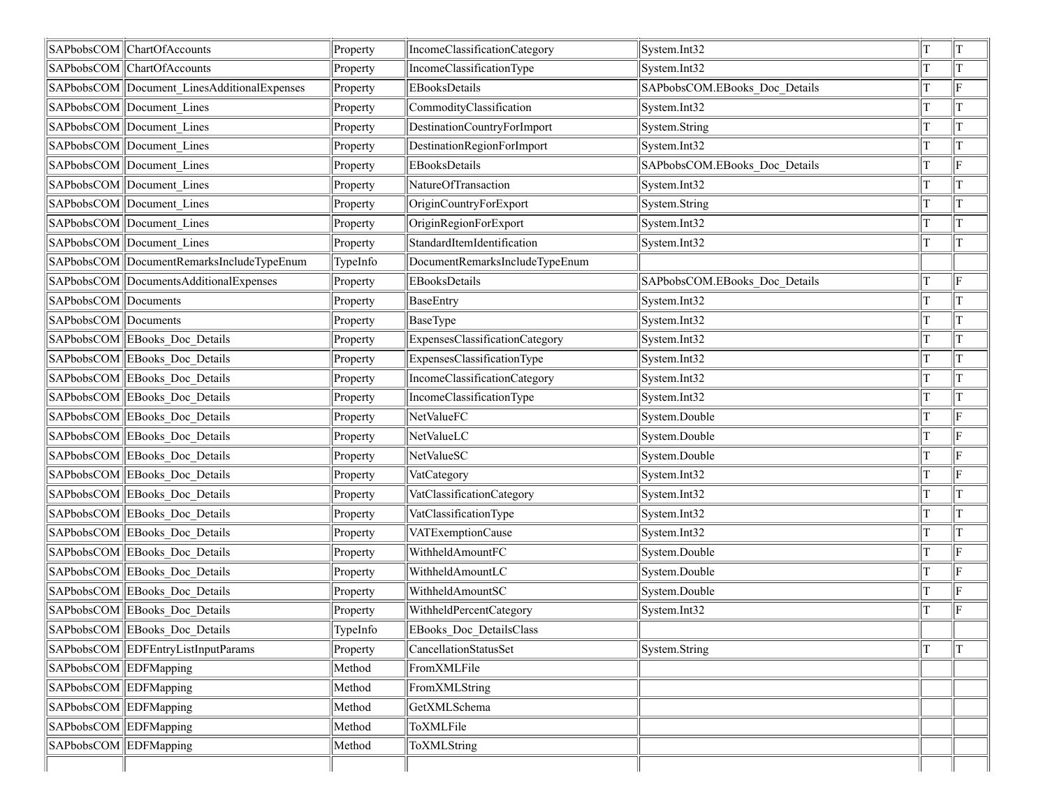|                       | SAPbobsCOM ChartOfAccounts                  | Property | IncomeClassificationCategory   | System.Int32                  | T | T  |
|-----------------------|---------------------------------------------|----------|--------------------------------|-------------------------------|---|----|
|                       | SAPbobsCOM ChartOfAccounts                  | Property | IncomeClassificationType       | System.Int32                  | T |    |
|                       | SAPbobsCOM Document LinesAdditionalExpenses | Property | <b>EBooksDetails</b>           | SAPbobsCOM.EBooks Doc Details | T | F  |
|                       | SAPbobsCOM Document Lines                   | Property | CommodityClassification        | System.Int32                  | T |    |
|                       | SAPbobsCOM Document Lines                   | Property | DestinationCountryForImport    | System.String                 | T |    |
|                       | SAPbobsCOM Document Lines                   | Property | DestinationRegionForImport     | System.Int32                  | T |    |
|                       | SAPbobsCOM Document Lines                   | Property | <b>EBooksDetails</b>           | SAPbobsCOM.EBooks Doc Details | т | F  |
|                       | SAPbobsCOM Document Lines                   | Property | NatureOfTransaction            | System.Int32                  | T |    |
|                       | SAPbobsCOM Document Lines                   | Property | OriginCountryForExport         | System.String                 |   |    |
|                       | SAPbobsCOM Document Lines                   | Property | OriginRegionForExport          | System.Int32                  | T |    |
|                       | SAPbobsCOM Document Lines                   | Property | StandardItemIdentification     | System.Int32                  | T |    |
|                       | SAPbobsCOM DocumentRemarksIncludeTypeEnum   | TypeInfo | DocumentRemarksIncludeTypeEnum |                               |   |    |
|                       | SAPbobsCOM DocumentsAdditionalExpenses      | Property | <b>EBooksDetails</b>           | SAPbobsCOM.EBooks Doc Details | T | ΙF |
| SAPbobsCOM Documents  |                                             | Property | <b>BaseEntry</b>               | System.Int32                  | т |    |
| SAPbobsCOM Documents  |                                             | Property | BaseType                       | System.Int32                  | T |    |
|                       | SAPbobsCOM EBooks Doc Details               | Property | ExpensesClassificationCategory | System.Int32                  |   |    |
|                       | SAPbobsCOM EBooks Doc Details               | Property | ExpensesClassificationType     | System.Int32                  | T |    |
|                       | SAPbobsCOM EBooks Doc Details               | Property | IncomeClassificationCategory   | System.Int32                  | T |    |
|                       | SAPbobsCOM EBooks Doc Details               | Property | IncomeClassificationType       | System.Int32                  | T |    |
|                       | SAPbobsCOM EBooks Doc Details               | Property | NetValueFC                     | System.Double                 | T | F  |
|                       | SAPbobsCOM EBooks Doc Details               | Property | NetValueLC                     | System.Double                 | т | F  |
|                       | SAPbobsCOM EBooks Doc Details               | Property | NetValueSC                     | System.Double                 | T | F  |
|                       | SAPbobsCOM EBooks Doc Details               | Property | VatCategory                    | System.Int32                  |   | F  |
|                       | SAPbobsCOM EBooks Doc Details               | Property | VatClassificationCategory      | System.Int32                  | T |    |
|                       | SAPbobsCOM EBooks Doc Details               | Property | VatClassificationType          | System.Int32                  |   |    |
|                       | SAPbobsCOM EBooks Doc Details               | Property | VATExemptionCause              | System.Int32                  | T |    |
|                       | SAPbobsCOM EBooks Doc Details               | Property | WithheldAmountFC               | System.Double                 | T | F  |
|                       | SAPbobsCOM EBooks Doc Details               | Property | WithheldAmountLC               | System.Double                 | T | ΙF |
|                       | SAPbobsCOM EBooks Doc Details               | Property | WithheldAmountSC               | System.Double                 | T | F  |
|                       | SAPbobsCOM EBooks Doc Details               | Property | WithheldPercentCategory        | System.Int32                  | T | F  |
|                       | SAPbobsCOM EBooks Doc Details               | TypeInfo | EBooks_Doc_DetailsClass        |                               |   |    |
|                       | SAPbobsCOM EDFEntryListInputParams          | Property | CancellationStatusSet          | System.String                 |   |    |
| SAPbobsCOM EDFMapping |                                             | Method   | FromXMLFile                    |                               |   |    |
| SAPbobsCOM EDFMapping |                                             | Method   | FromXMLString                  |                               |   |    |
| SAPbobsCOM EDFMapping |                                             | Method   | GetXMLSchema                   |                               |   |    |
| SAPbobsCOM EDFMapping |                                             | Method   | ToXMLFile                      |                               |   |    |
| SAPbobsCOM EDFMapping |                                             | Method   | ToXMLString                    |                               |   |    |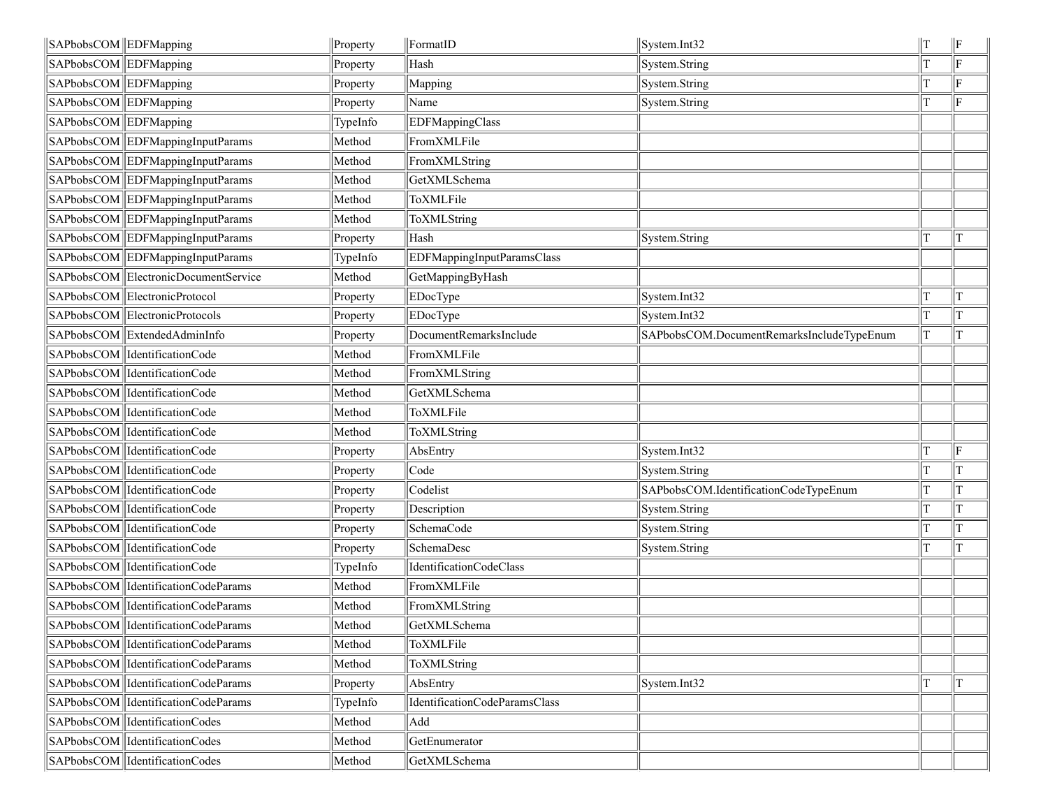| SAPbobsCOM EDFMapping |                                         | Property | FormatID                      | System.Int32                              | $\parallel$ F |
|-----------------------|-----------------------------------------|----------|-------------------------------|-------------------------------------------|---------------|
| SAPbobsCOM EDFMapping |                                         | Property | Hash                          | System.String                             | ΙF            |
| SAPbobsCOM EDFMapping |                                         | Property | Mapping                       | System.String                             | ΙF            |
| SAPbobsCOM EDFMapping |                                         | Property | Name                          | System.String                             | F             |
| SAPbobsCOM EDFMapping |                                         | TypeInfo | EDFMappingClass               |                                           |               |
|                       | SAPbobsCOM EDFMappingInputParams        | Method   | FromXMLFile                   |                                           |               |
|                       | SAPbobsCOM EDFMappingInputParams        | Method   | FromXMLString                 |                                           |               |
|                       | SAPbobsCOM EDFMappingInputParams        | Method   | GetXMLSchema                  |                                           |               |
|                       | SAPbobsCOM EDFMappingInputParams        | Method   | ToXMLFile                     |                                           |               |
|                       | SAPbobsCOM EDFMappingInputParams        | Method   | ToXMLString                   |                                           |               |
|                       | SAPbobsCOM EDFMappingInputParams        | Property | Hash                          | System.String                             | T             |
|                       | SAPbobsCOM EDFMappingInputParams        | TypeInfo | EDFMappingInputParamsClass    |                                           |               |
|                       | SAPbobsCOM ElectronicDocumentService    | Method   | GetMappingByHash              |                                           |               |
|                       | SAPbobsCOM ElectronicProtocol           | Property | EDocType                      | System.Int32                              | T             |
|                       | SAPbobsCOM ElectronicProtocols          | Property | EDocType                      | System.Int32                              | lΤ            |
|                       | SAPbobsCOM ExtendedAdminInfo            | Property | DocumentRemarksInclude        | SAPbobsCOM.DocumentRemarksIncludeTypeEnum | T             |
|                       | SAPbobsCOM   IdentificationCode         | Method   | FromXMLFile                   |                                           |               |
|                       | SAPbobsCOM   IdentificationCode         | Method   | FromXMLString                 |                                           |               |
|                       | SAPbobsCOM   IdentificationCode         | Method   | GetXMLSchema                  |                                           |               |
|                       | SAPbobsCOM   IdentificationCode         | Method   | ToXMLFile                     |                                           |               |
|                       | SAPbobsCOM   IdentificationCode         | Method   | ToXMLString                   |                                           |               |
|                       | SAPbobsCOM   IdentificationCode         | Property | AbsEntry                      | System.Int32                              | ΙF            |
|                       | SAPbobsCOM   IdentificationCode         | Property | Code                          | System.String                             | T             |
|                       | SAPbobsCOM   IdentificationCode         | Property | Codelist                      | SAPbobsCOM.IdentificationCodeTypeEnum     | T             |
|                       | SAPbobsCOM   IdentificationCode         | Property | Description                   | System.String                             | T             |
|                       | SAPbobsCOM  IdentificationCode          | Property | SchemaCode                    | System.String                             | T             |
|                       | SAPbobsCOM   IdentificationCode         | Property | SchemaDesc                    | System.String                             | T             |
|                       | SAPbobsCOM   IdentificationCode         | TypeInfo | IdentificationCodeClass       |                                           |               |
|                       | SAPbobsCOM   IdentificationCodeParams   | Method   | FromXMLFile                   |                                           |               |
|                       | SAPbobsCOM   IdentificationCodeParams   | Method   | FromXMLString                 |                                           |               |
|                       | SAPbobsCOM  IdentificationCodeParams    | Method   | GetXMLSchema                  |                                           |               |
|                       | SAPbobsCOM   Identification Code Params | Method   | ToXMLFile                     |                                           |               |
|                       | SAPbobsCOM   Identification Code Params | Method   | ToXMLString                   |                                           |               |
|                       | SAPbobsCOM  IdentificationCodeParams    | Property | AbsEntry                      | System.Int32                              | T             |
|                       | SAPbobsCOM   Identification Code Params | TypeInfo | IdentificationCodeParamsClass |                                           |               |
|                       | SAPbobsCOM  IdentificationCodes         | Method   | Add                           |                                           |               |
|                       | SAPbobsCOM   Identification Codes       | Method   | GetEnumerator                 |                                           |               |
|                       | SAPbobsCOM  IdentificationCodes         | Method   | GetXMLSchema                  |                                           |               |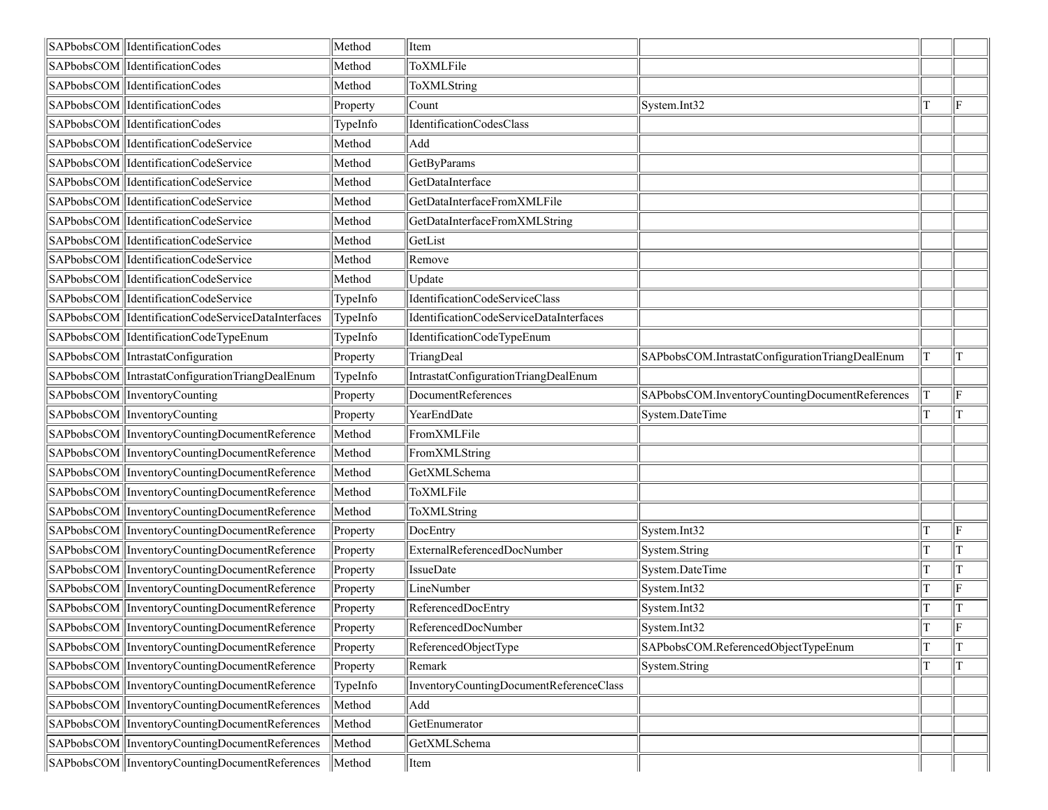| SAPbobsCOM  IdentificationCodes                     | Method           | Item                                    |                                                 |    |                        |
|-----------------------------------------------------|------------------|-----------------------------------------|-------------------------------------------------|----|------------------------|
| SAPbobsCOM  IdentificationCodes                     | Method           | ToXMLFile                               |                                                 |    |                        |
| SAPbobsCOM  IdentificationCodes                     | Method           | ToXMLString                             |                                                 |    |                        |
| SAPbobsCOM  IdentificationCodes                     | Property         | Count                                   | System.Int32                                    |    | lF                     |
| SAPbobsCOM   IdentificationCodes                    | TypeInfo         | IdentificationCodesClass                |                                                 |    |                        |
| SAPbobsCOM  IdentificationCodeService               | Method           | Add                                     |                                                 |    |                        |
| SAPbobsCOM   IdentificationCodeService              | Method           | GetByParams                             |                                                 |    |                        |
| SAPbobsCOM IdentificationCodeService                | Method           | GetDataInterface                        |                                                 |    |                        |
| SAPbobsCOM  IdentificationCodeService               | Method           | GetDataInterfaceFromXMLFile             |                                                 |    |                        |
| SAPbobsCOM  IdentificationCodeService               | Method           | GetDataInterfaceFromXMLString           |                                                 |    |                        |
| SAPbobsCOM  IdentificationCodeService               | Method           | GetList                                 |                                                 |    |                        |
| SAPbobsCOM  IdentificationCodeService               | Method           | Remove                                  |                                                 |    |                        |
| SAPbobsCOM  IdentificationCodeService               | Method           | Update                                  |                                                 |    |                        |
| SAPbobsCOM  IdentificationCodeService               | TypeInfo         | IdentificationCodeServiceClass          |                                                 |    |                        |
| SAPbobsCOM  IdentificationCodeServiceDataInterfaces | TypeInfo         | IdentificationCodeServiceDataInterfaces |                                                 |    |                        |
| SAPbobsCOM  IdentificationCodeTypeEnum              | TypeInfo         | IdentificationCodeTypeEnum              |                                                 |    |                        |
| SAPbobsCOM IntrastatConfiguration                   | Property         | TriangDeal                              | SAPbobsCOM.IntrastatConfigurationTriangDealEnum | Τ  | ΙT                     |
| SAPbobsCOM  IntrastatConfigurationTriangDealEnum    | TypeInfo         | IntrastatConfigurationTriangDealEnum    |                                                 |    |                        |
| SAPbobsCOM   Inventory Counting                     | Property         | DocumentReferences                      | SAPbobsCOM.InventoryCountingDocumentReferences  |    | ΙF                     |
| SAPbobsCOM InventoryCounting                        | Property         | YearEndDate                             | System.DateTime                                 |    | T                      |
| SAPbobsCOM  InventoryCountingDocumentReference      | Method           | FromXMLFile                             |                                                 |    |                        |
| SAPbobsCOM  InventoryCountingDocumentReference      | Method           | FromXMLString                           |                                                 |    |                        |
| SAPbobsCOM  InventoryCountingDocumentReference      | Method           | GetXMLSchema                            |                                                 |    |                        |
| SAPbobsCOM  InventoryCountingDocumentReference      | Method           | ToXMLFile                               |                                                 |    |                        |
| SAPbobsCOM  InventoryCountingDocumentReference      | Method           | ToXMLString                             |                                                 |    |                        |
| SAPbobsCOM InventoryCountingDocumentReference       | Property         | DocEntry                                | System.Int32                                    |    | ΙF                     |
|                                                     |                  |                                         |                                                 |    |                        |
| SAPbobsCOM InventoryCountingDocumentReference       | Property         | ExternalReferencedDocNumber             | System.String                                   | т  | ΙT                     |
| SAPbobsCOM  InventoryCountingDocumentReference      | Property         | IssueDate                               | System.DateTime                                 |    |                        |
| SAPbobsCOM InventoryCountingDocumentReference       | Property         | LineNumber                              | System.Int32                                    |    | lF                     |
| SAPbobsCOM  InventoryCountingDocumentReference      | Property         | ReferencedDocEntry                      | System.Int32                                    |    |                        |
| SAPbobsCOM  InventoryCountingDocumentReference      | $\vert$ Property | ReferencedDocNumber                     | System.Int32                                    | İΤ | $\parallel_{\text{F}}$ |
| SAPbobsCOM   InventoryCountingDocumentReference     | Property         | ReferencedObjectType                    | SAPbobsCOM.ReferencedObjectTypeEnum             |    |                        |
| SAPbobsCOM InventoryCountingDocumentReference       | Property         | Remark                                  | System.String                                   |    | lΤ                     |
| SAPbobsCOM   InventoryCountingDocumentReference     | TypeInfo         | InventoryCountingDocumentReferenceClass |                                                 |    |                        |
| SAPbobsCOM InventoryCountingDocumentReferences      | Method           | Add                                     |                                                 |    |                        |
| SAPbobsCOM InventoryCountingDocumentReferences      | Method           | GetEnumerator                           |                                                 |    |                        |
| SAPbobsCOM InventoryCountingDocumentReferences      | Method           | GetXMLSchema                            |                                                 |    |                        |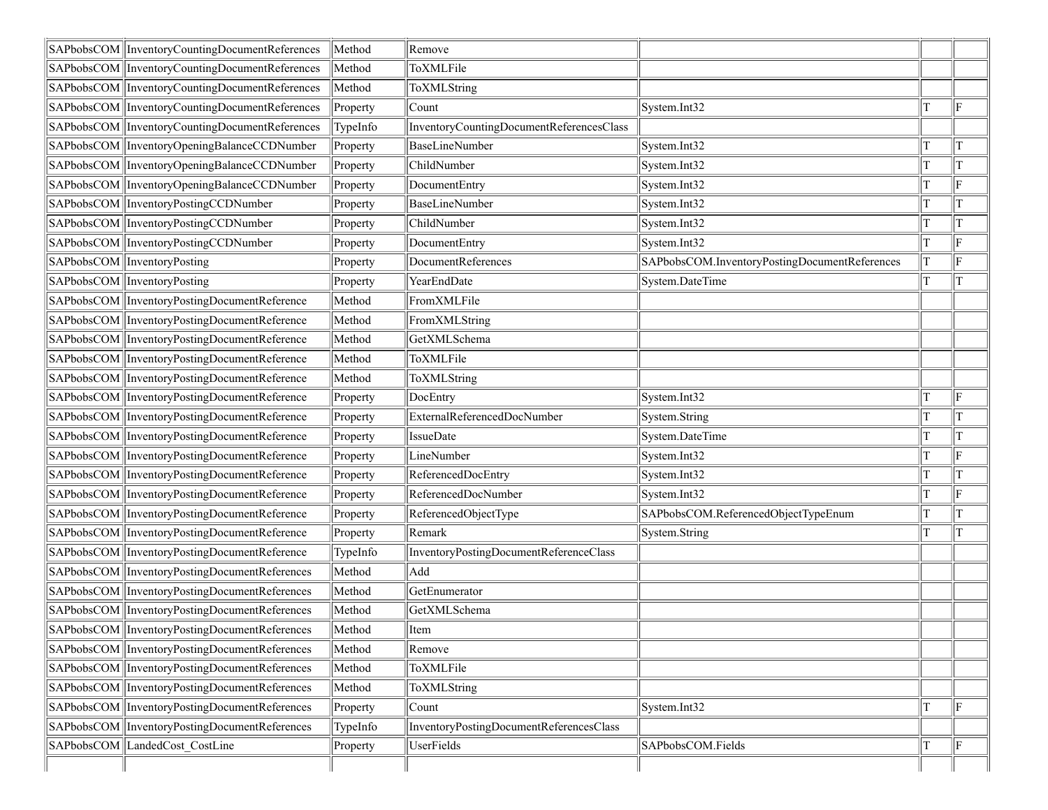|            | SAPbobsCOM  InventoryCountingDocumentReferences | Method   | Remove                                   |                                               |   |    |
|------------|-------------------------------------------------|----------|------------------------------------------|-----------------------------------------------|---|----|
|            | SAPbobsCOM  InventoryCountingDocumentReferences | Method   | ToXMLFile                                |                                               |   |    |
|            | SAPbobsCOM  InventoryCountingDocumentReferences | Method   | ToXMLString                              |                                               |   |    |
|            | SAPbobsCOM InventoryCountingDocumentReferences  | Property | Count                                    | System.Int32                                  | T | ∥F |
|            | SAPbobsCOM  InventoryCountingDocumentReferences | TypeInfo | InventoryCountingDocumentReferencesClass |                                               |   |    |
|            | SAPbobsCOM  InventoryOpeningBalanceCCDNumber    | Property | BaseLineNumber                           | System.Int32                                  | т | ΙT |
|            | SAPbobsCOM  InventoryOpeningBalanceCCDNumber    | Property | ChildNumber                              | System.Int32                                  |   | ΙT |
|            | SAPbobsCOM  InventoryOpeningBalanceCCDNumber    | Property | DocumentEntry                            | System.Int32                                  |   | lF |
|            | SAPbobsCOM   InventoryPostingCCDNumber          | Property | <b>BaseLineNumber</b>                    | System.Int32                                  |   |    |
|            | SAPbobsCOM  InventoryPostingCCDNumber           | Property | ChildNumber                              | System.Int32                                  |   | ΙT |
|            | SAPbobsCOM   InventoryPostingCCDNumber          | Property | DocumentEntry                            | System.Int32                                  |   | lF |
|            | SAPbobsCOM InventoryPosting                     | Property | DocumentReferences                       | SAPbobsCOM.InventoryPostingDocumentReferences | T | ∥F |
|            | SAPbobsCOM InventoryPosting                     | Property | YearEndDate                              | System.DateTime                               |   | T  |
|            | SAPbobsCOM InventoryPostingDocumentReference    | Method   | FromXMLFile                              |                                               |   |    |
|            | SAPbobsCOM  InventoryPostingDocumentReference   | Method   | FromXMLString                            |                                               |   |    |
|            | SAPbobsCOM  InventoryPostingDocumentReference   | Method   | GetXMLSchema                             |                                               |   |    |
|            | SAPbobsCOM  InventoryPostingDocumentReference   | Method   | ToXMLFile                                |                                               |   |    |
|            | SAPbobsCOM InventoryPostingDocumentReference    | Method   | ToXMLString                              |                                               |   |    |
|            | SAPbobsCOM  InventoryPostingDocumentReference   | Property | DocEntry                                 | System.Int32                                  |   | F  |
|            | SAPbobsCOM  InventoryPostingDocumentReference   | Property | ExternalReferencedDocNumber              | System.String                                 |   |    |
|            | SAPbobsCOM  InventoryPostingDocumentReference   | Property | <b>IssueDate</b>                         | System.DateTime                               | T | ΙT |
|            | SAPbobsCOM  InventoryPostingDocumentReference   | Property | LineNumber                               | System.Int32                                  | T | lF |
|            | SAPbobsCOM InventoryPostingDocumentReference    | Property | ReferencedDocEntry                       | System.Int32                                  | т | ΙT |
|            | SAPbobsCOM  InventoryPostingDocumentReference   | Property | ReferencedDocNumber                      | System.Int32                                  | T | lF |
|            | SAPbobsCOM  InventoryPostingDocumentReference   | Property | ReferencedObjectType                     | SAPbobsCOM.ReferencedObjectTypeEnum           |   |    |
|            | SAPbobsCOM  InventoryPostingDocumentReference   | Property | Remark                                   | System.String                                 | T | T  |
|            | SAPbobsCOM  InventoryPostingDocumentReference   | TypeInfo | InventoryPostingDocumentReferenceClass   |                                               |   |    |
|            | SAPbobsCOM InventoryPostingDocumentReferences   | Method   | Add                                      |                                               |   |    |
|            | SAPbobsCOM InventoryPostingDocumentReferences   | Method   | GetEnumerator                            |                                               |   |    |
|            | SAPbobsCOM  InventoryPostingDocumentReferences  | Method   | GetXMLSchema                             |                                               |   |    |
|            | SAPbobsCOM InventoryPostingDocumentReferences   | Method   | Item                                     |                                               |   |    |
|            | SAPbobsCOM  InventoryPostingDocumentReferences  | Method   | Remove                                   |                                               |   |    |
|            | SAPbobsCOM InventoryPostingDocumentReferences   | Method   | ToXMLFile                                |                                               |   |    |
|            | SAPbobsCOM  InventoryPostingDocumentReferences  | Method   | ToXMLString                              |                                               |   |    |
|            | SAPbobsCOM InventoryPostingDocumentReferences   | Property | Count                                    | System.Int32                                  |   | lF |
|            | SAPbobsCOM  InventoryPostingDocumentReferences  | TypeInfo | InventoryPostingDocumentReferencesClass  |                                               |   |    |
| SAPbobsCOM | LandedCost CostLine                             | Property | UserFields                               | SAPbobsCOM.Fields                             |   | ΙF |
|            |                                                 |          |                                          |                                               |   |    |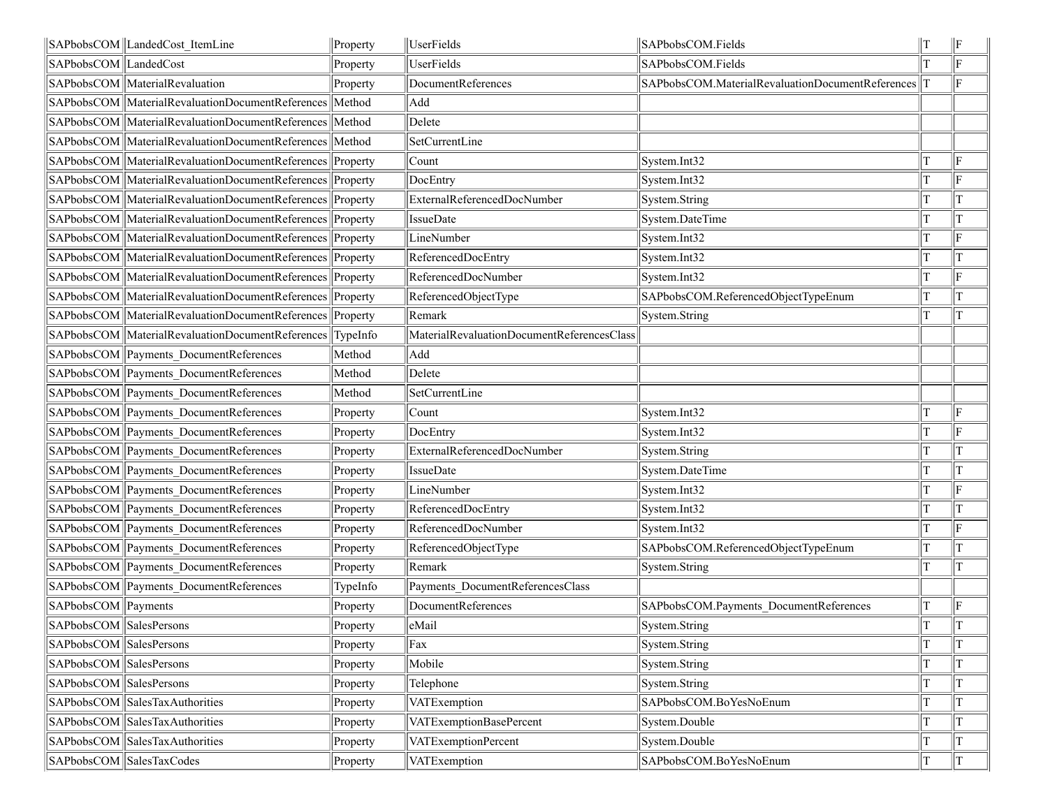|                         | SAPbobsCOM LandedCost ItemLine                                   | Property | UserFields                                 | SAPbobsCOM.Fields                                  | IТ | ∥F           |
|-------------------------|------------------------------------------------------------------|----------|--------------------------------------------|----------------------------------------------------|----|--------------|
| SAPbobsCOM LandedCost   |                                                                  | Property | UserFields                                 | SAPbobsCOM.Fields                                  |    | F            |
|                         | SAPbobsCOM   Material Revaluation                                | Property | DocumentReferences                         | SAPbobsCOM.MaterialRevaluationDocumentReferences T |    | lF.          |
|                         | SAPbobsCOM MaterialRevaluationDocumentReferences Method          |          | Add                                        |                                                    |    |              |
|                         | SAPbobsCOM   MaterialRevaluationDocumentReferences   Method      |          | Delete                                     |                                                    |    |              |
|                         | SAPbobsCOM MaterialRevaluationDocumentReferences Method          |          | SetCurrentLine                             |                                                    |    |              |
|                         | SAPbobsCOM MaterialRevaluationDocumentReferences Property        |          | Count                                      | System.Int32                                       | T  | ΙF           |
|                         | SAPbobsCOM MaterialRevaluationDocumentReferences Property        |          | DocEntry                                   | System.Int32                                       | T  | F            |
|                         | SAPbobsCOM   MaterialRevaluationDocumentReferences   Property    |          | ExternalReferencedDocNumber                | System.String                                      | T  | IТ           |
|                         | SAPbobsCOM MaterialRevaluationDocumentReferences Property        |          | IssueDate                                  | System.DateTime                                    |    | T            |
|                         | SAPbobsCOM   Material Revaluation Document References   Property |          | LineNumber                                 | System.Int32                                       | T  | lF.          |
|                         | SAPbobsCOM MaterialRevaluationDocumentReferences Property        |          | ReferencedDocEntry                         | System.Int32                                       |    | T            |
|                         | SAPbobsCOM MaterialRevaluationDocumentReferences Property        |          | ReferencedDocNumber                        | System.Int32                                       |    | ΙF           |
|                         | SAPbobsCOM MaterialRevaluationDocumentReferences Property        |          | ReferencedObjectType                       | SAPbobsCOM.ReferencedObjectTypeEnum                |    | T            |
|                         | SAPbobsCOM MaterialRevaluationDocumentReferences Property        |          | Remark                                     | System.String                                      | T  | lΤ           |
|                         | SAPbobsCOM MaterialRevaluationDocumentReferences TypeInfo        |          | MaterialRevaluationDocumentReferencesClass |                                                    |    |              |
|                         | SAPbobsCOM Payments_DocumentReferences                           | Method   | Add                                        |                                                    |    |              |
|                         | SAPbobsCOM Payments DocumentReferences                           | Method   | Delete                                     |                                                    |    |              |
|                         | SAPbobsCOM Payments_DocumentReferences                           | Method   | SetCurrentLine                             |                                                    |    |              |
|                         | SAPbobsCOM Payments_DocumentReferences                           | Property | Count                                      | System.Int32                                       |    | F            |
|                         | SAPbobsCOM Payments DocumentReferences                           | Property | DocEntry                                   | System.Int32                                       |    | $\mathbf{F}$ |
|                         | SAPbobsCOM Payments DocumentReferences                           | Property | ExternalReferencedDocNumber                | System.String                                      |    | T            |
|                         | SAPbobsCOM Payments_DocumentReferences                           | Property | <b>IssueDate</b>                           | System.DateTime                                    | T  | T            |
|                         | SAPbobsCOM Payments_DocumentReferences                           | Property | LineNumber                                 | System.Int32                                       | T  | F            |
|                         | SAPbobsCOM Payments DocumentReferences                           | Property | ReferencedDocEntry                         | System.Int32                                       | T  | lΤ           |
|                         | SAPbobsCOM Payments DocumentReferences                           | Property | ReferencedDocNumber                        | System.Int32                                       | T  | F            |
|                         | SAPbobsCOM Payments DocumentReferences                           | Property | ReferencedObjectType                       | SAPbobsCOM.ReferencedObjectTypeEnum                | T  | lΤ           |
|                         | SAPbobsCOM Payments_DocumentReferences                           | Property | Remark                                     | System.String                                      | T  | T            |
|                         | SAPbobsCOM Payments_DocumentReferences                           | TypeInfo | Payments DocumentReferencesClass           |                                                    |    |              |
| SAPbobsCOM Payments     |                                                                  | Property | DocumentReferences                         | SAPbobsCOM.Payments_DocumentReferences             |    | F            |
| SAPbobsCOM SalesPersons |                                                                  | Property | eMail                                      | System.String                                      | Iт | T            |
| SAPbobsCOM SalesPersons |                                                                  | Property | Fax                                        | System.String                                      |    | lΤ           |
| SAPbobsCOM SalesPersons |                                                                  | Property | Mobile                                     | System.String                                      | T  | ΙT           |
| SAPbobsCOM SalesPersons |                                                                  | Property | Telephone                                  | System.String                                      | T  | ΙT           |
|                         | SAPbobsCOM SalesTaxAuthorities                                   | Property | VATExemption                               | SAPbobsCOM.BoYesNoEnum                             | T  | lΤ           |
|                         | SAPbobsCOM SalesTaxAuthorities                                   | Property | VATExemptionBasePercent                    | System.Double                                      | T  | lT           |
|                         | SAPbobsCOM SalesTaxAuthorities                                   | Property | <b>VATExemptionPercent</b>                 | System.Double                                      | T  | lΤ           |
|                         | SAPbobsCOM SalesTaxCodes                                         | Property | VATExemption                               | SAPbobsCOM.BoYesNoEnum                             | T  | lΤ           |